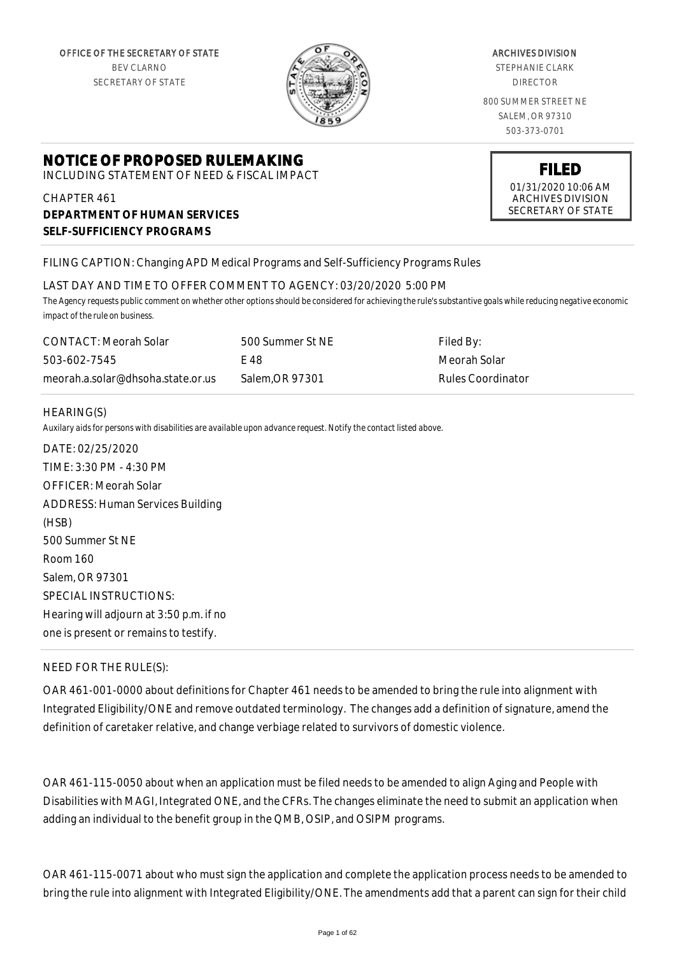

#### ARCHIVES DIVISION

STEPHANIE CLARK DIRECTOR

800 SUMMER STREET NE SALEM, OR 97310 503-373-0701

# **NOTICE OF PROPOSED RULEMAKING**

INCLUDING STATEMENT OF NEED & FISCAL IMPACT

CHAPTER 461 **DEPARTMENT OF HUMAN SERVICES SELF-SUFFICIENCY PROGRAMS**

# **FILED**

01/31/2020 10:06 AM ARCHIVES DIVISION SECRETARY OF STATE

#### FILING CAPTION: Changing APD Medical Programs and Self-Sufficiency Programs Rules

#### LAST DAY AND TIME TO OFFER COMMENT TO AGENCY: 03/20/2020 5:00 PM

*The Agency requests public comment on whether other options should be considered for achieving the rule's substantive goals while reducing negative economic impact of the rule on business.*

| CONTACT: Meorah Solar             | 500 Summer St NE | Filed By:         |
|-----------------------------------|------------------|-------------------|
| 503-602-7545                      | F 48             | Meorah Solar      |
| meorah.a.solar@dhsoha.state.or.us | Salem.OR 97301   | Rules Coordinator |

#### HEARING(S)

*Auxilary aids for persons with disabilities are available upon advance request. Notify the contact listed above.*

DATE: 02/25/2020 TIME: 3:30 PM - 4:30 PM OFFICER: Meorah Solar ADDRESS: Human Services Building (HSB) 500 Summer St NE Room 160 Salem, OR 97301 SPECIAL INSTRUCTIONS: Hearing will adjourn at 3:50 p.m. if no one is present or remains to testify.

#### NEED FOR THE RULE(S):

OAR 461-001-0000 about definitions for Chapter 461 needs to be amended to bring the rule into alignment with Integrated Eligibility/ONE and remove outdated terminology. The changes add a definition of signature, amend the definition of caretaker relative, and change verbiage related to survivors of domestic violence.

OAR 461-115-0050 about when an application must be filed needs to be amended to align Aging and People with Disabilities with MAGI, Integrated ONE, and the CFRs. The changes eliminate the need to submit an application when adding an individual to the benefit group in the QMB, OSIP, and OSIPM programs.

OAR 461-115-0071 about who must sign the application and complete the application process needs to be amended to bring the rule into alignment with Integrated Eligibility/ONE. The amendments add that a parent can sign for their child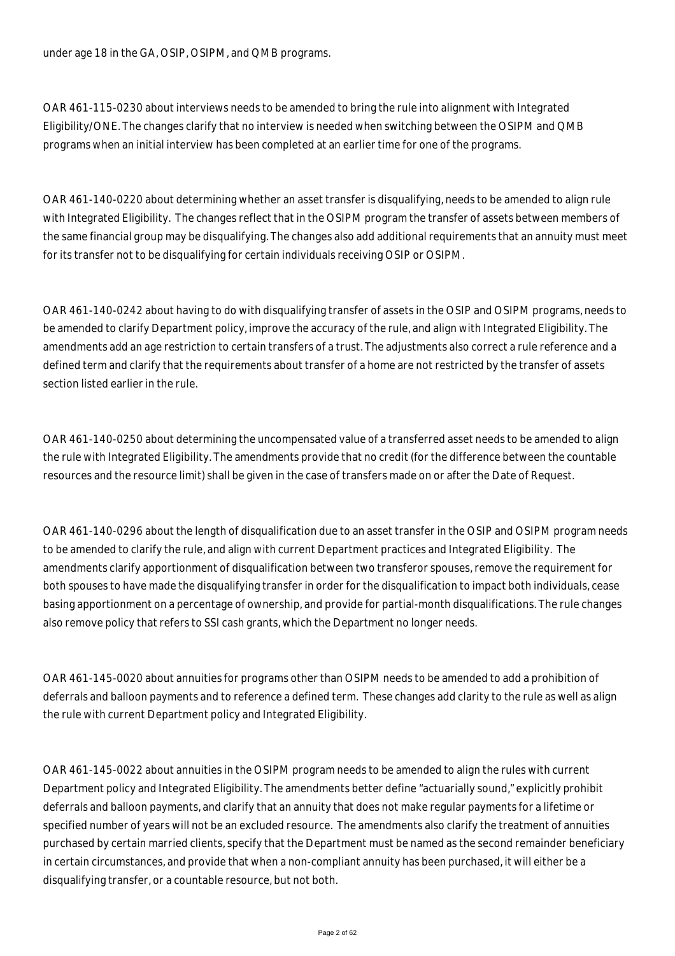under age 18 in the GA, OSIP, OSIPM, and QMB programs.

OAR 461-115-0230 about interviews needs to be amended to bring the rule into alignment with Integrated Eligibility/ONE. The changes clarify that no interview is needed when switching between the OSIPM and QMB programs when an initial interview has been completed at an earlier time for one of the programs.

OAR 461-140-0220 about determining whether an asset transfer is disqualifying, needs to be amended to align rule with Integrated Eligibility. The changes reflect that in the OSIPM program the transfer of assets between members of the same financial group may be disqualifying. The changes also add additional requirements that an annuity must meet for its transfer not to be disqualifying for certain individuals receiving OSIP or OSIPM.

OAR 461-140-0242 about having to do with disqualifying transfer of assets in the OSIP and OSIPM programs, needs to be amended to clarify Department policy, improve the accuracy of the rule, and align with Integrated Eligibility. The amendments add an age restriction to certain transfers of a trust. The adjustments also correct a rule reference and a defined term and clarify that the requirements about transfer of a home are not restricted by the transfer of assets section listed earlier in the rule.

OAR 461-140-0250 about determining the uncompensated value of a transferred asset needs to be amended to align the rule with Integrated Eligibility. The amendments provide that no credit (for the difference between the countable resources and the resource limit) shall be given in the case of transfers made on or after the Date of Request.

OAR 461-140-0296 about the length of disqualification due to an asset transfer in the OSIP and OSIPM program needs to be amended to clarify the rule, and align with current Department practices and Integrated Eligibility. The amendments clarify apportionment of disqualification between two transferor spouses, remove the requirement for both spouses to have made the disqualifying transfer in order for the disqualification to impact both individuals, cease basing apportionment on a percentage of ownership, and provide for partial-month disqualifications. The rule changes also remove policy that refers to SSI cash grants, which the Department no longer needs.

OAR 461-145-0020 about annuities for programs other than OSIPM needs to be amended to add a prohibition of deferrals and balloon payments and to reference a defined term. These changes add clarity to the rule as well as align the rule with current Department policy and Integrated Eligibility.

OAR 461-145-0022 about annuities in the OSIPM program needs to be amended to align the rules with current Department policy and Integrated Eligibility. The amendments better define "actuarially sound," explicitly prohibit deferrals and balloon payments, and clarify that an annuity that does not make regular payments for a lifetime or specified number of years will not be an excluded resource. The amendments also clarify the treatment of annuities purchased by certain married clients, specify that the Department must be named as the second remainder beneficiary in certain circumstances, and provide that when a non-compliant annuity has been purchased, it will either be a disqualifying transfer, or a countable resource, but not both.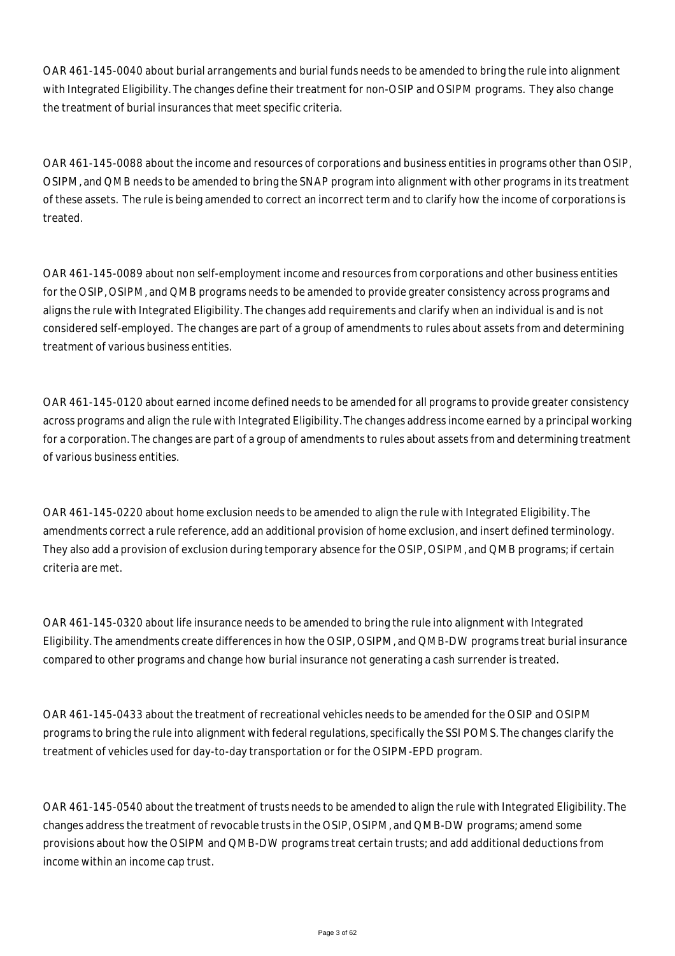OAR 461-145-0040 about burial arrangements and burial funds needs to be amended to bring the rule into alignment with Integrated Eligibility. The changes define their treatment for non-OSIP and OSIPM programs. They also change the treatment of burial insurances that meet specific criteria.

OAR 461-145-0088 about the income and resources of corporations and business entities in programs other than OSIP, OSIPM, and QMB needs to be amended to bring the SNAP program into alignment with other programs in its treatment of these assets. The rule is being amended to correct an incorrect term and to clarify how the income of corporations is treated.

OAR 461-145-0089 about non self-employment income and resources from corporations and other business entities for the OSIP, OSIPM, and QMB programs needs to be amended to provide greater consistency across programs and aligns the rule with Integrated Eligibility. The changes add requirements and clarify when an individual is and is not considered self-employed. The changes are part of a group of amendments to rules about assets from and determining treatment of various business entities.

OAR 461-145-0120 about earned income defined needs to be amended for all programs to provide greater consistency across programs and align the rule with Integrated Eligibility. The changes address income earned by a principal working for a corporation. The changes are part of a group of amendments to rules about assets from and determining treatment of various business entities.

OAR 461-145-0220 about home exclusion needs to be amended to align the rule with Integrated Eligibility. The amendments correct a rule reference, add an additional provision of home exclusion, and insert defined terminology. They also add a provision of exclusion during temporary absence for the OSIP, OSIPM, and QMB programs; if certain criteria are met.

OAR 461-145-0320 about life insurance needs to be amended to bring the rule into alignment with Integrated Eligibility. The amendments create differences in how the OSIP, OSIPM, and QMB-DW programs treat burial insurance compared to other programs and change how burial insurance not generating a cash surrender is treated.

OAR 461-145-0433 about the treatment of recreational vehicles needs to be amended for the OSIP and OSIPM programs to bring the rule into alignment with federal regulations, specifically the SSI POMS. The changes clarify the treatment of vehicles used for day-to-day transportation or for the OSIPM-EPD program.

OAR 461-145-0540 about the treatment of trusts needs to be amended to align the rule with Integrated Eligibility. The changes address the treatment of revocable trusts in the OSIP, OSIPM, and QMB-DW programs; amend some provisions about how the OSIPM and QMB-DW programs treat certain trusts; and add additional deductions from income within an income cap trust.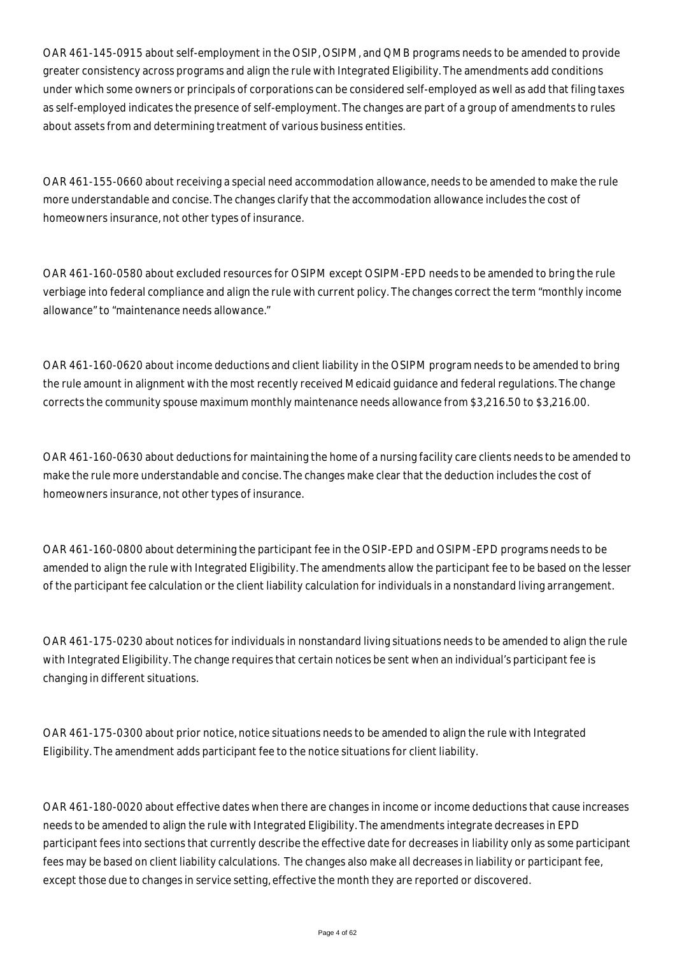OAR 461-145-0915 about self-employment in the OSIP, OSIPM, and QMB programs needs to be amended to provide greater consistency across programs and align the rule with Integrated Eligibility. The amendments add conditions under which some owners or principals of corporations can be considered self-employed as well as add that filing taxes as self-employed indicates the presence of self-employment. The changes are part of a group of amendments to rules about assets from and determining treatment of various business entities.

OAR 461-155-0660 about receiving a special need accommodation allowance, needs to be amended to make the rule more understandable and concise. The changes clarify that the accommodation allowance includes the cost of homeowners insurance, not other types of insurance.

OAR 461-160-0580 about excluded resources for OSIPM except OSIPM-EPD needs to be amended to bring the rule verbiage into federal compliance and align the rule with current policy. The changes correct the term "monthly income allowance" to "maintenance needs allowance."

OAR 461-160-0620 about income deductions and client liability in the OSIPM program needs to be amended to bring the rule amount in alignment with the most recently received Medicaid guidance and federal regulations. The change corrects the community spouse maximum monthly maintenance needs allowance from \$3,216.50 to \$3,216.00.

OAR 461-160-0630 about deductions for maintaining the home of a nursing facility care clients needs to be amended to make the rule more understandable and concise. The changes make clear that the deduction includes the cost of homeowners insurance, not other types of insurance.

OAR 461-160-0800 about determining the participant fee in the OSIP-EPD and OSIPM-EPD programs needs to be amended to align the rule with Integrated Eligibility. The amendments allow the participant fee to be based on the lesser of the participant fee calculation or the client liability calculation for individuals in a nonstandard living arrangement.

OAR 461-175-0230 about notices for individuals in nonstandard living situations needs to be amended to align the rule with Integrated Eligibility. The change requires that certain notices be sent when an individual's participant fee is changing in different situations.

OAR 461-175-0300 about prior notice, notice situations needs to be amended to align the rule with Integrated Eligibility. The amendment adds participant fee to the notice situations for client liability.

OAR 461-180-0020 about effective dates when there are changes in income or income deductions that cause increases needs to be amended to align the rule with Integrated Eligibility. The amendments integrate decreases in EPD participant fees into sections that currently describe the effective date for decreases in liability only as some participant fees may be based on client liability calculations. The changes also make all decreases in liability or participant fee, except those due to changes in service setting, effective the month they are reported or discovered.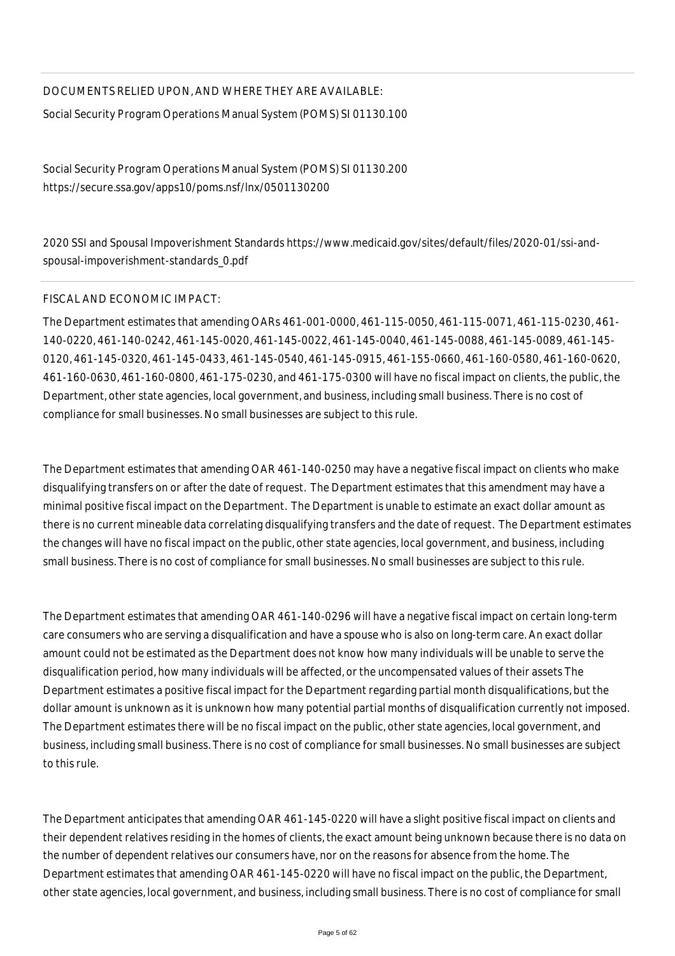# DOCUMENTS RELIED UPON, AND WHERE THEY ARE AVAILABLE:

Social Security Program Operations Manual System (POMS) SI 01130.100

Social Security Program Operations Manual System (POMS) SI 01130.200 https://secure.ssa.gov/apps10/poms.nsf/lnx/0501130200

2020 SSI and Spousal Impoverishment Standards https://www.medicaid.gov/sites/default/files/2020-01/ssi-andspousal-impoverishment-standards\_0.pdf

# FISCAL AND ECONOMIC IMPACT:

The Department estimates that amending OARs 461-001-0000, 461-115-0050, 461-115-0071, 461-115-0230, 461- 140-0220, 461-140-0242, 461-145-0020, 461-145-0022, 461-145-0040, 461-145-0088, 461-145-0089, 461-145- 0120, 461-145-0320, 461-145-0433, 461-145-0540, 461-145-0915, 461-155-0660, 461-160-0580, 461-160-0620, 461-160-0630, 461-160-0800, 461-175-0230, and 461-175-0300 will have no fiscal impact on clients, the public, the Department, other state agencies, local government, and business, including small business. There is no cost of compliance for small businesses. No small businesses are subject to this rule.

The Department estimates that amending OAR 461-140-0250 may have a negative fiscal impact on clients who make disqualifying transfers on or after the date of request. The Department estimates that this amendment may have a minimal positive fiscal impact on the Department. The Department is unable to estimate an exact dollar amount as there is no current mineable data correlating disqualifying transfers and the date of request. The Department estimates the changes will have no fiscal impact on the public, other state agencies, local government, and business, including small business. There is no cost of compliance for small businesses. No small businesses are subject to this rule.

The Department estimates that amending OAR 461-140-0296 will have a negative fiscal impact on certain long-term care consumers who are serving a disqualification and have a spouse who is also on long-term care. An exact dollar amount could not be estimated as the Department does not know how many individuals will be unable to serve the disqualification period, how many individuals will be affected, or the uncompensated values of their assets The Department estimates a positive fiscal impact for the Department regarding partial month disqualifications, but the dollar amount is unknown as it is unknown how many potential partial months of disqualification currently not imposed. The Department estimates there will be no fiscal impact on the public, other state agencies, local government, and business, including small business. There is no cost of compliance for small businesses. No small businesses are subject to this rule.

The Department anticipates that amending OAR 461-145-0220 will have a slight positive fiscal impact on clients and their dependent relatives residing in the homes of clients, the exact amount being unknown because there is no data on the number of dependent relatives our consumers have, nor on the reasons for absence from the home. The Department estimates that amending OAR 461-145-0220 will have no fiscal impact on the public, the Department, other state agencies, local government, and business, including small business. There is no cost of compliance for small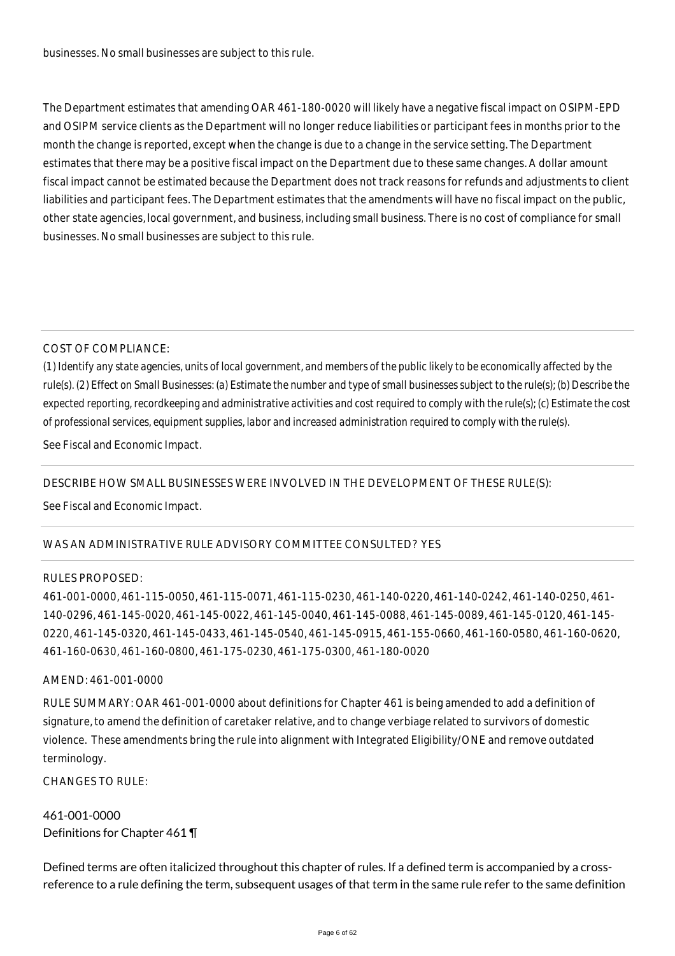businesses. No small businesses are subject to this rule.

The Department estimates that amending OAR 461-180-0020 will likely have a negative fiscal impact on OSIPM-EPD and OSIPM service clients as the Department will no longer reduce liabilities or participant fees in months prior to the month the change is reported, except when the change is due to a change in the service setting. The Department estimates that there may be a positive fiscal impact on the Department due to these same changes. A dollar amount fiscal impact cannot be estimated because the Department does not track reasons for refunds and adjustments to client liabilities and participant fees. The Department estimates that the amendments will have no fiscal impact on the public, other state agencies, local government, and business, including small business. There is no cost of compliance for small businesses. No small businesses are subject to this rule.

# COST OF COMPLIANCE:

*(1) Identify any state agencies, units of local government, and members of the public likely to be economically affected by the rule(s). (2) Effect on Small Businesses: (a) Estimate the number and type of small businesses subject to the rule(s); (b) Describe the expected reporting, recordkeeping and administrative activities and cost required to comply with the rule(s); (c) Estimate the cost of professional services, equipment supplies, labor and increased administration required to comply with the rule(s).*

See Fiscal and Economic Impact.

DESCRIBE HOW SMALL BUSINESSES WERE INVOLVED IN THE DEVELOPMENT OF THESE RULE(S):

See Fiscal and Economic Impact.

# WAS AN ADMINISTRATIVE RULE ADVISORY COMMITTEE CONSULTED? YES

# RULES PROPOSED:

461-001-0000, 461-115-0050, 461-115-0071, 461-115-0230, 461-140-0220, 461-140-0242, 461-140-0250, 461- 140-0296, 461-145-0020, 461-145-0022, 461-145-0040, 461-145-0088, 461-145-0089, 461-145-0120, 461-145- 0220, 461-145-0320, 461-145-0433, 461-145-0540, 461-145-0915, 461-155-0660, 461-160-0580, 461-160-0620, 461-160-0630, 461-160-0800, 461-175-0230, 461-175-0300, 461-180-0020

# AMEND: 461-001-0000

RULE SUMMARY: OAR 461-001-0000 about definitions for Chapter 461 is being amended to add a definition of signature, to amend the definition of caretaker relative, and to change verbiage related to survivors of domestic violence. These amendments bring the rule into alignment with Integrated Eligibility/ONE and remove outdated terminology.

CHANGES TO RULE:

461-001-0000 Definitions for Chapter 461 ¶

Defined terms are often italicized throughout this chapter of rules. If a defined term is accompanied by a crossreference to a rule defining the term, subsequent usages of that term in the same rule refer to the same definition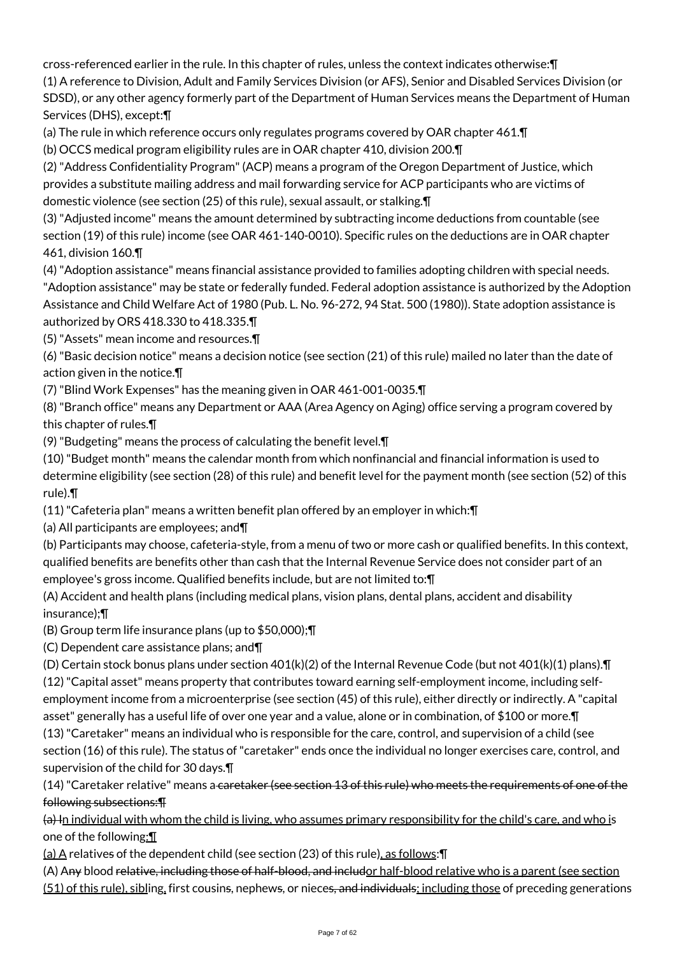cross-referenced earlier in the rule. In this chapter of rules, unless the context indicates otherwise:¶

(1) A reference to Division, Adult and Family Services Division (or AFS), Senior and Disabled Services Division (or SDSD), or any other agency formerly part of the Department of Human Services means the Department of Human Services (DHS), except:¶

(a) The rule in which reference occurs only regulates programs covered by OAR chapter 461.¶

(b) OCCS medical program eligibility rules are in OAR chapter 410, division 200.¶

(2) "Address Confidentiality Program" (ACP) means a program of the Oregon Department of Justice, which provides a substitute mailing address and mail forwarding service for ACP participants who are victims of domestic violence (see section (25) of this rule), sexual assault, or stalking.¶

(3) "Adjusted income" means the amount determined by subtracting income deductions from countable (see section (19) of this rule) income (see OAR 461-140-0010). Specific rules on the deductions are in OAR chapter 461, division 160.¶

(4) "Adoption assistance" means financial assistance provided to families adopting children with special needs.

"Adoption assistance" may be state or federally funded. Federal adoption assistance is authorized by the Adoption Assistance and Child Welfare Act of 1980 (Pub. L. No. 96-272, 94 Stat. 500 (1980)). State adoption assistance is authorized by ORS 418.330 to 418.335.¶

(5) "Assets" mean income and resources.¶

(6) "Basic decision notice" means a decision notice (see section (21) of this rule) mailed no later than the date of action given in the notice.¶

(7) "Blind Work Expenses" has the meaning given in OAR 461-001-0035.¶

(8) "Branch office" means any Department or AAA (Area Agency on Aging) office serving a program covered by this chapter of rules.¶

(9) "Budgeting" means the process of calculating the benefit level.¶

(10) "Budget month" means the calendar month from which nonfinancial and financial information is used to determine eligibility (see section (28) of this rule) and benefit level for the payment month (see section (52) of this rule).¶

(11) "Cafeteria plan" means a written benefit plan offered by an employer in which:¶

(a) All participants are employees; and¶

(b) Participants may choose, cafeteria-style, from a menu of two or more cash or qualified benefits. In this context, qualified benefits are benefits other than cash that the Internal Revenue Service does not consider part of an employee's gross income. Qualified benefits include, but are not limited to:¶

(A) Accident and health plans (including medical plans, vision plans, dental plans, accident and disability insurance);¶

(B) Group term life insurance plans (up to \$50,000);¶

(C) Dependent care assistance plans; and¶

(D) Certain stock bonus plans under section 401(k)(2) of the Internal Revenue Code (but not 401(k)(1) plans).¶ (12) "Capital asset" means property that contributes toward earning self-employment income, including selfemployment income from a microenterprise (see section (45) of this rule), either directly or indirectly. A "capital

asset" generally has a useful life of over one year and a value, alone or in combination, of \$100 or more.¶

(13) "Caretaker" means an individual who is responsible for the care, control, and supervision of a child (see section (16) of this rule). The status of "caretaker" ends once the individual no longer exercises care, control, and supervision of the child for 30 days.¶

(14) "Caretaker relative" means a caretaker (see section 13 of this rule) who meets the requirements of one of the following subsections:¶

 $(a)$  In individual with whom the child is living, who assumes primary responsibility for the child's care, and who is one of the following:¶

(a)  $\overline{A}$  relatives of the dependent child (see section (23) of this rule), as follows:  $\P$ 

(A) Any blood relative, including those of half-blood, and includor half-blood relative who is a parent (see section (51) of this rule), sibling, first cousins, nephews, or nieces, and individuals; including those of preceding generations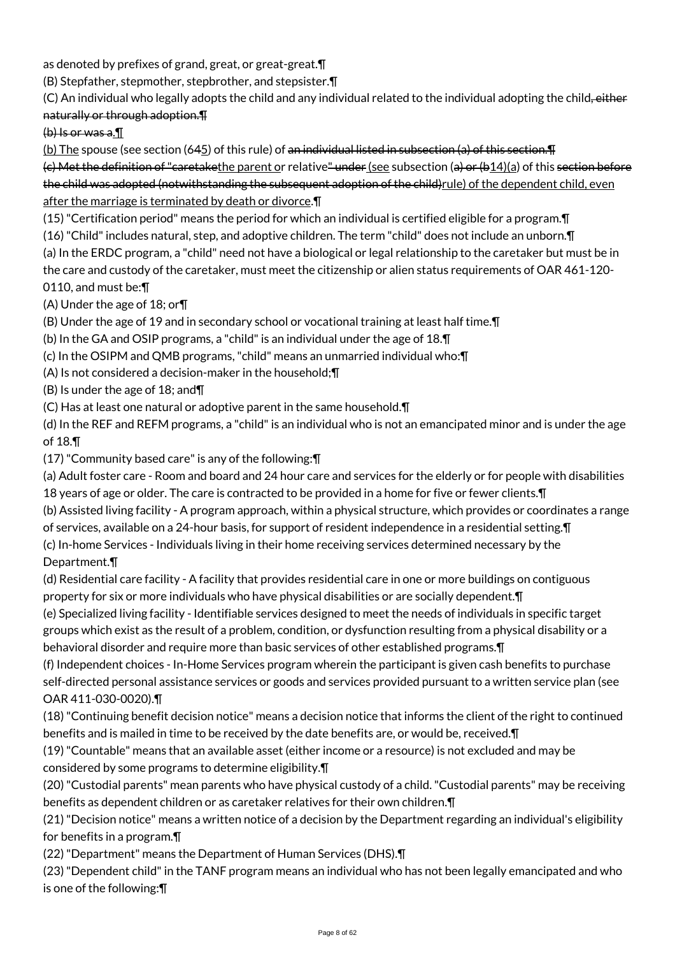as denoted by prefixes of grand, great, or great-great.¶

(B) Stepfather, stepmother, stepbrother, and stepsister.¶

(C) An individual who legally adopts the child and any individual related to the individual adopting the child, either naturally or through adoption.¶

(b) Is or was a.¶

(b) The spouse (see section (645) of this rule) of an individual listed in subsection (a) of this section.  $\P$ 

 $(c)$  Met the definition of "caretakethe parent or relative" under (see subsection  $(a)$  or  $(b14)(a)$  of this section before the child was adopted (notwithstanding the subsequent adoption of the child)rule) of the dependent child, even after the marriage is terminated by death or divorce.¶

(15) "Certification period" means the period for which an individual is certified eligible for a program.¶

(16) "Child" includes natural, step, and adoptive children. The term "child" does not include an unborn.¶

(a) In the ERDC program, a "child" need not have a biological or legal relationship to the caretaker but must be in the care and custody of the caretaker, must meet the citizenship or alien status requirements of OAR 461-120- 0110, and must be:¶

(A) Under the age of 18; or¶

(B) Under the age of 19 and in secondary school or vocational training at least half time.¶

(b) In the GA and OSIP programs, a "child" is an individual under the age of 18.¶

(c) In the OSIPM and QMB programs, "child" means an unmarried individual who:¶

(A) Is not considered a decision-maker in the household;¶

(B) Is under the age of 18; and¶

(C) Has at least one natural or adoptive parent in the same household.¶

(d) In the REF and REFM programs, a "child" is an individual who is not an emancipated minor and is under the age of 18.¶

(17) "Community based care" is any of the following:¶

(a) Adult foster care - Room and board and 24 hour care and services for the elderly or for people with disabilities 18 years of age or older. The care is contracted to be provided in a home for five or fewer clients.¶

(b) Assisted living facility - A program approach, within a physical structure, which provides or coordinates a range

of services, available on a 24-hour basis, for support of resident independence in a residential setting.¶

(c) In-home Services - Individuals living in their home receiving services determined necessary by the Department.¶

(d) Residential care facility - A facility that provides residential care in one or more buildings on contiguous property for six or more individuals who have physical disabilities or are socially dependent.¶

(e) Specialized living facility - Identifiable services designed to meet the needs of individuals in specific target groups which exist as the result of a problem, condition, or dysfunction resulting from a physical disability or a behavioral disorder and require more than basic services of other established programs.¶

(f) Independent choices - In-Home Services program wherein the participant is given cash benefits to purchase self-directed personal assistance services or goods and services provided pursuant to a written service plan (see OAR 411-030-0020).¶

(18) "Continuing benefit decision notice" means a decision notice that informs the client of the right to continued benefits and is mailed in time to be received by the date benefits are, or would be, received.¶

(19) "Countable" means that an available asset (either income or a resource) is not excluded and may be considered by some programs to determine eligibility.¶

(20) "Custodial parents" mean parents who have physical custody of a child. "Custodial parents" may be receiving benefits as dependent children or as caretaker relatives for their own children.¶

(21) "Decision notice" means a written notice of a decision by the Department regarding an individual's eligibility for benefits in a program.¶

(22) "Department" means the Department of Human Services (DHS).¶

(23) "Dependent child" in the TANF program means an individual who has not been legally emancipated and who is one of the following:¶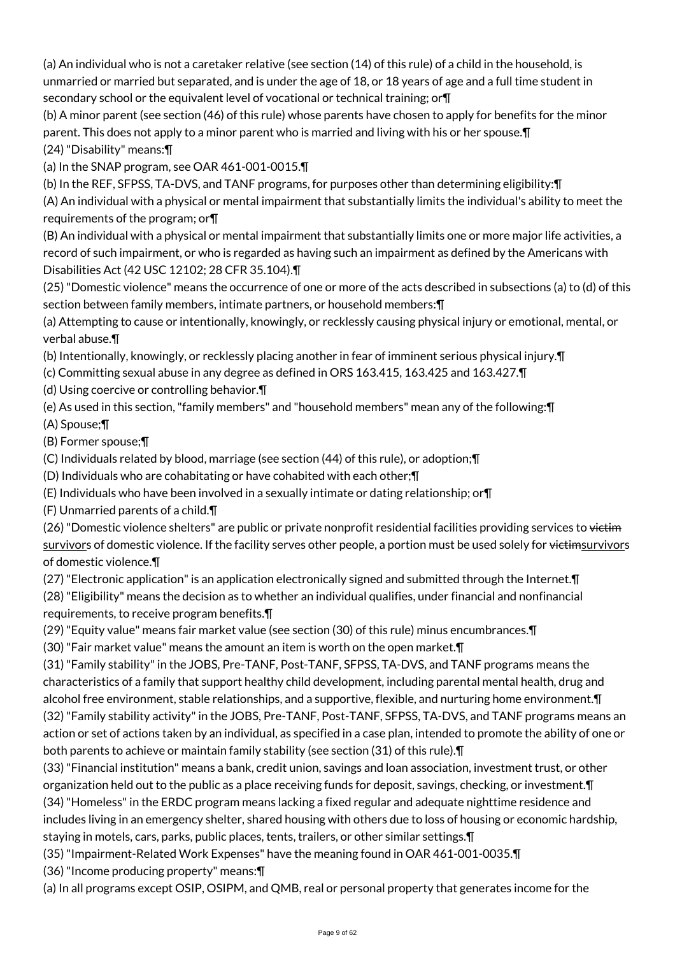(a) An individual who is not a caretaker relative (see section (14) of this rule) of a child in the household, is unmarried or married but separated, and is under the age of 18, or 18 years of age and a full time student in secondary school or the equivalent level of vocational or technical training; or¶

(b) A minor parent (see section (46) of this rule) whose parents have chosen to apply for benefits for the minor parent. This does not apply to a minor parent who is married and living with his or her spouse.¶ (24) "Disability" means:¶

(a) In the SNAP program, see OAR 461-001-0015.¶

(b) In the REF, SFPSS, TA-DVS, and TANF programs, for purposes other than determining eligibility:¶

(A) An individual with a physical or mental impairment that substantially limits the individual's ability to meet the requirements of the program; or¶

(B) An individual with a physical or mental impairment that substantially limits one or more major life activities, a record of such impairment, or who is regarded as having such an impairment as defined by the Americans with Disabilities Act (42 USC 12102; 28 CFR 35.104).¶

(25) "Domestic violence" means the occurrence of one or more of the acts described in subsections (a) to (d) of this section between family members, intimate partners, or household members:¶

(a) Attempting to cause or intentionally, knowingly, or recklessly causing physical injury or emotional, mental, or verbal abuse.¶

(b) Intentionally, knowingly, or recklessly placing another in fear of imminent serious physical injury.¶

(c) Committing sexual abuse in any degree as defined in ORS 163.415, 163.425 and 163.427.¶

(d) Using coercive or controlling behavior.¶

(e) As used in this section, "family members" and "household members" mean any of the following:¶

(A) Spouse;¶

(B) Former spouse;¶

(C) Individuals related by blood, marriage (see section (44) of this rule), or adoption;¶

(D) Individuals who are cohabitating or have cohabited with each other;¶

(E) Individuals who have been involved in a sexually intimate or dating relationship; or¶

(F) Unmarried parents of a child.¶

(26) "Domestic violence shelters" are public or private nonprofit residential facilities providing services to victim survivors of domestic violence. If the facility serves other people, a portion must be used solely for victimsurvivors of domestic violence.¶

(27) "Electronic application" is an application electronically signed and submitted through the Internet.¶

(28) "Eligibility" means the decision as to whether an individual qualifies, under financial and nonfinancial requirements, to receive program benefits.¶

(29) "Equity value" means fair market value (see section (30) of this rule) minus encumbrances.¶

(30) "Fair market value" means the amount an item is worth on the open market.¶

(31) "Family stability" in the JOBS, Pre-TANF, Post-TANF, SFPSS, TA-DVS, and TANF programs means the characteristics of a family that support healthy child development, including parental mental health, drug and alcohol free environment, stable relationships, and a supportive, flexible, and nurturing home environment.¶ (32) "Family stability activity" in the JOBS, Pre-TANF, Post-TANF, SFPSS, TA-DVS, and TANF programs means an action or set of actions taken by an individual, as specified in a case plan, intended to promote the ability of one or both parents to achieve or maintain family stability (see section (31) of this rule).¶

(33) "Financial institution" means a bank, credit union, savings and loan association, investment trust, or other organization held out to the public as a place receiving funds for deposit, savings, checking, or investment.¶

(34) "Homeless" in the ERDC program means lacking a fixed regular and adequate nighttime residence and includes living in an emergency shelter, shared housing with others due to loss of housing or economic hardship,

staying in motels, cars, parks, public places, tents, trailers, or other similar settings.¶

(35) "Impairment-Related Work Expenses" have the meaning found in OAR 461-001-0035.¶

(36) "Income producing property" means:¶

(a) In all programs except OSIP, OSIPM, and QMB, real or personal property that generates income for the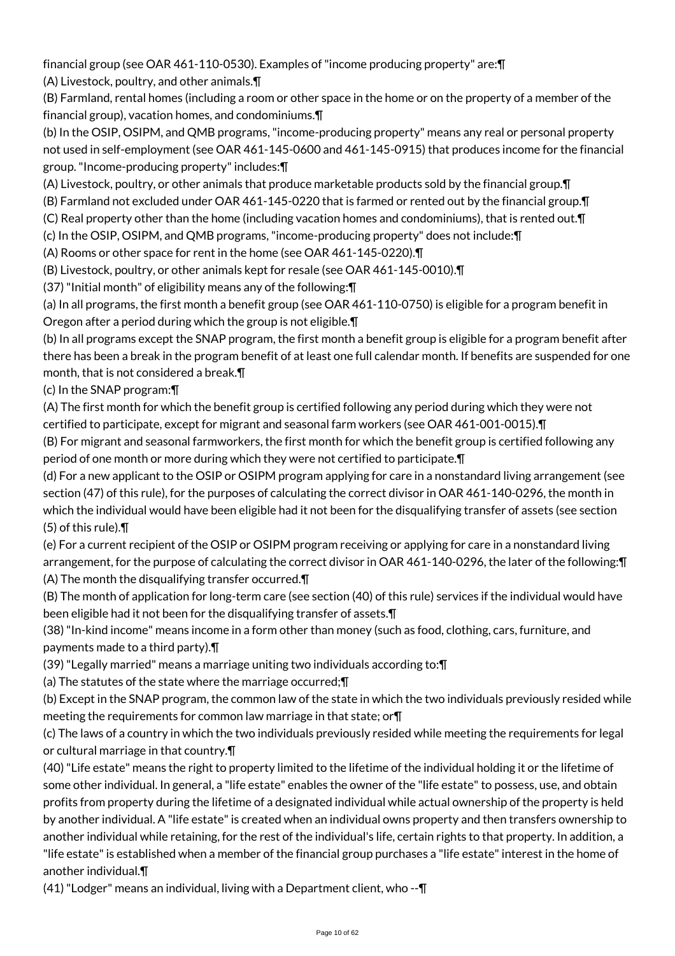financial group (see OAR 461-110-0530). Examples of "income producing property" are:¶

(A) Livestock, poultry, and other animals.¶

(B) Farmland, rental homes (including a room or other space in the home or on the property of a member of the financial group), vacation homes, and condominiums.¶

(b) In the OSIP, OSIPM, and QMB programs, "income-producing property" means any real or personal property not used in self-employment (see OAR 461-145-0600 and 461-145-0915) that produces income for the financial group. "Income-producing property" includes:¶

(A) Livestock, poultry, or other animals that produce marketable products sold by the financial group.¶

(B) Farmland not excluded under OAR 461-145-0220 that is farmed or rented out by the financial group.¶

(C) Real property other than the home (including vacation homes and condominiums), that is rented out.¶

(c) In the OSIP, OSIPM, and QMB programs, "income-producing property" does not include:¶

(A) Rooms or other space for rent in the home (see OAR 461-145-0220).¶

(B) Livestock, poultry, or other animals kept for resale (see OAR 461-145-0010).¶

(37) "Initial month" of eligibility means any of the following:¶

(a) In all programs, the first month a benefit group (see OAR 461-110-0750) is eligible for a program benefit in Oregon after a period during which the group is not eligible.¶

(b) In all programs except the SNAP program, the first month a benefit group is eligible for a program benefit after there has been a break in the program benefit of at least one full calendar month. If benefits are suspended for one month, that is not considered a break.¶

(c) In the SNAP program:¶

(A) The first month for which the benefit group is certified following any period during which they were not certified to participate, except for migrant and seasonal farm workers (see OAR 461-001-0015).¶

(B) For migrant and seasonal farmworkers, the first month for which the benefit group is certified following any period of one month or more during which they were not certified to participate.¶

(d) For a new applicant to the OSIP or OSIPM program applying for care in a nonstandard living arrangement (see section (47) of this rule), for the purposes of calculating the correct divisor in OAR 461-140-0296, the month in which the individual would have been eligible had it not been for the disqualifying transfer of assets (see section (5) of this rule).¶

(e) For a current recipient of the OSIP or OSIPM program receiving or applying for care in a nonstandard living arrangement, for the purpose of calculating the correct divisor in OAR 461-140-0296, the later of the following:¶ (A) The month the disqualifying transfer occurred.¶

(B) The month of application for long-term care (see section (40) of this rule) services if the individual would have been eligible had it not been for the disqualifying transfer of assets.¶

(38) "In-kind income" means income in a form other than money (such as food, clothing, cars, furniture, and payments made to a third party).¶

(39) "Legally married" means a marriage uniting two individuals according to:¶

(a) The statutes of the state where the marriage occurred;¶

(b) Except in the SNAP program, the common law of the state in which the two individuals previously resided while meeting the requirements for common law marriage in that state; or¶

(c) The laws of a country in which the two individuals previously resided while meeting the requirements for legal or cultural marriage in that country.¶

(40) "Life estate" means the right to property limited to the lifetime of the individual holding it or the lifetime of some other individual. In general, a "life estate" enables the owner of the "life estate" to possess, use, and obtain profits from property during the lifetime of a designated individual while actual ownership of the property is held by another individual. A "life estate" is created when an individual owns property and then transfers ownership to another individual while retaining, for the rest of the individual's life, certain rights to that property. In addition, a "life estate" is established when a member of the financial group purchases a "life estate" interest in the home of another individual.¶

(41) "Lodger" means an individual, living with a Department client, who --¶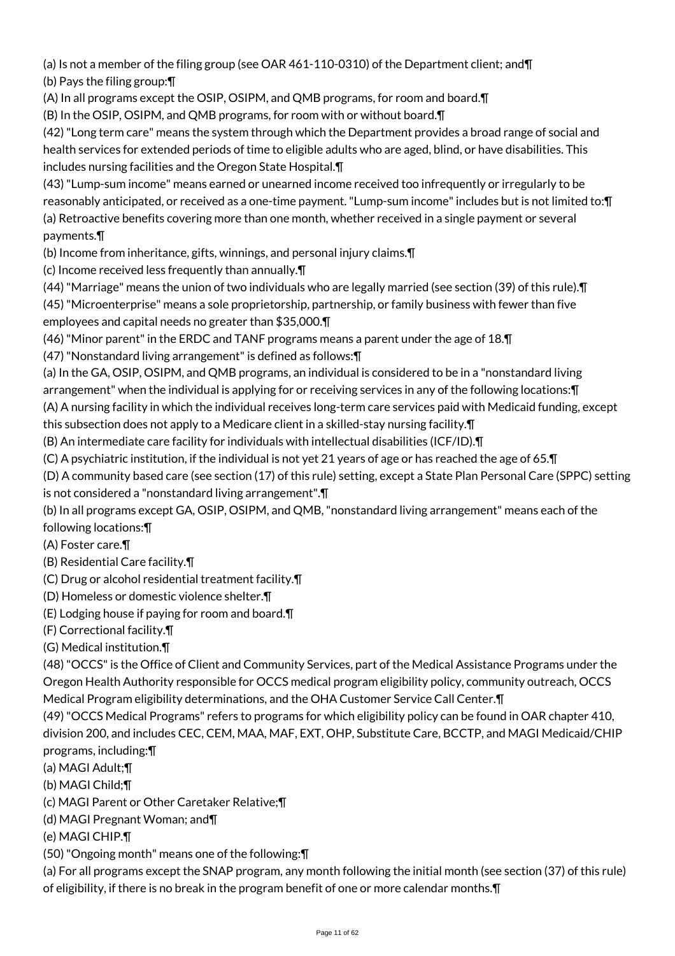(a) Is not a member of the filing group (see OAR 461-110-0310) of the Department client; and¶ (b) Pays the filing group:¶

(A) In all programs except the OSIP, OSIPM, and QMB programs, for room and board.¶

(B) In the OSIP, OSIPM, and QMB programs, for room with or without board.¶

(42) "Long term care" means the system through which the Department provides a broad range of social and health services for extended periods of time to eligible adults who are aged, blind, or have disabilities. This includes nursing facilities and the Oregon State Hospital.¶

(43) "Lump-sum income" means earned or unearned income received too infrequently or irregularly to be reasonably anticipated, or received as a one-time payment. "Lump-sum income" includes but is not limited to:¶ (a) Retroactive benefits covering more than one month, whether received in a single payment or several payments.¶

(b) Income from inheritance, gifts, winnings, and personal injury claims.¶

(c) Income received less frequently than annually.¶

(44) "Marriage" means the union of two individuals who are legally married (see section (39) of this rule).¶

(45) "Microenterprise" means a sole proprietorship, partnership, or family business with fewer than five employees and capital needs no greater than \$35,000.¶

(46) "Minor parent" in the ERDC and TANF programs means a parent under the age of 18.¶

(47) "Nonstandard living arrangement" is defined as follows:¶

(a) In the GA, OSIP, OSIPM, and QMB programs, an individual is considered to be in a "nonstandard living arrangement" when the individual is applying for or receiving services in any of the following locations:¶

(A) A nursing facility in which the individual receives long-term care services paid with Medicaid funding, except this subsection does not apply to a Medicare client in a skilled-stay nursing facility.¶

(B) An intermediate care facility for individuals with intellectual disabilities (ICF/ID).¶

(C) A psychiatric institution, if the individual is not yet 21 years of age or has reached the age of 65.¶

(D) A community based care (see section (17) of this rule) setting, except a State Plan Personal Care (SPPC) setting is not considered a "nonstandard living arrangement".¶

(b) In all programs except GA, OSIP, OSIPM, and QMB, "nonstandard living arrangement" means each of the following locations:¶

(A) Foster care.¶

(B) Residential Care facility.¶

- (C) Drug or alcohol residential treatment facility.¶
- (D) Homeless or domestic violence shelter.¶
- (E) Lodging house if paying for room and board.¶

(F) Correctional facility.¶

(G) Medical institution.¶

(48) "OCCS" is the Office of Client and Community Services, part of the Medical Assistance Programs under the Oregon Health Authority responsible for OCCS medical program eligibility policy, community outreach, OCCS Medical Program eligibility determinations, and the OHA Customer Service Call Center.¶

(49) "OCCS Medical Programs" refers to programs for which eligibility policy can be found in OAR chapter 410, division 200, and includes CEC, CEM, MAA, MAF, EXT, OHP, Substitute Care, BCCTP, and MAGI Medicaid/CHIP programs, including:¶

(a) MAGI Adult;¶

(b) MAGI Child;¶

(c) MAGI Parent or Other Caretaker Relative;¶

(d) MAGI Pregnant Woman; and¶

(e) MAGI CHIP.¶

(50) "Ongoing month" means one of the following:¶

(a) For all programs except the SNAP program, any month following the initial month (see section (37) of this rule) of eligibility, if there is no break in the program benefit of one or more calendar months.¶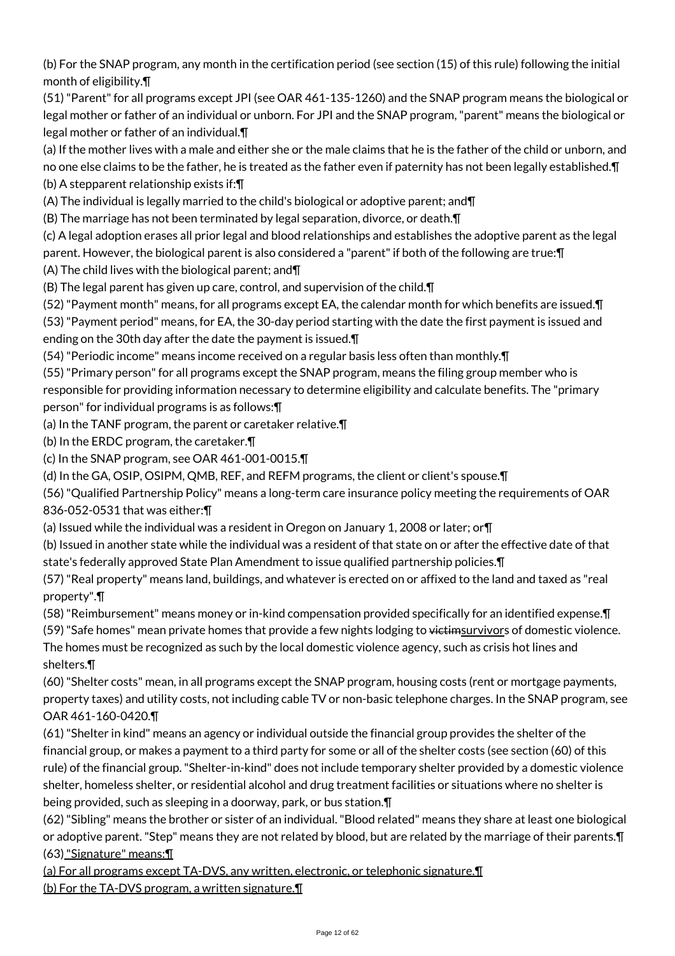(b) For the SNAP program, any month in the certification period (see section (15) of this rule) following the initial month of eligibility.¶

(51) "Parent" for all programs except JPI (see OAR 461-135-1260) and the SNAP program means the biological or legal mother or father of an individual or unborn. For JPI and the SNAP program, "parent" means the biological or legal mother or father of an individual.¶

(a) If the mother lives with a male and either she or the male claims that he is the father of the child or unborn, and no one else claims to be the father, he is treated as the father even if paternity has not been legally established.¶ (b) A stepparent relationship exists if:¶

(A) The individual is legally married to the child's biological or adoptive parent; and¶

(B) The marriage has not been terminated by legal separation, divorce, or death.¶

(c) A legal adoption erases all prior legal and blood relationships and establishes the adoptive parent as the legal parent. However, the biological parent is also considered a "parent" if both of the following are true:¶

(A) The child lives with the biological parent; and¶

(B) The legal parent has given up care, control, and supervision of the child.¶

(52) "Payment month" means, for all programs except EA, the calendar month for which benefits are issued.¶

(53) "Payment period" means, for EA, the 30-day period starting with the date the first payment is issued and ending on the 30th day after the date the payment is issued.¶

(54) "Periodic income" means income received on a regular basis less often than monthly.¶

(55) "Primary person" for all programs except the SNAP program, means the filing group member who is responsible for providing information necessary to determine eligibility and calculate benefits. The "primary person" for individual programs is as follows:¶

(a) In the TANF program, the parent or caretaker relative.¶

(b) In the ERDC program, the caretaker.¶

(c) In the SNAP program, see OAR 461-001-0015.¶

(d) In the GA, OSIP, OSIPM, QMB, REF, and REFM programs, the client or client's spouse.¶

(56) "Qualified Partnership Policy" means a long-term care insurance policy meeting the requirements of OAR 836-052-0531 that was either:¶

(a) Issued while the individual was a resident in Oregon on January 1, 2008 or later; or¶

(b) Issued in another state while the individual was a resident of that state on or after the effective date of that state's federally approved State Plan Amendment to issue qualified partnership policies.¶

(57) "Real property" means land, buildings, and whatever is erected on or affixed to the land and taxed as "real property".¶

(58) "Reimbursement" means money or in-kind compensation provided specifically for an identified expense.¶

(59) "Safe homes" mean private homes that provide a few nights lodging to victimsurvivors of domestic violence. The homes must be recognized as such by the local domestic violence agency, such as crisis hot lines and shelters.¶

(60) "Shelter costs" mean, in all programs except the SNAP program, housing costs (rent or mortgage payments, property taxes) and utility costs, not including cable TV or non-basic telephone charges. In the SNAP program, see OAR 461-160-0420.¶

(61) "Shelter in kind" means an agency or individual outside the financial group provides the shelter of the financial group, or makes a payment to a third party for some or all of the shelter costs (see section (60) of this rule) of the financial group. "Shelter-in-kind" does not include temporary shelter provided by a domestic violence shelter, homeless shelter, or residential alcohol and drug treatment facilities or situations where no shelter is being provided, such as sleeping in a doorway, park, or bus station.¶

(62) "Sibling" means the brother or sister of an individual. "Blood related" means they share at least one biological or adoptive parent. "Step" means they are not related by blood, but are related by the marriage of their parents.¶ (63) "Signature" means:¶

(a) For all programs except TA-DVS, any written, electronic, or telephonic signature.¶ (b) For the TA-DVS program, a written signature.¶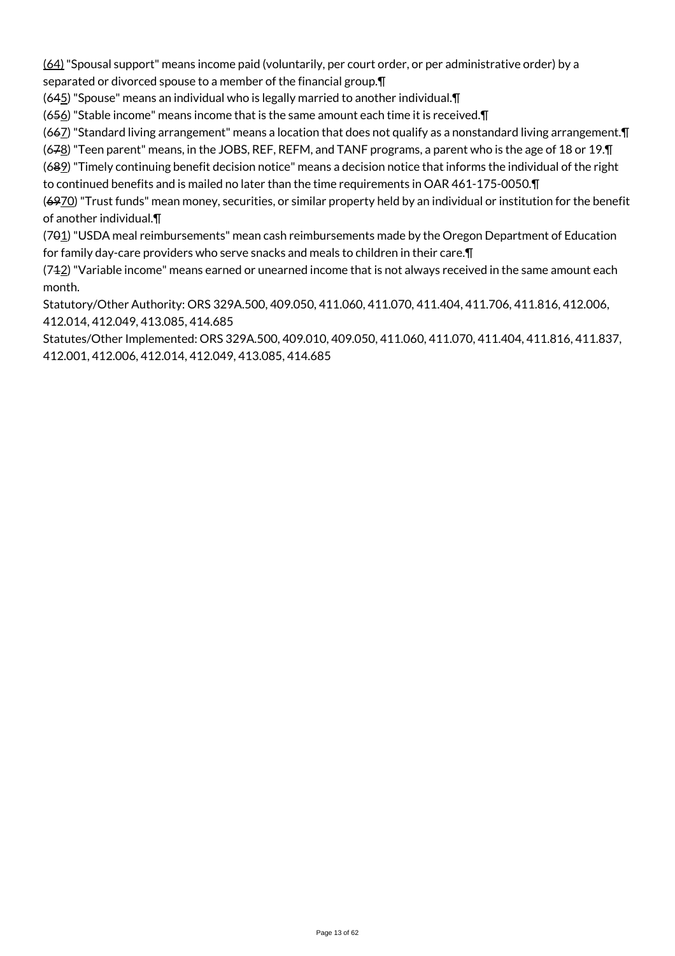(64) "Spousal support" means income paid (voluntarily, per court order, or per administrative order) by a separated or divorced spouse to a member of the financial group.¶

(645) "Spouse" means an individual who is legally married to another individual.¶

 $(656)$  "Stable income" means income that is the same amount each time it is received. $\P$ 

(667) "Standard living arrangement" means a location that does not qualify as a nonstandard living arrangement.¶

(678) "Teen parent" means, in the JOBS, REF, REFM, and TANF programs, a parent who is the age of 18 or 19.¶

(689) "Timely continuing benefit decision notice" means a decision notice that informs the individual of the right to continued benefits and is mailed no later than the time requirements in OAR 461-175-0050.¶

(6970) "Trust funds" mean money, securities, or similar property held by an individual or institution for the benefit of another individual.¶

(701) "USDA meal reimbursements" mean cash reimbursements made by the Oregon Department of Education for family day-care providers who serve snacks and meals to children in their care.¶

 $(742)$  "Variable income" means earned or unearned income that is not always received in the same amount each month.

Statutory/Other Authority: ORS 329A.500, 409.050, 411.060, 411.070, 411.404, 411.706, 411.816, 412.006, 412.014, 412.049, 413.085, 414.685

Statutes/Other Implemented: ORS 329A.500, 409.010, 409.050, 411.060, 411.070, 411.404, 411.816, 411.837, 412.001, 412.006, 412.014, 412.049, 413.085, 414.685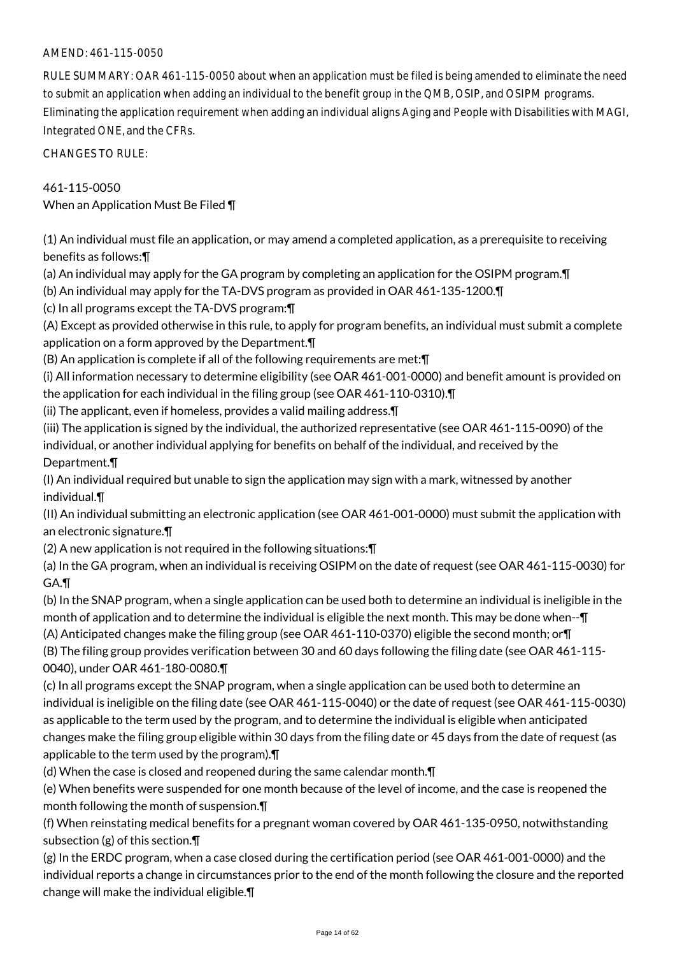# AMEND: 461-115-0050

RULE SUMMARY: OAR 461-115-0050 about when an application must be filed is being amended to eliminate the need to submit an application when adding an individual to the benefit group in the QMB, OSIP, and OSIPM programs. Eliminating the application requirement when adding an individual aligns Aging and People with Disabilities with MAGI, Integrated ONE, and the CFRs.

CHANGES TO RULE:

#### 461-115-0050

When an Application Must Be Filed ¶

(1) An individual must file an application, or may amend a completed application, as a prerequisite to receiving benefits as follows:¶

- (a) An individual may apply for the GA program by completing an application for the OSIPM program.¶
- (b) An individual may apply for the TA-DVS program as provided in OAR 461-135-1200.¶
- (c) In all programs except the TA-DVS program:¶

(A) Except as provided otherwise in this rule, to apply for program benefits, an individual must submit a complete application on a form approved by the Department.¶

(B) An application is complete if all of the following requirements are met:¶

(i) All information necessary to determine eligibility (see OAR 461-001-0000) and benefit amount is provided on the application for each individual in the filing group (see OAR 461-110-0310).¶

(ii) The applicant, even if homeless, provides a valid mailing address.¶

(iii) The application is signed by the individual, the authorized representative (see OAR 461-115-0090) of the individual, or another individual applying for benefits on behalf of the individual, and received by the Department.¶

(I) An individual required but unable to sign the application may sign with a mark, witnessed by another individual.¶

(II) An individual submitting an electronic application (see OAR 461-001-0000) must submit the application with an electronic signature.¶

(2) A new application is not required in the following situations:¶

(a) In the GA program, when an individual is receiving OSIPM on the date of request (see OAR 461-115-0030) for GA.¶

(b) In the SNAP program, when a single application can be used both to determine an individual is ineligible in the month of application and to determine the individual is eligible the next month. This may be done when--¶ (A) Anticipated changes make the filing group (see OAR 461-110-0370) eligible the second month; or¶

(B) The filing group provides verification between 30 and 60 days following the filing date (see OAR 461-115- 0040), under OAR 461-180-0080.¶

(c) In all programs except the SNAP program, when a single application can be used both to determine an individual is ineligible on the filing date (see OAR 461-115-0040) or the date of request (see OAR 461-115-0030) as applicable to the term used by the program, and to determine the individual is eligible when anticipated changes make the filing group eligible within 30 days from the filing date or 45 days from the date of request (as applicable to the term used by the program).¶

(d) When the case is closed and reopened during the same calendar month.¶

(e) When benefits were suspended for one month because of the level of income, and the case is reopened the month following the month of suspension.¶

(f) When reinstating medical benefits for a pregnant woman covered by OAR 461-135-0950, notwithstanding subsection (g) of this section.¶

(g) In the ERDC program, when a case closed during the certification period (see OAR 461-001-0000) and the individual reports a change in circumstances prior to the end of the month following the closure and the reported change will make the individual eligible.¶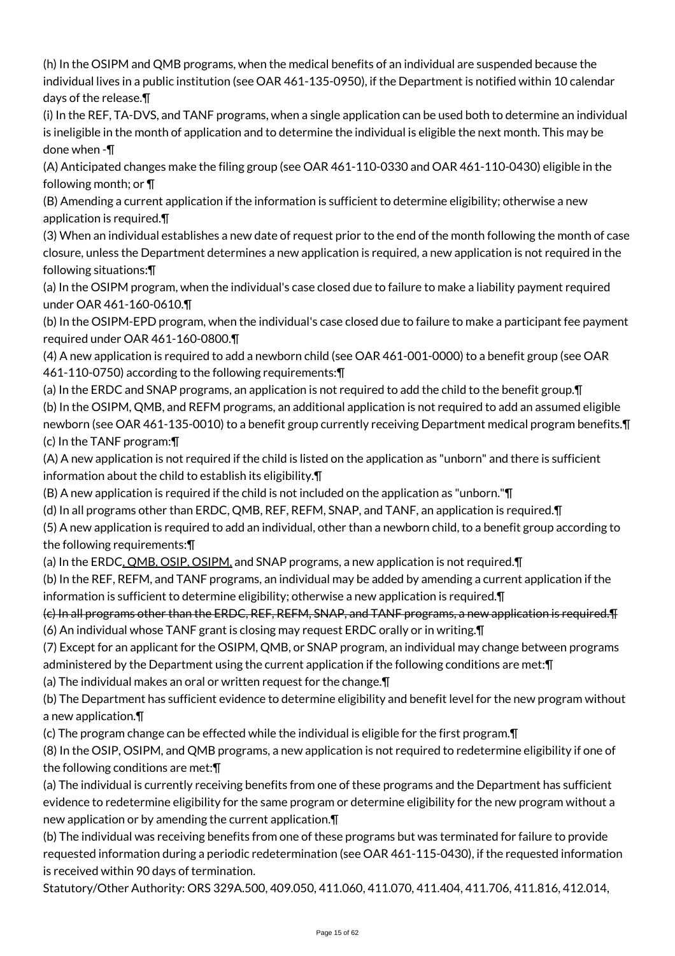(h) In the OSIPM and QMB programs, when the medical benefits of an individual are suspended because the individual lives in a public institution (see OAR 461-135-0950), if the Department is notified within 10 calendar days of the release.¶

(i) In the REF, TA-DVS, and TANF programs, when a single application can be used both to determine an individual is ineligible in the month of application and to determine the individual is eligible the next month. This may be done when -¶

(A) Anticipated changes make the filing group (see OAR 461-110-0330 and OAR 461-110-0430) eligible in the following month; or ¶

(B) Amending a current application if the information is sufficient to determine eligibility; otherwise a new application is required.¶

(3) When an individual establishes a new date of request prior to the end of the month following the month of case closure, unless the Department determines a new application is required, a new application is not required in the following situations:¶

(a) In the OSIPM program, when the individual's case closed due to failure to make a liability payment required under OAR 461-160-0610.¶

(b) In the OSIPM-EPD program, when the individual's case closed due to failure to make a participant fee payment required under OAR 461-160-0800.¶

(4) A new application is required to add a newborn child (see OAR 461-001-0000) to a benefit group (see OAR 461-110-0750) according to the following requirements:¶

(a) In the ERDC and SNAP programs, an application is not required to add the child to the benefit group.¶ (b) In the OSIPM, QMB, and REFM programs, an additional application is not required to add an assumed eligible newborn (see OAR 461-135-0010) to a benefit group currently receiving Department medical program benefits.¶ (c) In the TANF program:¶

(A) A new application is not required if the child is listed on the application as "unborn" and there is sufficient information about the child to establish its eligibility.¶

(B) A new application is required if the child is not included on the application as "unborn."¶

(d) In all programs other than ERDC, QMB, REF, REFM, SNAP, and TANF, an application is required.¶

(5) A new application is required to add an individual, other than a newborn child, to a benefit group according to the following requirements:¶

(a) In the ERDC, QMB, OSIP, OSIPM, and SNAP programs, a new application is not required.¶

(b) In the REF, REFM, and TANF programs, an individual may be added by amending a current application if the information is sufficient to determine eligibility; otherwise a new application is required.¶

(c) In all programs other than the ERDC, REF, REFM, SNAP, and TANF programs, a new application is required.¶ (6) An individual whose TANF grant is closing may request ERDC orally or in writing.¶

(7) Except for an applicant for the OSIPM, QMB, or SNAP program, an individual may change between programs administered by the Department using the current application if the following conditions are met:¶

(a) The individual makes an oral or written request for the change.¶

(b) The Department has sufficient evidence to determine eligibility and benefit level for the new program without a new application.¶

(c) The program change can be effected while the individual is eligible for the first program.¶

(8) In the OSIP, OSIPM, and QMB programs, a new application is not required to redetermine eligibility if one of the following conditions are met:¶

(a) The individual is currently receiving benefits from one of these programs and the Department has sufficient evidence to redetermine eligibility for the same program or determine eligibility for the new program without a new application or by amending the current application.¶

(b) The individual was receiving benefits from one of these programs but was terminated for failure to provide requested information during a periodic redetermination (see OAR 461-115-0430), if the requested information is received within 90 days of termination.

Statutory/Other Authority: ORS 329A.500, 409.050, 411.060, 411.070, 411.404, 411.706, 411.816, 412.014,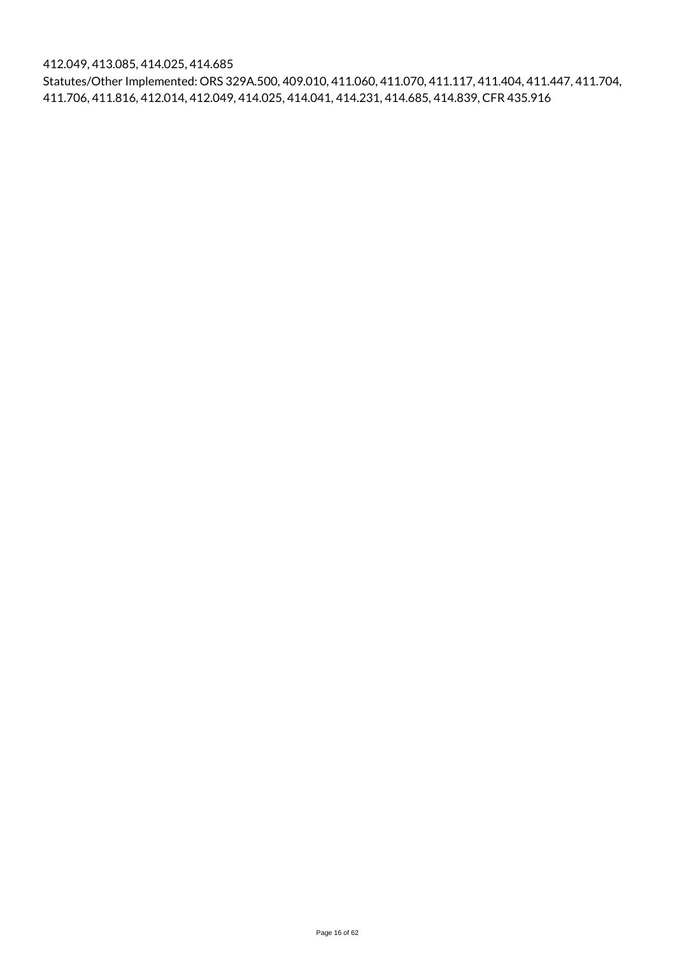412.049, 413.085, 414.025, 414.685

Statutes/Other Implemented: ORS 329A.500, 409.010, 411.060, 411.070, 411.117, 411.404, 411.447, 411.704, 411.706, 411.816, 412.014, 412.049, 414.025, 414.041, 414.231, 414.685, 414.839, CFR 435.916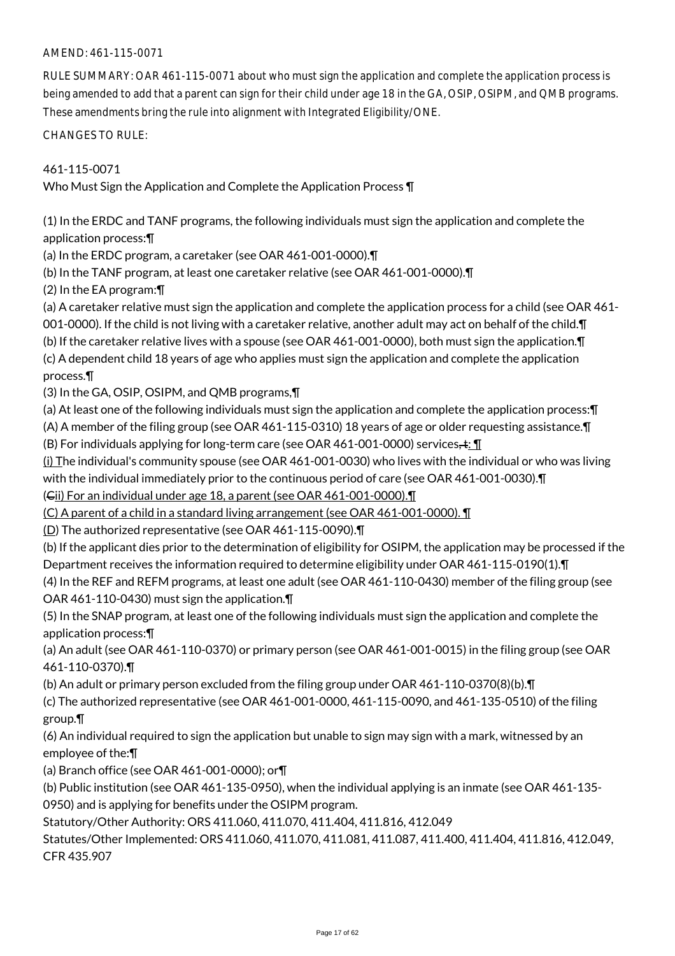#### AMEND: 461-115-0071

RULE SUMMARY: OAR 461-115-0071 about who must sign the application and complete the application process is being amended to add that a parent can sign for their child under age 18 in the GA, OSIP, OSIPM, and QMB programs. These amendments bring the rule into alignment with Integrated Eligibility/ONE.

CHANGES TO RULE:

461-115-0071 Who Must Sign the Application and Complete the Application Process ¶

(1) In the ERDC and TANF programs, the following individuals must sign the application and complete the application process:¶

(a) In the ERDC program, a caretaker (see OAR 461-001-0000).¶

(b) In the TANF program, at least one caretaker relative (see OAR 461-001-0000).¶

(2) In the EA program:¶

(a) A caretaker relative must sign the application and complete the application process for a child (see OAR 461-

001-0000). If the child is not living with a caretaker relative, another adult may act on behalf of the child.¶

(b) If the caretaker relative lives with a spouse (see OAR 461-001-0000), both must sign the application.¶

(c) A dependent child 18 years of age who applies must sign the application and complete the application process.¶

(3) In the GA, OSIP, OSIPM, and QMB programs,¶

(a) At least one of the following individuals must sign the application and complete the application process:¶ (A) A member of the filing group (see OAR 461-115-0310) 18 years of age or older requesting assistance.¶ (B) For individuals applying for long-term care (see OAR 461-001-0000) services,  $\pm : \mathbf{\Pi}$ 

 $(i)$  The individual's community spouse (see OAR 461-001-0030) who lives with the individual or who was living with the individual immediately prior to the continuous period of care (see OAR 461-001-0030).¶

(Cii) For an individual under age 18, a parent (see OAR 461-001-0000).¶

(C) A parent of a child in a standard living arrangement (see OAR 461-001-0000). ¶

(D) The authorized representative (see OAR 461-115-0090).¶

(b) If the applicant dies prior to the determination of eligibility for OSIPM, the application may be processed if the Department receives the information required to determine eligibility under OAR 461-115-0190(1).¶

(4) In the REF and REFM programs, at least one adult (see OAR 461-110-0430) member of the filing group (see OAR 461-110-0430) must sign the application.¶

(5) In the SNAP program, at least one of the following individuals must sign the application and complete the application process:¶

(a) An adult (see OAR 461-110-0370) or primary person (see OAR 461-001-0015) in the filing group (see OAR 461-110-0370).¶

(b) An adult or primary person excluded from the filing group under OAR 461-110-0370(8)(b).¶

(c) The authorized representative (see OAR 461-001-0000, 461-115-0090, and 461-135-0510) of the filing group.¶

(6) An individual required to sign the application but unable to sign may sign with a mark, witnessed by an employee of the:¶

(a) Branch office (see OAR 461-001-0000); or¶

(b) Public institution (see OAR 461-135-0950), when the individual applying is an inmate (see OAR 461-135- 0950) and is applying for benefits under the OSIPM program.

Statutory/Other Authority: ORS 411.060, 411.070, 411.404, 411.816, 412.049

Statutes/Other Implemented: ORS 411.060, 411.070, 411.081, 411.087, 411.400, 411.404, 411.816, 412.049, CFR 435.907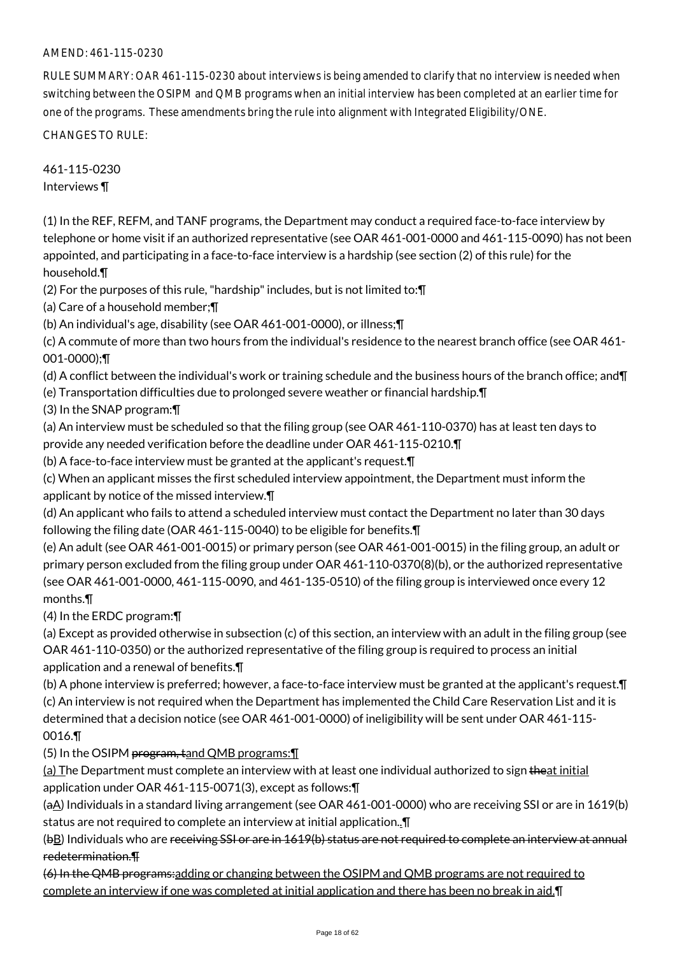# AMEND: 461-115-0230

RULE SUMMARY: OAR 461-115-0230 about interviews is being amended to clarify that no interview is needed when switching between the OSIPM and QMB programs when an initial interview has been completed at an earlier time for one of the programs. These amendments bring the rule into alignment with Integrated Eligibility/ONE.

CHANGES TO RULE:

461-115-0230 Interviews ¶

(1) In the REF, REFM, and TANF programs, the Department may conduct a required face-to-face interview by telephone or home visit if an authorized representative (see OAR 461-001-0000 and 461-115-0090) has not been appointed, and participating in a face-to-face interview is a hardship (see section (2) of this rule) for the household.¶

(2) For the purposes of this rule, "hardship" includes, but is not limited to:¶

(a) Care of a household member;¶

(b) An individual's age, disability (see OAR 461-001-0000), or illness;¶

(c) A commute of more than two hours from the individual's residence to the nearest branch office (see OAR 461- 001-0000);¶

(d) A conflict between the individual's work or training schedule and the business hours of the branch office; and¶

(e) Transportation difficulties due to prolonged severe weather or financial hardship.¶

(3) In the SNAP program:¶

(a) An interview must be scheduled so that the filing group (see OAR 461-110-0370) has at least ten days to provide any needed verification before the deadline under OAR 461-115-0210.¶

(b) A face-to-face interview must be granted at the applicant's request.¶

(c) When an applicant misses the first scheduled interview appointment, the Department must inform the applicant by notice of the missed interview.¶

(d) An applicant who fails to attend a scheduled interview must contact the Department no later than 30 days following the filing date (OAR 461-115-0040) to be eligible for benefits.¶

(e) An adult (see OAR 461-001-0015) or primary person (see OAR 461-001-0015) in the filing group, an adult or primary person excluded from the filing group under OAR 461-110-0370(8)(b), or the authorized representative (see OAR 461-001-0000, 461-115-0090, and 461-135-0510) of the filing group is interviewed once every 12 months.¶

(4) In the ERDC program:¶

(a) Except as provided otherwise in subsection (c) of this section, an interview with an adult in the filing group (see OAR 461-110-0350) or the authorized representative of the filing group is required to process an initial application and a renewal of benefits.¶

(b) A phone interview is preferred; however, a face-to-face interview must be granted at the applicant's request.¶ (c) An interview is not required when the Department has implemented the Child Care Reservation List and it is determined that a decision notice (see OAR 461-001-0000) of ineligibility will be sent under OAR 461-115- 0016.¶

(5) In the OSIPM program, tand QMB programs:¶

(a) The Department must complete an interview with at least one individual authorized to sign theat initial application under OAR 461-115-0071(3), except as follows:¶

(aA) Individuals in a standard living arrangement (see OAR 461-001-0000) who are receiving SSI or are in 1619(b) status are not required to complete an interview at initial application..¶

(bB) Individuals who are receiving SSI or are in 1619(b) status are not required to complete an interview at annual redetermination.¶

(6) In the QMB programs:adding or changing between the OSIPM and QMB programs are not required to complete an interview if one was completed at initial application and there has been no break in aid.¶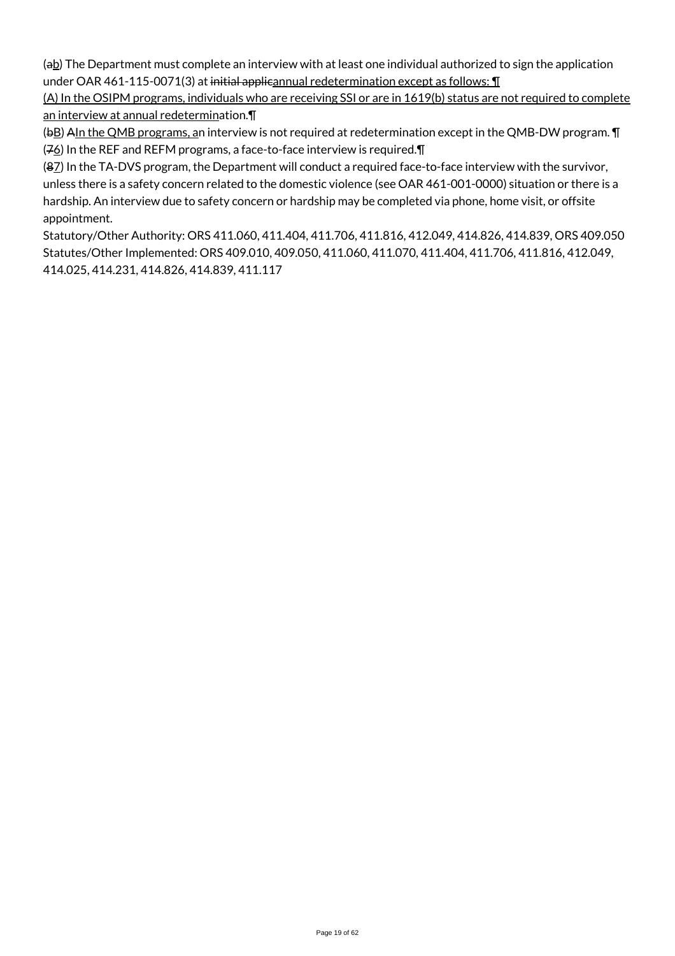(ab) The Department must complete an interview with at least one individual authorized to sign the application under OAR 461-115-0071(3) at initial applicannual redetermination except as follows:  $\P$ 

(A) In the OSIPM programs, individuals who are receiving SSI or are in 1619(b) status are not required to complete an interview at annual redetermination.¶

(bB) AIn the QMB programs, an interview is not required at redetermination except in the QMB-DW program. **T**  $(76)$  In the REF and REFM programs, a face-to-face interview is required.  $\P$ 

(87) In the TA-DVS program, the Department will conduct a required face-to-face interview with the survivor, unless there is a safety concern related to the domestic violence (see OAR 461-001-0000) situation or there is a hardship. An interview due to safety concern or hardship may be completed via phone, home visit, or offsite appointment.

Statutory/Other Authority: ORS 411.060, 411.404, 411.706, 411.816, 412.049, 414.826, 414.839, ORS 409.050 Statutes/Other Implemented: ORS 409.010, 409.050, 411.060, 411.070, 411.404, 411.706, 411.816, 412.049, 414.025, 414.231, 414.826, 414.839, 411.117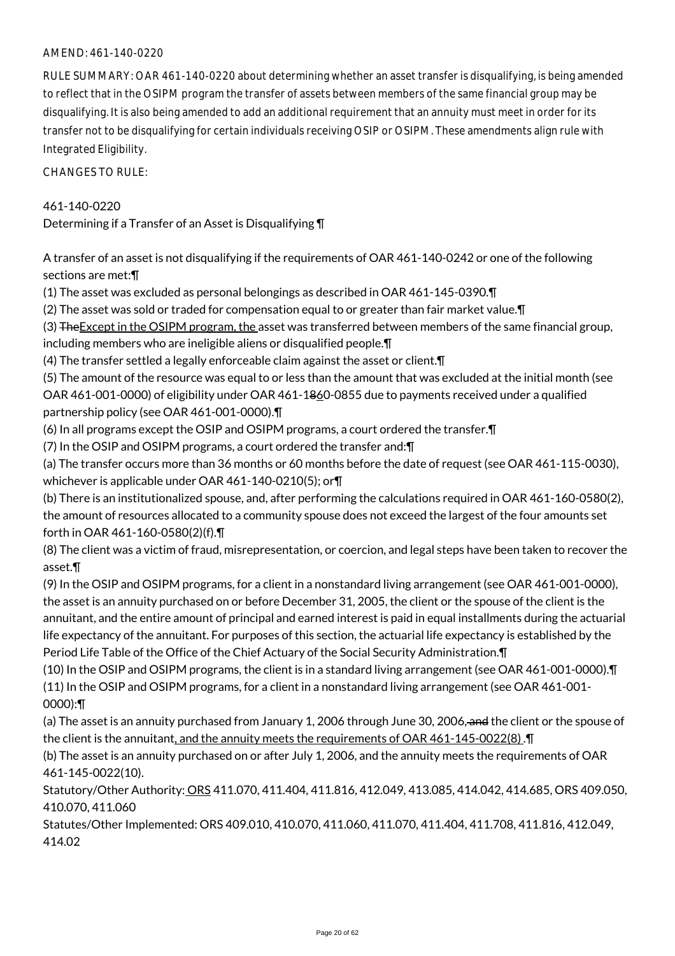## AMEND: 461-140-0220

RULE SUMMARY: OAR 461-140-0220 about determining whether an asset transfer is disqualifying, is being amended to reflect that in the OSIPM program the transfer of assets between members of the same financial group may be disqualifying. It is also being amended to add an additional requirement that an annuity must meet in order for its transfer not to be disqualifying for certain individuals receiving OSIP or OSIPM. These amendments align rule with Integrated Eligibility.

CHANGES TO RULE:

## 461-140-0220

Determining if a Transfer of an Asset is Disqualifying ¶

A transfer of an asset is not disqualifying if the requirements of OAR 461-140-0242 or one of the following sections are met:¶

(1) The asset was excluded as personal belongings as described in OAR 461-145-0390.¶

(2) The asset was sold or traded for compensation equal to or greater than fair market value.¶

(3) The Except in the OSIPM program, the asset was transferred between members of the same financial group, including members who are ineligible aliens or disqualified people.¶

(4) The transfer settled a legally enforceable claim against the asset or client.¶

(5) The amount of the resource was equal to or less than the amount that was excluded at the initial month (see OAR 461-001-0000) of eligibility under OAR 461-1860-0855 due to payments received under a qualified partnership policy (see OAR 461-001-0000).¶

(6) In all programs except the OSIP and OSIPM programs, a court ordered the transfer.¶

(7) In the OSIP and OSIPM programs, a court ordered the transfer and:¶

(a) The transfer occurs more than 36 months or 60 months before the date of request (see OAR 461-115-0030), whichever is applicable under OAR 461-140-0210(5); or¶

(b) There is an institutionalized spouse, and, after performing the calculations required in OAR 461-160-0580(2), the amount of resources allocated to a community spouse does not exceed the largest of the four amounts set forth in OAR 461-160-0580(2)(f).¶

(8) The client was a victim of fraud, misrepresentation, or coercion, and legal steps have been taken to recover the asset.¶

(9) In the OSIP and OSIPM programs, for a client in a nonstandard living arrangement (see OAR 461-001-0000), the asset is an annuity purchased on or before December 31, 2005, the client or the spouse of the client is the annuitant, and the entire amount of principal and earned interest is paid in equal installments during the actuarial life expectancy of the annuitant. For purposes of this section, the actuarial life expectancy is established by the Period Life Table of the Office of the Chief Actuary of the Social Security Administration.¶

(10) In the OSIP and OSIPM programs, the client is in a standard living arrangement (see OAR 461-001-0000).¶ (11) In the OSIP and OSIPM programs, for a client in a nonstandard living arrangement (see OAR 461-001- 0000):¶

(a) The asset is an annuity purchased from January 1, 2006 through June 30, 2006, and the client or the spouse of the client is the annuitant, and the annuity meets the requirements of OAR 461-145-0022(8). T

(b) The asset is an annuity purchased on or after July 1, 2006, and the annuity meets the requirements of OAR 461-145-0022(10).

Statutory/Other Authority: ORS 411.070, 411.404, 411.816, 412.049, 413.085, 414.042, 414.685, ORS 409.050, 410.070, 411.060

Statutes/Other Implemented: ORS 409.010, 410.070, 411.060, 411.070, 411.404, 411.708, 411.816, 412.049, 414.02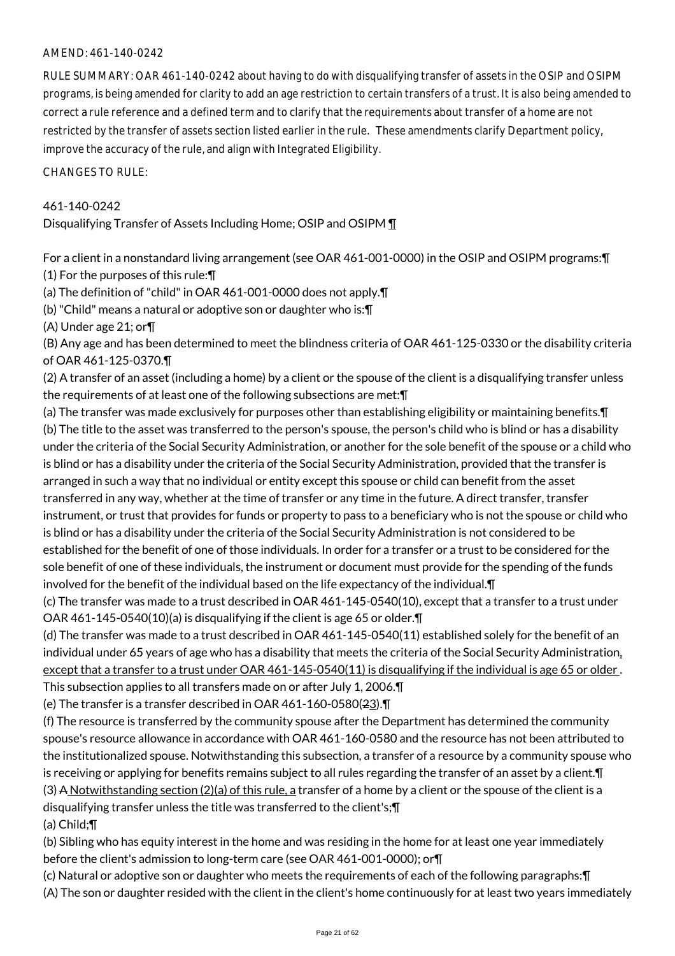# AMEND: 461-140-0242

RULE SUMMARY: OAR 461-140-0242 about having to do with disqualifying transfer of assets in the OSIP and OSIPM programs, is being amended for clarity to add an age restriction to certain transfers of a trust. It is also being amended to correct a rule reference and a defined term and to clarify that the requirements about transfer of a home are not restricted by the transfer of assets section listed earlier in the rule. These amendments clarify Department policy, improve the accuracy of the rule, and align with Integrated Eligibility.

CHANGES TO RULE:

# 461-140-0242

Disqualifying Transfer of Assets Including Home; OSIP and OSIPM ¶

For a client in a nonstandard living arrangement (see OAR 461-001-0000) in the OSIP and OSIPM programs:¶ (1) For the purposes of this rule:¶

(a) The definition of "child" in OAR 461-001-0000 does not apply.¶

(b) "Child" means a natural or adoptive son or daughter who is:¶

(A) Under age 21; or¶

(B) Any age and has been determined to meet the blindness criteria of OAR 461-125-0330 or the disability criteria of OAR 461-125-0370.¶

(2) A transfer of an asset (including a home) by a client or the spouse of the client is a disqualifying transfer unless the requirements of at least one of the following subsections are met:¶

(a) The transfer was made exclusively for purposes other than establishing eligibility or maintaining benefits.¶ (b) The title to the asset was transferred to the person's spouse, the person's child who is blind or has a disability under the criteria of the Social Security Administration, or another for the sole benefit of the spouse or a child who is blind or has a disability under the criteria of the Social Security Administration, provided that the transfer is arranged in such a way that no individual or entity except this spouse or child can benefit from the asset transferred in any way, whether at the time of transfer or any time in the future. A direct transfer, transfer instrument, or trust that provides for funds or property to pass to a beneficiary who is not the spouse or child who is blind or has a disability under the criteria of the Social Security Administration is not considered to be established for the benefit of one of those individuals. In order for a transfer or a trust to be considered for the sole benefit of one of these individuals, the instrument or document must provide for the spending of the funds involved for the benefit of the individual based on the life expectancy of the individual.¶

(c) The transfer was made to a trust described in OAR 461-145-0540(10), except that a transfer to a trust under OAR 461-145-0540(10)(a) is disqualifying if the client is age 65 or older.¶

(d) The transfer was made to a trust described in OAR 461-145-0540(11) established solely for the benefit of an individual under 65 years of age who has a disability that meets the criteria of the Social Security Administration, except that a transfer to a trust under OAR 461-145-0540(11) is disqualifying if the individual is age 65 or older. This subsection applies to all transfers made on or after July 1, 2006.¶

(e) The transfer is a transfer described in OAR 461-160-0580(23).¶

(f) The resource is transferred by the community spouse after the Department has determined the community spouse's resource allowance in accordance with OAR 461-160-0580 and the resource has not been attributed to the institutionalized spouse. Notwithstanding this subsection, a transfer of a resource by a community spouse who is receiving or applying for benefits remains subject to all rules regarding the transfer of an asset by a client.¶ (3) A Notwithstanding section  $(2)(a)$  of this rule, a transfer of a home by a client or the spouse of the client is a disqualifying transfer unless the title was transferred to the client's;¶

(a) Child;¶

(b) Sibling who has equity interest in the home and was residing in the home for at least one year immediately before the client's admission to long-term care (see OAR 461-001-0000); or¶

(c) Natural or adoptive son or daughter who meets the requirements of each of the following paragraphs:¶

(A) The son or daughter resided with the client in the client's home continuously for at least two years immediately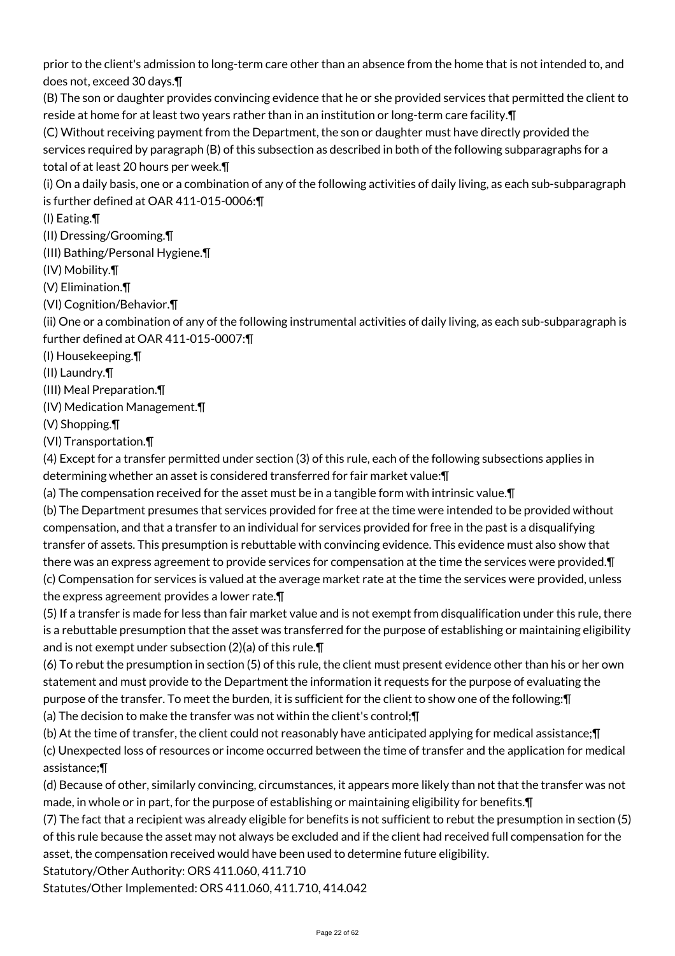prior to the client's admission to long-term care other than an absence from the home that is not intended to, and does not, exceed 30 days.¶

(B) The son or daughter provides convincing evidence that he or she provided services that permitted the client to reside at home for at least two years rather than in an institution or long-term care facility.¶

(C) Without receiving payment from the Department, the son or daughter must have directly provided the services required by paragraph (B) of this subsection as described in both of the following subparagraphs for a total of at least 20 hours per week.¶

(i) On a daily basis, one or a combination of any of the following activities of daily living, as each sub-subparagraph is further defined at OAR 411-015-0006:¶

(I) Eating.¶

(II) Dressing/Grooming.¶

(III) Bathing/Personal Hygiene.¶

(IV) Mobility.¶

(V) Elimination.¶

(VI) Cognition/Behavior.¶

(ii) One or a combination of any of the following instrumental activities of daily living, as each sub-subparagraph is further defined at OAR 411-015-0007:¶

(I) Housekeeping.¶

(II) Laundry.¶

(III) Meal Preparation.¶

(IV) Medication Management.¶

(V) Shopping.¶

(VI) Transportation.¶

(4) Except for a transfer permitted under section (3) of this rule, each of the following subsections applies in determining whether an asset is considered transferred for fair market value:¶

(a) The compensation received for the asset must be in a tangible form with intrinsic value.¶

(b) The Department presumes that services provided for free at the time were intended to be provided without compensation, and that a transfer to an individual for services provided for free in the past is a disqualifying transfer of assets. This presumption is rebuttable with convincing evidence. This evidence must also show that there was an express agreement to provide services for compensation at the time the services were provided.¶ (c) Compensation for services is valued at the average market rate at the time the services were provided, unless the express agreement provides a lower rate.¶

(5) If a transfer is made for less than fair market value and is not exempt from disqualification under this rule, there is a rebuttable presumption that the asset was transferred for the purpose of establishing or maintaining eligibility and is not exempt under subsection (2)(a) of this rule.¶

(6) To rebut the presumption in section (5) of this rule, the client must present evidence other than his or her own statement and must provide to the Department the information it requests for the purpose of evaluating the purpose of the transfer. To meet the burden, it is sufficient for the client to show one of the following:¶ (a) The decision to make the transfer was not within the client's control;¶

(b) At the time of transfer, the client could not reasonably have anticipated applying for medical assistance;¶

(c) Unexpected loss of resources or income occurred between the time of transfer and the application for medical assistance;¶

(d) Because of other, similarly convincing, circumstances, it appears more likely than not that the transfer was not made, in whole or in part, for the purpose of establishing or maintaining eligibility for benefits.¶

(7) The fact that a recipient was already eligible for benefits is not sufficient to rebut the presumption in section (5) of this rule because the asset may not always be excluded and if the client had received full compensation for the asset, the compensation received would have been used to determine future eligibility.

Statutory/Other Authority: ORS 411.060, 411.710

Statutes/Other Implemented: ORS 411.060, 411.710, 414.042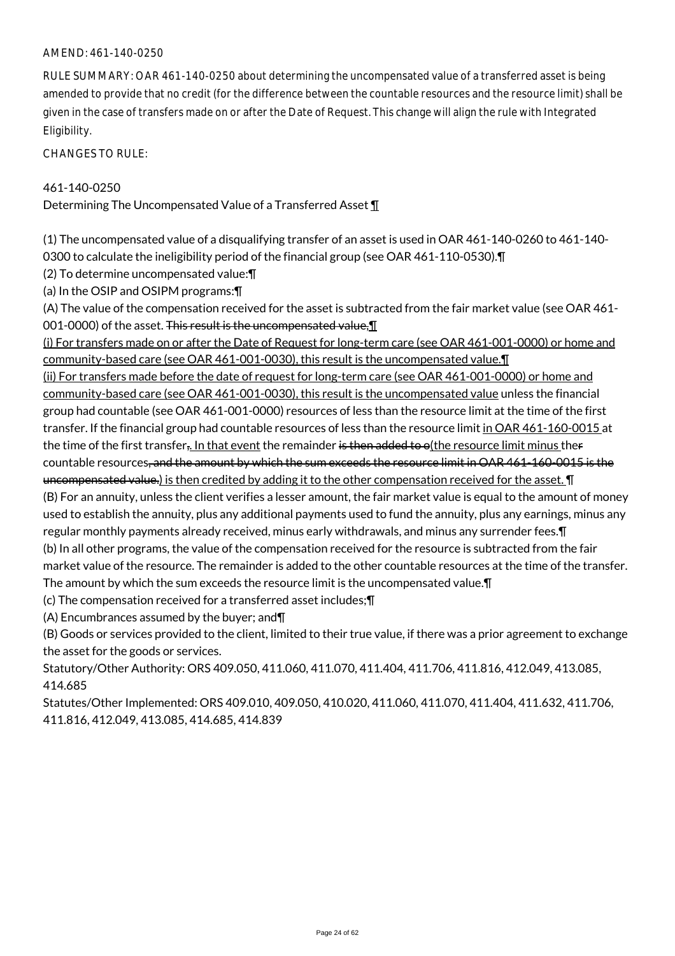#### AMEND: 461-140-0250

RULE SUMMARY: OAR 461-140-0250 about determining the uncompensated value of a transferred asset is being amended to provide that no credit (for the difference between the countable resources and the resource limit) shall be given in the case of transfers made on or after the Date of Request. This change will align the rule with Integrated Eligibility.

CHANGES TO RULE:

#### 461-140-0250

Determining The Uncompensated Value of a Transferred Asset ¶

(1) The uncompensated value of a disqualifying transfer of an asset is used in OAR 461-140-0260 to 461-140- 0300 to calculate the ineligibility period of the financial group (see OAR 461-110-0530).¶

(2) To determine uncompensated value:¶

(a) In the OSIP and OSIPM programs:¶

(A) The value of the compensation received for the asset is subtracted from the fair market value (see OAR 461- 001-0000) of the asset. This result is the uncompensated value, 1

(i) For transfers made on or after the Date of Request for long-term care (see OAR 461-001-0000) or home and community-based care (see OAR 461-001-0030), this result is the uncompensated value.¶

(ii) For transfers made before the date of request for long-term care (see OAR 461-001-0000) or home and community-based care (see OAR 461-001-0030), this result is the uncompensated value unless the financial group had countable (see OAR 461-001-0000) resources of less than the resource limit at the time of the first transfer. If the financial group had countable resources of less than the resource limit in OAR 461-160-0015 at the time of the first transfer. In that event the remainder is then added to o(the resource limit minus ther countable resources, and the amount by which the sum exceeds the resource limit in OAR 461-160-0015 is the uncompensated value.) is then credited by adding it to the other compensation received for the asset. ¶ (B) For an annuity, unless the client verifies a lesser amount, the fair market value is equal to the amount of money used to establish the annuity, plus any additional payments used to fund the annuity, plus any earnings, minus any regular monthly payments already received, minus early withdrawals, and minus any surrender fees.¶ (b) In all other programs, the value of the compensation received for the resource is subtracted from the fair market value of the resource. The remainder is added to the other countable resources at the time of the transfer. The amount by which the sum exceeds the resource limit is the uncompensated value.¶

(c) The compensation received for a transferred asset includes;¶

(A) Encumbrances assumed by the buyer; and¶

(B) Goods or services provided to the client, limited to their true value, if there was a prior agreement to exchange the asset for the goods or services.

Statutory/Other Authority: ORS 409.050, 411.060, 411.070, 411.404, 411.706, 411.816, 412.049, 413.085, 414.685

Statutes/Other Implemented: ORS 409.010, 409.050, 410.020, 411.060, 411.070, 411.404, 411.632, 411.706, 411.816, 412.049, 413.085, 414.685, 414.839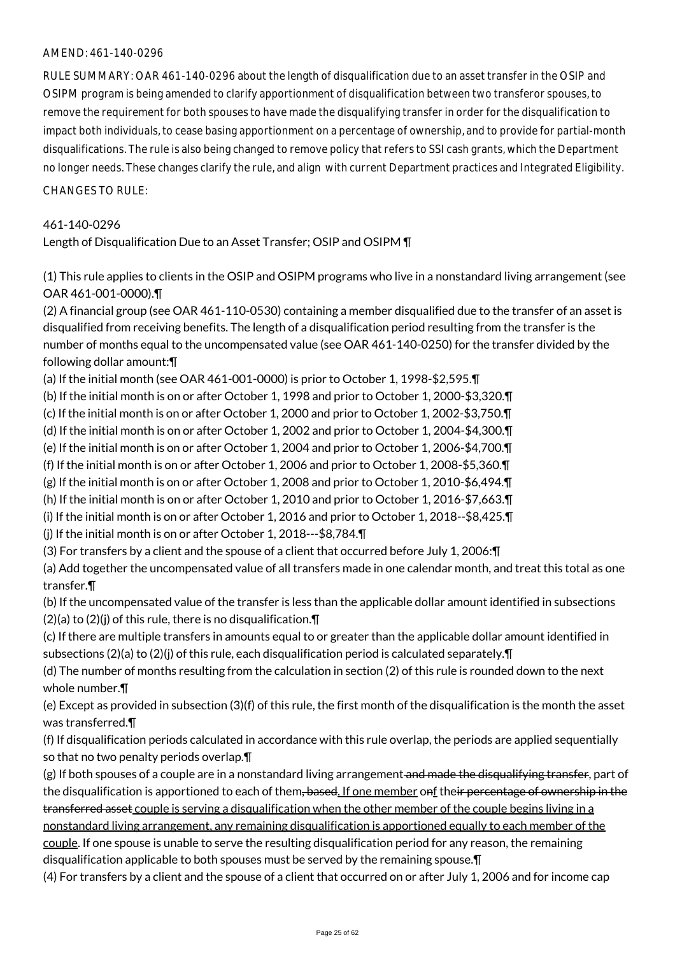#### AMEND: 461-140-0296

RULE SUMMARY: OAR 461-140-0296 about the length of disqualification due to an asset transfer in the OSIP and OSIPM program is being amended to clarify apportionment of disqualification between two transferor spouses, to remove the requirement for both spouses to have made the disqualifying transfer in order for the disqualification to impact both individuals, to cease basing apportionment on a percentage of ownership, and to provide for partial-month disqualifications. The rule is also being changed to remove policy that refers to SSI cash grants, which the Department no longer needs. These changes clarify the rule, and align with current Department practices and Integrated Eligibility.

CHANGES TO RULE:

#### 461-140-0296

Length of Disqualification Due to an Asset Transfer; OSIP and OSIPM ¶

(1) This rule applies to clients in the OSIP and OSIPM programs who live in a nonstandard living arrangement (see OAR 461-001-0000).¶

(2) A financial group (see OAR 461-110-0530) containing a member disqualified due to the transfer of an asset is disqualified from receiving benefits. The length of a disqualification period resulting from the transfer is the number of months equal to the uncompensated value (see OAR 461-140-0250) for the transfer divided by the following dollar amount:¶

(a) If the initial month (see OAR 461-001-0000) is prior to October 1, 1998-\$2,595.¶

(b) If the initial month is on or after October 1, 1998 and prior to October 1, 2000-\$3,320.¶

(c) If the initial month is on or after October 1, 2000 and prior to October 1, 2002-\$3,750.¶

(d) If the initial month is on or after October 1, 2002 and prior to October 1, 2004-\$4,300.¶

(e) If the initial month is on or after October 1, 2004 and prior to October 1, 2006-\$4,700.¶

(f) If the initial month is on or after October 1, 2006 and prior to October 1, 2008-\$5,360.¶

(g) If the initial month is on or after October 1, 2008 and prior to October 1, 2010-\$6,494.¶

(h) If the initial month is on or after October 1, 2010 and prior to October 1, 2016-\$7,663.¶

(i) If the initial month is on or after October 1, 2016 and prior to October 1, 2018--\$8,425.¶

(j) If the initial month is on or after October 1, 2018---\$8,784.¶

(3) For transfers by a client and the spouse of a client that occurred before July 1, 2006:¶

(a) Add together the uncompensated value of all transfers made in one calendar month, and treat this total as one transfer.¶

(b) If the uncompensated value of the transfer is less than the applicable dollar amount identified in subsections  $(2)(a)$  to  $(2)(j)$  of this rule, there is no disqualification. $\P$ 

(c) If there are multiple transfers in amounts equal to or greater than the applicable dollar amount identified in subsections  $(2)(a)$  to  $(2)(j)$  of this rule, each disqualification period is calculated separately. $\P$ 

(d) The number of months resulting from the calculation in section (2) of this rule is rounded down to the next whole number.¶

(e) Except as provided in subsection (3)(f) of this rule, the first month of the disqualification is the month the asset was transferred.¶

(f) If disqualification periods calculated in accordance with this rule overlap, the periods are applied sequentially so that no two penalty periods overlap.¶

(g) If both spouses of a couple are in a nonstandard living arrangement and made the disqualifying transfer, part of the disqualification is apportioned to each of them, based. If one member onf their percentage of ownership in the transferred asset couple is serving a disqualification when the other member of the couple begins living in a nonstandard living arrangement, any remaining disqualification is apportioned equally to each member of the couple. If one spouse is unable to serve the resulting disqualification period for any reason, the remaining disqualification applicable to both spouses must be served by the remaining spouse.¶

(4) For transfers by a client and the spouse of a client that occurred on or after July 1, 2006 and for income cap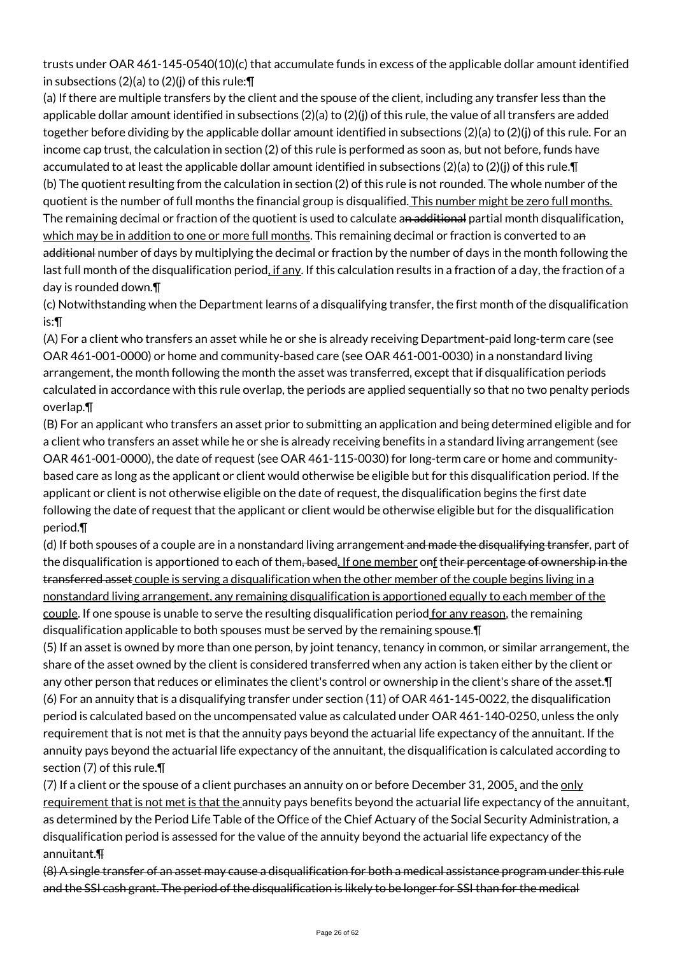trusts under OAR 461-145-0540(10)(c) that accumulate funds in excess of the applicable dollar amount identified in subsections (2)(a) to (2)(j) of this rule:¶

(a) If there are multiple transfers by the client and the spouse of the client, including any transfer less than the applicable dollar amount identified in subsections (2)(a) to (2)(j) of this rule, the value of all transfers are added together before dividing by the applicable dollar amount identified in subsections (2)(a) to (2)(j) of this rule. For an income cap trust, the calculation in section (2) of this rule is performed as soon as, but not before, funds have accumulated to at least the applicable dollar amount identified in subsections (2)(a) to (2)(j) of this rule.¶ (b) The quotient resulting from the calculation in section (2) of this rule is not rounded. The whole number of the quotient is the number of full months the financial group is disqualified. This number might be zero full months. The remaining decimal or fraction of the quotient is used to calculate an additional partial month disqualification, which may be in addition to one or more full months. This remaining decimal or fraction is converted to an additional number of days by multiplying the decimal or fraction by the number of days in the month following the last full month of the disqualification period, if any. If this calculation results in a fraction of a day, the fraction of a day is rounded down.¶

(c) Notwithstanding when the Department learns of a disqualifying transfer, the first month of the disqualification is:¶

(A) For a client who transfers an asset while he or she is already receiving Department-paid long-term care (see OAR 461-001-0000) or home and community-based care (see OAR 461-001-0030) in a nonstandard living arrangement, the month following the month the asset was transferred, except that if disqualification periods calculated in accordance with this rule overlap, the periods are applied sequentially so that no two penalty periods overlap.¶

(B) For an applicant who transfers an asset prior to submitting an application and being determined eligible and for a client who transfers an asset while he or she is already receiving benefits in a standard living arrangement (see OAR 461-001-0000), the date of request (see OAR 461-115-0030) for long-term care or home and communitybased care as long as the applicant or client would otherwise be eligible but for this disqualification period. If the applicant or client is not otherwise eligible on the date of request, the disqualification begins the first date following the date of request that the applicant or client would be otherwise eligible but for the disqualification period.¶

(d) If both spouses of a couple are in a nonstandard living arrangement and made the disqualifying transfer, part of the disqualification is apportioned to each of them, based. If one member onf their percentage of ownership in the transferred asset couple is serving a disqualification when the other member of the couple begins living in a nonstandard living arrangement, any remaining disqualification is apportioned equally to each member of the couple. If one spouse is unable to serve the resulting disqualification period for any reason, the remaining disqualification applicable to both spouses must be served by the remaining spouse.¶

(5) If an asset is owned by more than one person, by joint tenancy, tenancy in common, or similar arrangement, the share of the asset owned by the client is considered transferred when any action is taken either by the client or any other person that reduces or eliminates the client's control or ownership in the client's share of the asset.¶ (6) For an annuity that is a disqualifying transfer under section (11) of OAR 461-145-0022, the disqualification period is calculated based on the uncompensated value as calculated under OAR 461-140-0250, unless the only requirement that is not met is that the annuity pays beyond the actuarial life expectancy of the annuitant. If the annuity pays beyond the actuarial life expectancy of the annuitant, the disqualification is calculated according to section (7) of this rule.¶

(7) If a client or the spouse of a client purchases an annuity on or before December 31, 2005, and the only requirement that is not met is that the annuity pays benefits beyond the actuarial life expectancy of the annuitant, as determined by the Period Life Table of the Office of the Chief Actuary of the Social Security Administration, a disqualification period is assessed for the value of the annuity beyond the actuarial life expectancy of the annuitant.¶

(8) A single transfer of an asset may cause a disqualification for both a medical assistance program under this rule and the SSI cash grant. The period of the disqualification is likely to be longer for SSI than for the medical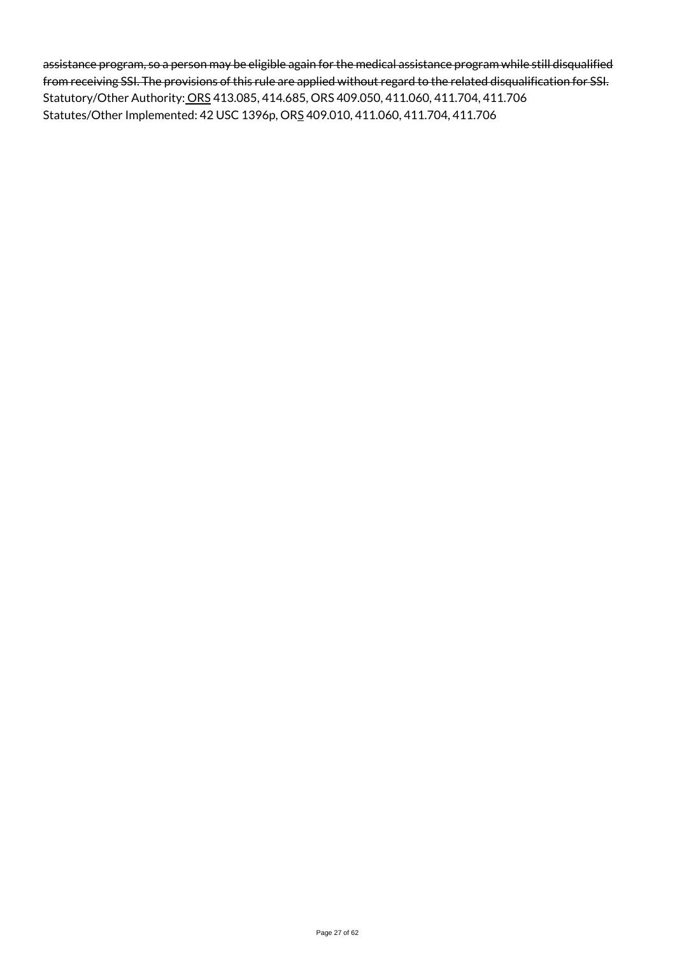assistance program, so a person may be eligible again for the medical assistance program while still disqualified from receiving SSI. The provisions of this rule are applied without regard to the related disqualification for SSI. Statutory/Other Authority: ORS 413.085, 414.685, ORS 409.050, 411.060, 411.704, 411.706 Statutes/Other Implemented: 42 USC 1396p, ORS 409.010, 411.060, 411.704, 411.706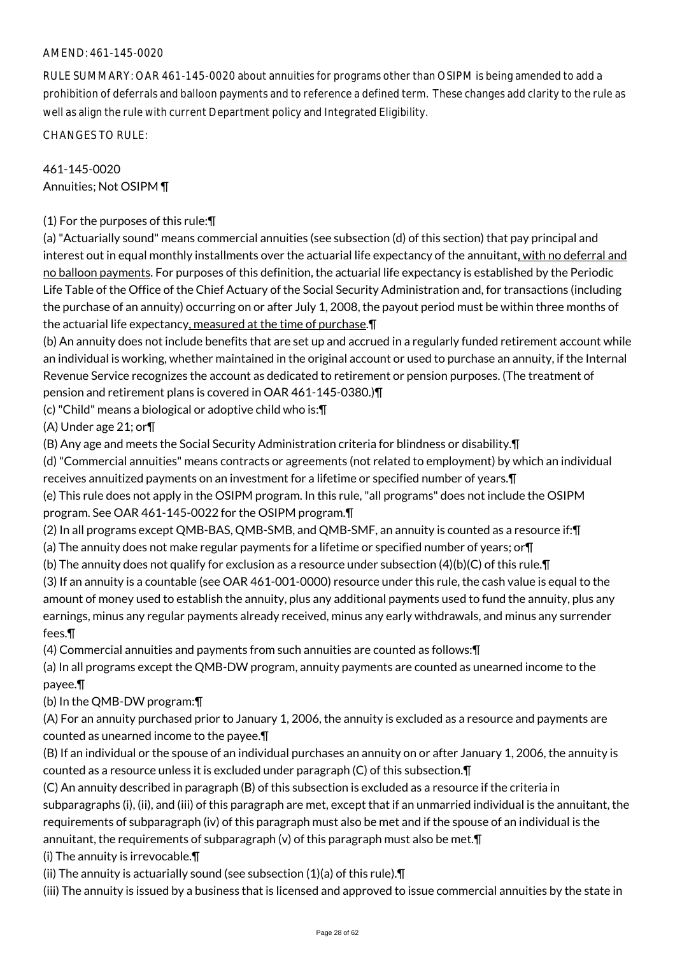# AMEND: 461-145-0020

RULE SUMMARY: OAR 461-145-0020 about annuities for programs other than OSIPM is being amended to add a prohibition of deferrals and balloon payments and to reference a defined term. These changes add clarity to the rule as well as align the rule with current Department policy and Integrated Eligibility.

CHANGES TO RULE:

# 461-145-0020 Annuities; Not OSIPM ¶

# (1) For the purposes of this rule:¶

(a) "Actuarially sound" means commercial annuities (see subsection (d) of this section) that pay principal and interest out in equal monthly installments over the actuarial life expectancy of the annuitant, with no deferral and no balloon payments. For purposes of this definition, the actuarial life expectancy is established by the Periodic Life Table of the Office of the Chief Actuary of the Social Security Administration and, for transactions (including the purchase of an annuity) occurring on or after July 1, 2008, the payout period must be within three months of the actuarial life expectancy, measured at the time of purchase.¶

(b) An annuity does not include benefits that are set up and accrued in a regularly funded retirement account while an individual is working, whether maintained in the original account or used to purchase an annuity, if the Internal Revenue Service recognizes the account as dedicated to retirement or pension purposes. (The treatment of pension and retirement plans is covered in OAR 461-145-0380.)¶

(c) "Child" means a biological or adoptive child who is:¶

(A) Under age 21; or¶

(B) Any age and meets the Social Security Administration criteria for blindness or disability.¶

(d) "Commercial annuities" means contracts or agreements (not related to employment) by which an individual receives annuitized payments on an investment for a lifetime or specified number of years.¶

(e) This rule does not apply in the OSIPM program. In this rule, "all programs" does not include the OSIPM program. See OAR 461-145-0022 for the OSIPM program.¶

(2) In all programs except QMB-BAS, QMB-SMB, and QMB-SMF, an annuity is counted as a resource if:¶

(a) The annuity does not make regular payments for a lifetime or specified number of years; or¶

(b) The annuity does not qualify for exclusion as a resource under subsection (4)(b)(C) of this rule.¶

(3) If an annuity is a countable (see OAR 461-001-0000) resource under this rule, the cash value is equal to the amount of money used to establish the annuity, plus any additional payments used to fund the annuity, plus any earnings, minus any regular payments already received, minus any early withdrawals, and minus any surrender fees.¶

(4) Commercial annuities and payments from such annuities are counted as follows:¶

(a) In all programs except the QMB-DW program, annuity payments are counted as unearned income to the payee.¶

(b) In the QMB-DW program:¶

(A) For an annuity purchased prior to January 1, 2006, the annuity is excluded as a resource and payments are counted as unearned income to the payee.¶

(B) If an individual or the spouse of an individual purchases an annuity on or after January 1, 2006, the annuity is counted as a resource unless it is excluded under paragraph (C) of this subsection.¶

(C) An annuity described in paragraph (B) of this subsection is excluded as a resource if the criteria in subparagraphs (i), (ii), and (iii) of this paragraph are met, except that if an unmarried individual is the annuitant, the requirements of subparagraph (iv) of this paragraph must also be met and if the spouse of an individual is the annuitant, the requirements of subparagraph  $(v)$  of this paragraph must also be met. $\P$ 

(i) The annuity is irrevocable.¶

(ii) The annuity is actuarially sound (see subsection (1)(a) of this rule).¶

(iii) The annuity is issued by a business that is licensed and approved to issue commercial annuities by the state in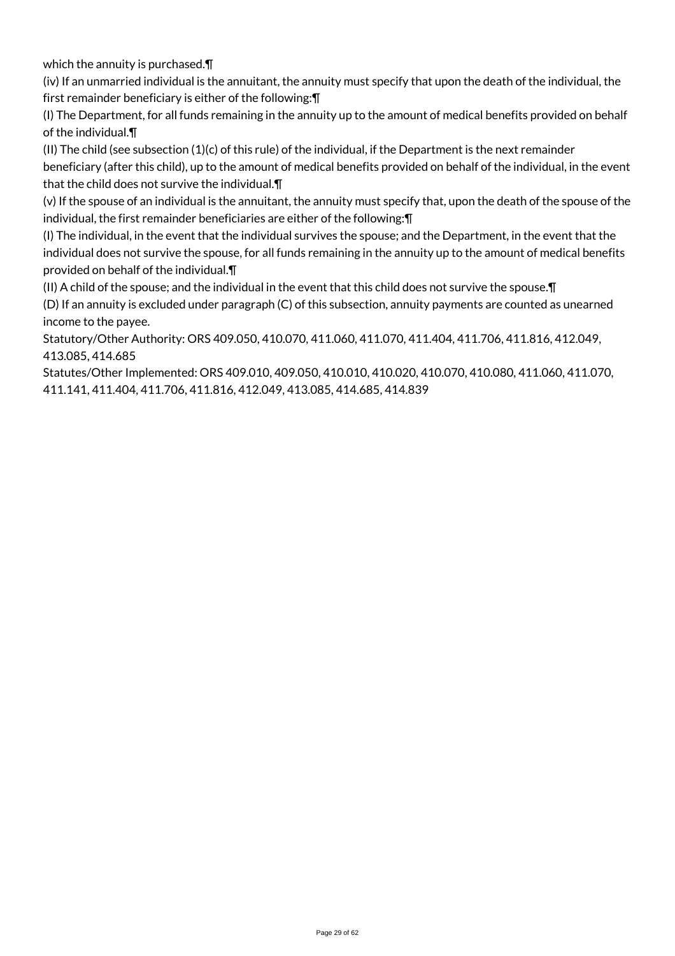which the annuity is purchased.¶

(iv) If an unmarried individual is the annuitant, the annuity must specify that upon the death of the individual, the first remainder beneficiary is either of the following:¶

(I) The Department, for all funds remaining in the annuity up to the amount of medical benefits provided on behalf of the individual.¶

(II) The child (see subsection (1)(c) of this rule) of the individual, if the Department is the next remainder beneficiary (after this child), up to the amount of medical benefits provided on behalf of the individual, in the event that the child does not survive the individual.¶

(v) If the spouse of an individual is the annuitant, the annuity must specify that, upon the death of the spouse of the individual, the first remainder beneficiaries are either of the following:¶

(I) The individual, in the event that the individual survives the spouse; and the Department, in the event that the individual does not survive the spouse, for all funds remaining in the annuity up to the amount of medical benefits provided on behalf of the individual.¶

(II) A child of the spouse; and the individual in the event that this child does not survive the spouse.¶

(D) If an annuity is excluded under paragraph (C) of this subsection, annuity payments are counted as unearned income to the payee.

Statutory/Other Authority: ORS 409.050, 410.070, 411.060, 411.070, 411.404, 411.706, 411.816, 412.049, 413.085, 414.685

Statutes/Other Implemented: ORS 409.010, 409.050, 410.010, 410.020, 410.070, 410.080, 411.060, 411.070, 411.141, 411.404, 411.706, 411.816, 412.049, 413.085, 414.685, 414.839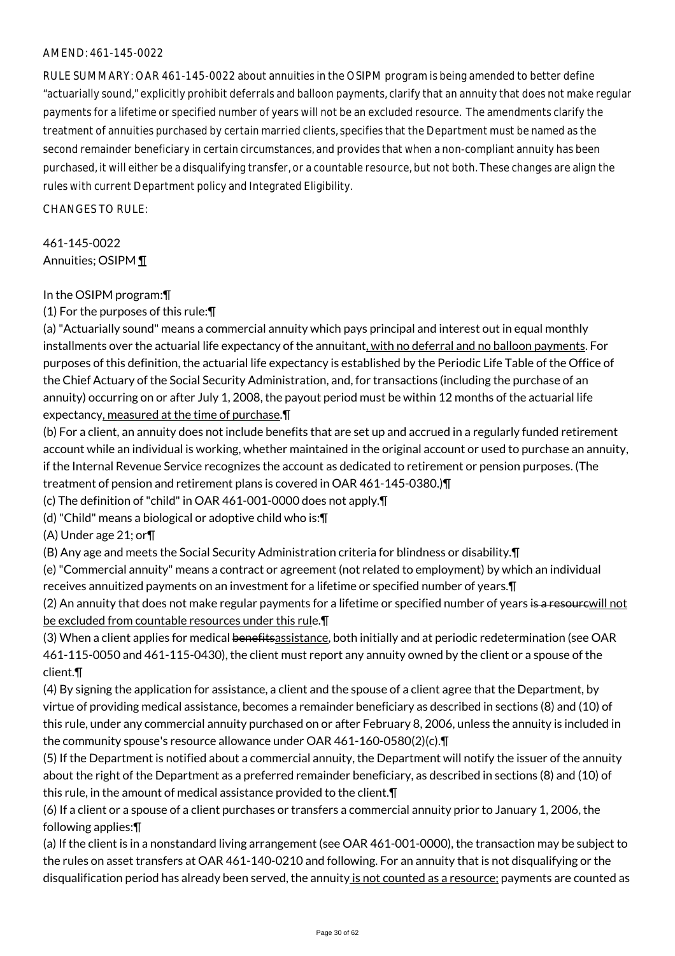#### AMEND: 461-145-0022

RULE SUMMARY: OAR 461-145-0022 about annuities in the OSIPM program is being amended to better define "actuarially sound," explicitly prohibit deferrals and balloon payments, clarify that an annuity that does not make regular payments for a lifetime or specified number of years will not be an excluded resource. The amendments clarify the treatment of annuities purchased by certain married clients, specifies that the Department must be named as the second remainder beneficiary in certain circumstances, and provides that when a non-compliant annuity has been purchased, it will either be a disqualifying transfer, or a countable resource, but not both. These changes are align the rules with current Department policy and Integrated Eligibility.

 $CHANGFS TO RIIF$ 

# 461-145-0022 Annuities; OSIPM ¶

#### In the OSIPM program:¶

(1) For the purposes of this rule:¶

(a) "Actuarially sound" means a commercial annuity which pays principal and interest out in equal monthly installments over the actuarial life expectancy of the annuitant, with no deferral and no balloon payments. For purposes of this definition, the actuarial life expectancy is established by the Periodic Life Table of the Office of the Chief Actuary of the Social Security Administration, and, for transactions (including the purchase of an annuity) occurring on or after July 1, 2008, the payout period must be within 12 months of the actuarial life expectancy, measured at the time of purchase.¶

(b) For a client, an annuity does not include benefits that are set up and accrued in a regularly funded retirement account while an individual is working, whether maintained in the original account or used to purchase an annuity, if the Internal Revenue Service recognizes the account as dedicated to retirement or pension purposes. (The treatment of pension and retirement plans is covered in OAR 461-145-0380.)¶

(c) The definition of "child" in OAR 461-001-0000 does not apply.¶

(d) "Child" means a biological or adoptive child who is:¶

(A) Under age 21; or¶

(B) Any age and meets the Social Security Administration criteria for blindness or disability.¶

(e) "Commercial annuity" means a contract or agreement (not related to employment) by which an individual receives annuitized payments on an investment for a lifetime or specified number of years.¶

(2) An annuity that does not make regular payments for a lifetime or specified number of years is a resourewill not be excluded from countable resources under this rule.¶

(3) When a client applies for medical benefitsassistance, both initially and at periodic redetermination (see OAR 461-115-0050 and 461-115-0430), the client must report any annuity owned by the client or a spouse of the client.¶

(4) By signing the application for assistance, a client and the spouse of a client agree that the Department, by virtue of providing medical assistance, becomes a remainder beneficiary as described in sections (8) and (10) of this rule, under any commercial annuity purchased on or after February 8, 2006, unless the annuity is included in the community spouse's resource allowance under OAR 461-160-0580(2)(c).¶

(5) If the Department is notified about a commercial annuity, the Department will notify the issuer of the annuity about the right of the Department as a preferred remainder beneficiary, as described in sections (8) and (10) of this rule, in the amount of medical assistance provided to the client.¶

(6) If a client or a spouse of a client purchases or transfers a commercial annuity prior to January 1, 2006, the following applies:¶

(a) If the client is in a nonstandard living arrangement (see OAR 461-001-0000), the transaction may be subject to the rules on asset transfers at OAR 461-140-0210 and following. For an annuity that is not disqualifying or the disqualification period has already been served, the annuity is not counted as a resource; payments are counted as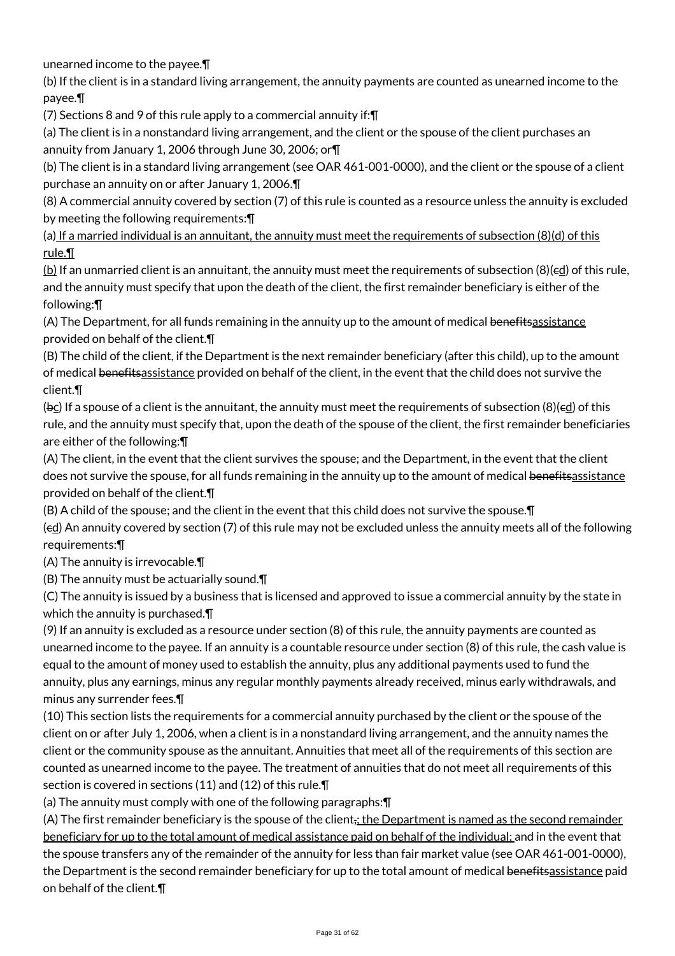unearned income to the payee.¶

(b) If the client is in a standard living arrangement, the annuity payments are counted as unearned income to the payee.¶

(7) Sections 8 and 9 of this rule apply to a commercial annuity if:¶

(a) The client is in a nonstandard living arrangement, and the client or the spouse of the client purchases an annuity from January 1, 2006 through June 30, 2006; or¶

(b) The client is in a standard living arrangement (see OAR 461-001-0000), and the client or the spouse of a client purchase an annuity on or after January 1, 2006.¶

(8) A commercial annuity covered by section (7) of this rule is counted as a resource unless the annuity is excluded by meeting the following requirements:¶

(a) If a married individual is an annuitant, the annuity must meet the requirements of subsection (8)(d) of this rule.¶

(b) If an unmarried client is an annuitant, the annuity must meet the requirements of subsection (8)(cd) of this rule, and the annuity must specify that upon the death of the client, the first remainder beneficiary is either of the following:¶

(A) The Department, for all funds remaining in the annuity up to the amount of medical benefits assistance provided on behalf of the client.¶

(B) The child of the client, if the Department is the next remainder beneficiary (after this child), up to the amount of medical benefitsassistance provided on behalf of the client, in the event that the child does not survive the client.¶

( $bc$ ) If a spouse of a client is the annuitant, the annuity must meet the requirements of subsection (8)( $\epsilon$ d) of this rule, and the annuity must specify that, upon the death of the spouse of the client, the first remainder beneficiaries are either of the following:¶

(A) The client, in the event that the client survives the spouse; and the Department, in the event that the client does not survive the spouse, for all funds remaining in the annuity up to the amount of medical benefitsassistance provided on behalf of the client.¶

(B) A child of the spouse; and the client in the event that this child does not survive the spouse.¶

(ed) An annuity covered by section (7) of this rule may not be excluded unless the annuity meets all of the following requirements:¶

(A) The annuity is irrevocable.¶

(B) The annuity must be actuarially sound.¶

(C) The annuity is issued by a business that is licensed and approved to issue a commercial annuity by the state in which the annuity is purchased.¶

(9) If an annuity is excluded as a resource under section (8) of this rule, the annuity payments are counted as unearned income to the payee. If an annuity is a countable resource under section (8) of this rule, the cash value is equal to the amount of money used to establish the annuity, plus any additional payments used to fund the annuity, plus any earnings, minus any regular monthly payments already received, minus early withdrawals, and minus any surrender fees.¶

(10) This section lists the requirements for a commercial annuity purchased by the client or the spouse of the client on or after July 1, 2006, when a client is in a nonstandard living arrangement, and the annuity names the client or the community spouse as the annuitant. Annuities that meet all of the requirements of this section are counted as unearned income to the payee. The treatment of annuities that do not meet all requirements of this section is covered in sections (11) and (12) of this rule.¶

(a) The annuity must comply with one of the following paragraphs:¶

(A) The first remainder beneficiary is the spouse of the client<sub>i</sub>; the Department is named as the second remainder beneficiary for up to the total amount of medical assistance paid on behalf of the individual; and in the event that the spouse transfers any of the remainder of the annuity for less than fair market value (see OAR 461-001-0000), the Department is the second remainder beneficiary for up to the total amount of medical benefitsassistance paid on behalf of the client.¶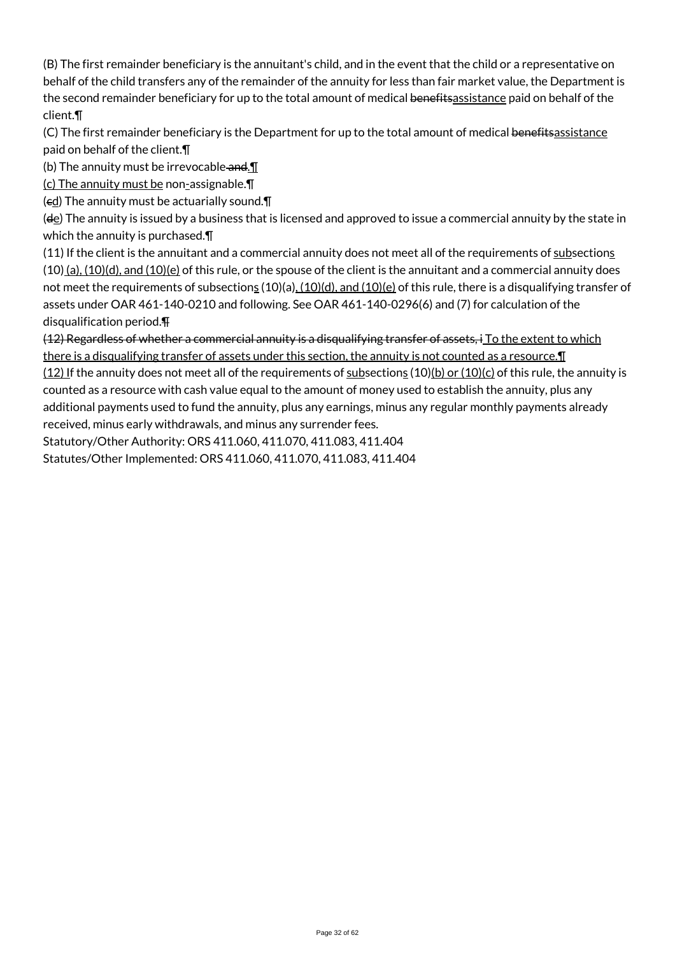(B) The first remainder beneficiary is the annuitant's child, and in the event that the child or a representative on behalf of the child transfers any of the remainder of the annuity for less than fair market value, the Department is the second remainder beneficiary for up to the total amount of medical benefitsassistance paid on behalf of the client.¶

(C) The first remainder beneficiary is the Department for up to the total amount of medical benefitsassistance paid on behalf of the client.¶

(b) The annuity must be irrevocable and. $\P$ 

(c) The annuity must be non-assignable.¶

 $(\epsilon \underline{d})$  The annuity must be actuarially sound. $\P$ 

(de) The annuity is issued by a business that is licensed and approved to issue a commercial annuity by the state in which the annuity is purchased.¶

(11) If the client is the annuitant and a commercial annuity does not meet all of the requirements of subsections  $(10)$  (a),  $(10)(d)$ , and  $(10)(e)$  of this rule, or the spouse of the client is the annuitant and a commercial annuity does not meet the requirements of subsections  $(10)(a)$ ,  $(10)(d)$ , and  $(10)(e)$  of this rule, there is a disqualifying transfer of assets under OAR 461-140-0210 and following. See OAR 461-140-0296(6) and (7) for calculation of the disqualification period.¶

(12) Regardless of whether a commercial annuity is a disqualifying transfer of assets, i To the extent to which there is a disqualifying transfer of assets under this section, the annuity is not counted as a resource.¶ (12) If the annuity does not meet all of the requirements of subsections (10)(b) or (10)(c) of this rule, the annuity is counted as a resource with cash value equal to the amount of money used to establish the annuity, plus any

additional payments used to fund the annuity, plus any earnings, minus any regular monthly payments already received, minus early withdrawals, and minus any surrender fees.

Statutory/Other Authority: ORS 411.060, 411.070, 411.083, 411.404 Statutes/Other Implemented: ORS 411.060, 411.070, 411.083, 411.404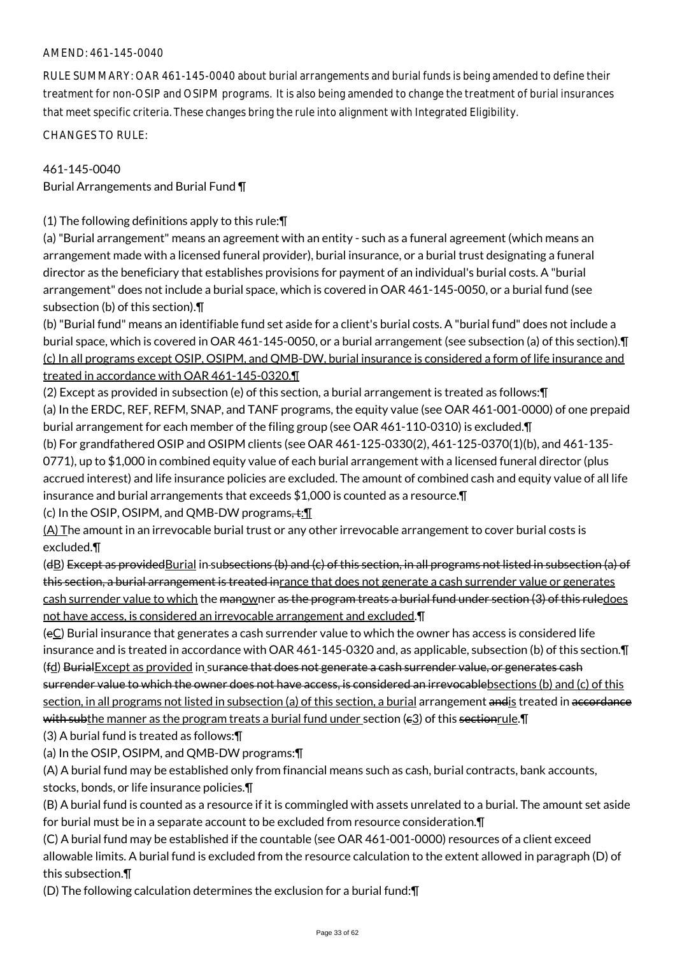# AMEND: 461-145-0040

RULE SUMMARY: OAR 461-145-0040 about burial arrangements and burial funds is being amended to define their treatment for non-OSIP and OSIPM programs. It is also being amended to change the treatment of burial insurances that meet specific criteria. These changes bring the rule into alignment with Integrated Eligibility.

CHANGES TO RULE:

## 461-145-0040

Burial Arrangements and Burial Fund ¶

(1) The following definitions apply to this rule:¶

(a) "Burial arrangement" means an agreement with an entity - such as a funeral agreement (which means an arrangement made with a licensed funeral provider), burial insurance, or a burial trust designating a funeral director as the beneficiary that establishes provisions for payment of an individual's burial costs. A "burial arrangement" does not include a burial space, which is covered in OAR 461-145-0050, or a burial fund (see subsection (b) of this section).¶

(b) "Burial fund" means an identifiable fund set aside for a client's burial costs. A "burial fund" does not include a burial space, which is covered in OAR 461-145-0050, or a burial arrangement (see subsection (a) of this section).¶ (c) In all programs except OSIP, OSIPM, and QMB-DW, burial insurance is considered a form of life insurance and treated in accordance with OAR 461-145-0320.¶

(2) Except as provided in subsection (e) of this section, a burial arrangement is treated as follows:¶ (a) In the ERDC, REF, REFM, SNAP, and TANF programs, the equity value (see OAR 461-001-0000) of one prepaid burial arrangement for each member of the filing group (see OAR 461-110-0310) is excluded.¶ (b) For grandfathered OSIP and OSIPM clients (see OAR 461-125-0330(2), 461-125-0370(1)(b), and 461-135-

0771), up to \$1,000 in combined equity value of each burial arrangement with a licensed funeral director (plus accrued interest) and life insurance policies are excluded. The amount of combined cash and equity value of all life insurance and burial arrangements that exceeds \$1,000 is counted as a resource.¶

(c) In the OSIP, OSIPM, and QMB-DW programs, $\pm$ : $\blacksquare$ 

(A) The amount in an irrevocable burial trust or any other irrevocable arrangement to cover burial costs is excluded.¶

(dB) Except as providedBurial in subsections (b) and (c) of this section, in all programs not listed in subsection (a) of this section, a burial arrangement is treated inrance that does not generate a cash surrender value or generates cash surrender value to which the manowner as the program treats a burial fund under section (3) of this ruledoes not have access, is considered an irrevocable arrangement and excluded.¶

(eC) Burial insurance that generates a cash surrender value to which the owner has access is considered life insurance and is treated in accordance with OAR 461-145-0320 and, as applicable, subsection (b) of this section.¶ (fd) BurialExcept as provided in surance that does not generate a cash surrender value, or generates cash surrender value to which the owner does not have access, is considered an irrevocable bsections (b) and (c) of this section, in all programs not listed in subsection (a) of this section, a burial arrangement andis treated in accordance with subthe manner as the program treats a burial fund under section ( $\varepsilon$ 3) of this section rule.  $\P$ 

(3) A burial fund is treated as follows:¶

(a) In the OSIP, OSIPM, and QMB-DW programs:¶

(A) A burial fund may be established only from financial means such as cash, burial contracts, bank accounts, stocks, bonds, or life insurance policies.¶

(B) A burial fund is counted as a resource if it is commingled with assets unrelated to a burial. The amount set aside for burial must be in a separate account to be excluded from resource consideration.¶

(C) A burial fund may be established if the countable (see OAR 461-001-0000) resources of a client exceed allowable limits. A burial fund is excluded from the resource calculation to the extent allowed in paragraph (D) of this subsection.¶

(D) The following calculation determines the exclusion for a burial fund:¶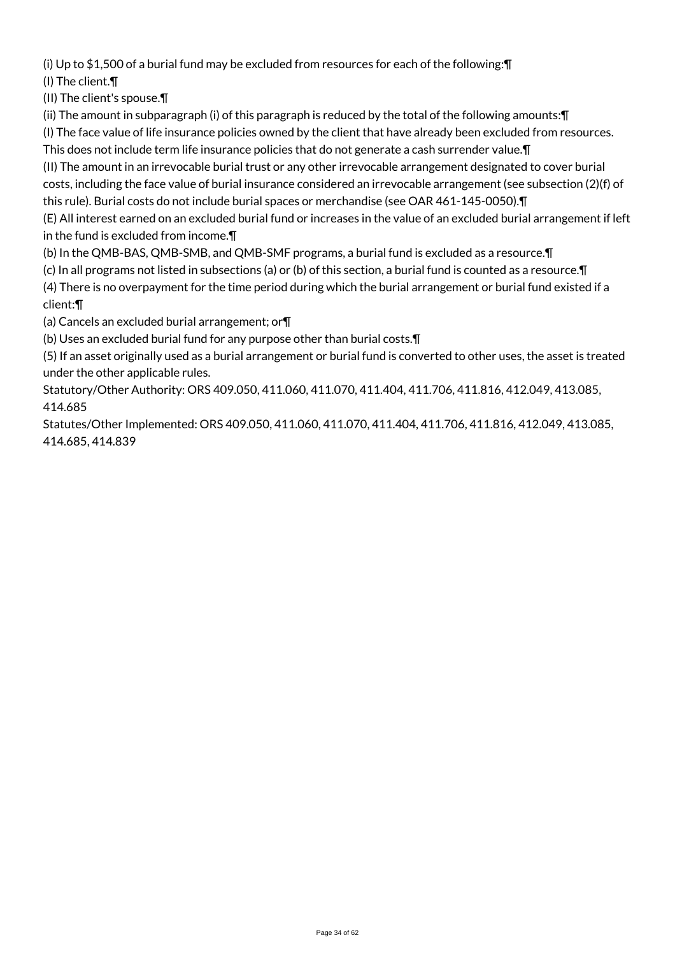(i) Up to \$1,500 of a burial fund may be excluded from resources for each of the following:¶ (I) The client.¶

(II) The client's spouse.¶

(ii) The amount in subparagraph (i) of this paragraph is reduced by the total of the following amounts:¶

(I) The face value of life insurance policies owned by the client that have already been excluded from resources.

This does not include term life insurance policies that do not generate a cash surrender value.¶ (II) The amount in an irrevocable burial trust or any other irrevocable arrangement designated to cover burial costs, including the face value of burial insurance considered an irrevocable arrangement (see subsection (2)(f) of this rule). Burial costs do not include burial spaces or merchandise (see OAR 461-145-0050).¶

(E) All interest earned on an excluded burial fund or increases in the value of an excluded burial arrangement if left in the fund is excluded from income.¶

(b) In the QMB-BAS, QMB-SMB, and QMB-SMF programs, a burial fund is excluded as a resource.¶

(c) In all programs not listed in subsections (a) or (b) of this section, a burial fund is counted as a resource.¶

(4) There is no overpayment for the time period during which the burial arrangement or burial fund existed if a client:¶

(a) Cancels an excluded burial arrangement; or¶

(b) Uses an excluded burial fund for any purpose other than burial costs.¶

(5) If an asset originally used as a burial arrangement or burial fund is converted to other uses, the asset is treated under the other applicable rules.

Statutory/Other Authority: ORS 409.050, 411.060, 411.070, 411.404, 411.706, 411.816, 412.049, 413.085, 414.685

Statutes/Other Implemented: ORS 409.050, 411.060, 411.070, 411.404, 411.706, 411.816, 412.049, 413.085, 414.685, 414.839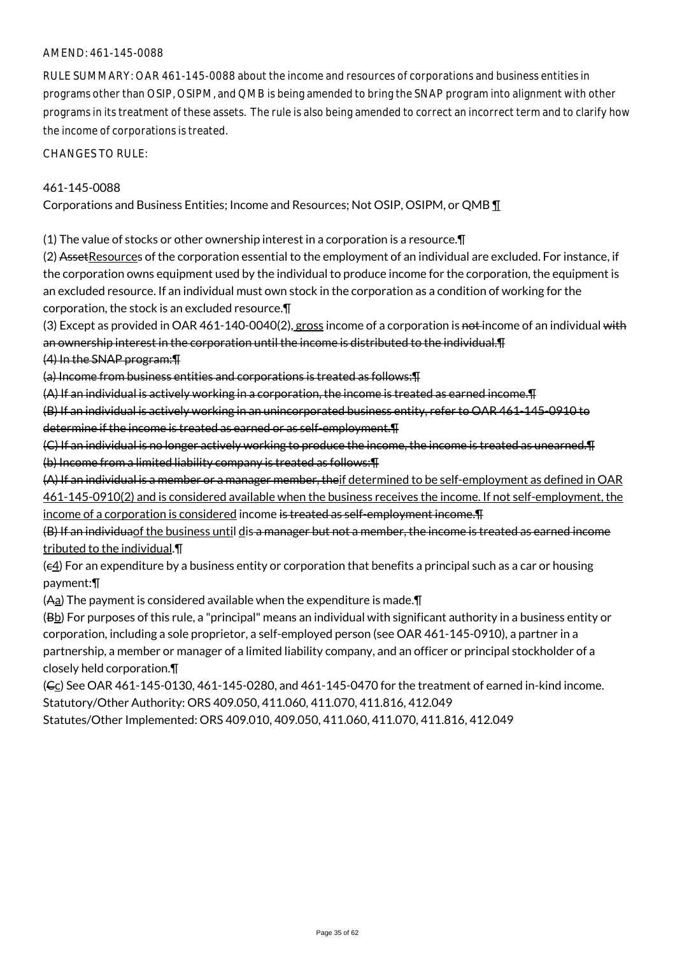#### AMEND: 461-145-0088

RULE SUMMARY: OAR 461-145-0088 about the income and resources of corporations and business entities in programs other than OSIP, OSIPM, and QMB is being amended to bring the SNAP program into alignment with other programs in its treatment of these assets. The rule is also being amended to correct an incorrect term and to clarify how the income of corporations is treated.

CHANGES TO RULE:

#### 461-145-0088

Corporations and Business Entities; Income and Resources; Not OSIP, OSIPM, or QMB ¶

(1) The value of stocks or other ownership interest in a corporation is a resource.¶

(2) AssetResources of the corporation essential to the employment of an individual are excluded. For instance, if the corporation owns equipment used by the individual to produce income for the corporation, the equipment is an excluded resource. If an individual must own stock in the corporation as a condition of working for the corporation, the stock is an excluded resource.¶

(3) Except as provided in OAR 461-140-0040(2), gross income of a corporation is not income of an individual with an ownership interest in the corporation until the income is distributed to the individual.¶

# (4) In the SNAP program:¶

(a) Income from business entities and corporations is treated as follows:¶

(A) If an individual is actively working in a corporation, the income is treated as earned income.¶

(B) If an individual is actively working in an unincorporated business entity, refer to OAR 461-145-0910 to determine if the income is treated as earned or as self-employment.¶

(C) If an individual is no longer actively working to produce the income, the income is treated as unearned.¶ (b) Income from a limited liability company is treated as follows:¶

(A) If an individual is a member or a manager member, theif determined to be self-employment as defined in OAR 461-145-0910(2) and is considered available when the business receives the income. If not self-employment, the income of a corporation is considered income is treated as self-employment income.¶

(B) If an individuaof the business until dis a manager but not a member, the income is treated as earned income tributed to the individual.¶

(c4) For an expenditure by a business entity or corporation that benefits a principal such as a car or housing payment:¶

 $(A<sub>a</sub>)$  The payment is considered available when the expenditure is made. $\P$ 

(Bb) For purposes of this rule, a "principal" means an individual with significant authority in a business entity or corporation, including a sole proprietor, a self-employed person (see OAR 461-145-0910), a partner in a partnership, a member or manager of a limited liability company, and an officer or principal stockholder of a closely held corporation.¶

 $(C<sub>C</sub>)$  See OAR 461-145-0130, 461-145-0280, and 461-145-0470 for the treatment of earned in-kind income. Statutory/Other Authority: ORS 409.050, 411.060, 411.070, 411.816, 412.049

Statutes/Other Implemented: ORS 409.010, 409.050, 411.060, 411.070, 411.816, 412.049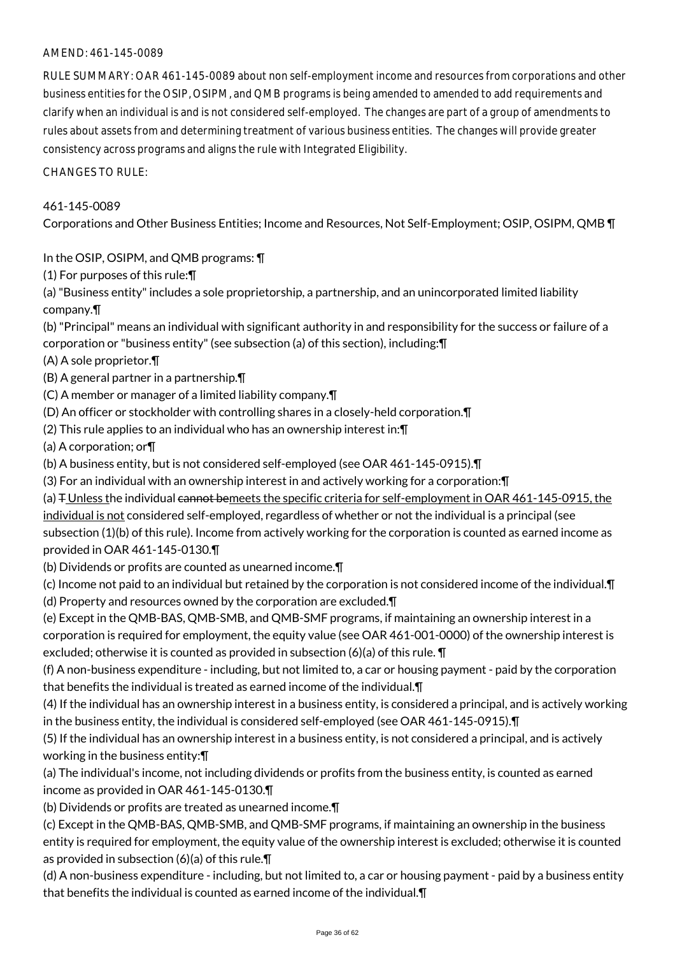## AMEND: 461-145-0089

RULE SUMMARY: OAR 461-145-0089 about non self-employment income and resources from corporations and other business entities for the OSIP, OSIPM, and QMB programs is being amended to amended to add requirements and clarify when an individual is and is not considered self-employed. The changes are part of a group of amendments to rules about assets from and determining treatment of various business entities. The changes will provide greater consistency across programs and aligns the rule with Integrated Eligibility.

CHANGES TO RULE:

# 461-145-0089

Corporations and Other Business Entities; Income and Resources, Not Self-Employment; OSIP, OSIPM, QMB ¶

In the OSIP, OSIPM, and QMB programs: ¶

(1) For purposes of this rule:¶

(a) "Business entity" includes a sole proprietorship, a partnership, and an unincorporated limited liability company.¶

(b) "Principal" means an individual with significant authority in and responsibility for the success or failure of a corporation or "business entity" (see subsection (a) of this section), including:¶

(A) A sole proprietor.¶

(B) A general partner in a partnership.¶

(C) A member or manager of a limited liability company.¶

(D) An officer or stockholder with controlling shares in a closely-held corporation.¶

(2) This rule applies to an individual who has an ownership interest in:¶

(a) A corporation; or¶

- (b) A business entity, but is not considered self-employed (see OAR 461-145-0915).¶
- (3) For an individual with an ownership interest in and actively working for a corporation:¶

(a)  $\pm$  Unless the individual cannot bemeets the specific criteria for self-employment in OAR 461-145-0915, the individual is not considered self-employed, regardless of whether or not the individual is a principal (see subsection (1)(b) of this rule). Income from actively working for the corporation is counted as earned income as provided in OAR 461-145-0130.¶

(b) Dividends or profits are counted as unearned income.¶

(c) Income not paid to an individual but retained by the corporation is not considered income of the individual.¶

(d) Property and resources owned by the corporation are excluded.¶

(e) Except in the QMB-BAS, QMB-SMB, and QMB-SMF programs, if maintaining an ownership interest in a corporation is required for employment, the equity value (see OAR 461-001-0000) of the ownership interest is excluded; otherwise it is counted as provided in subsection (6)(a) of this rule. ¶

(f) A non-business expenditure - including, but not limited to, a car or housing payment - paid by the corporation that benefits the individual is treated as earned income of the individual.¶

(4) If the individual has an ownership interest in a business entity, is considered a principal, and is actively working in the business entity, the individual is considered self-employed (see OAR 461-145-0915).¶

(5) If the individual has an ownership interest in a business entity, is not considered a principal, and is actively working in the business entity:¶

(a) The individual's income, not including dividends or profits from the business entity, is counted as earned income as provided in OAR 461-145-0130.¶

(b) Dividends or profits are treated as unearned income.¶

(c) Except in the QMB-BAS, QMB-SMB, and QMB-SMF programs, if maintaining an ownership in the business entity is required for employment, the equity value of the ownership interest is excluded; otherwise it is counted as provided in subsection (6)(a) of this rule.¶

(d) A non-business expenditure - including, but not limited to, a car or housing payment - paid by a business entity that benefits the individual is counted as earned income of the individual.¶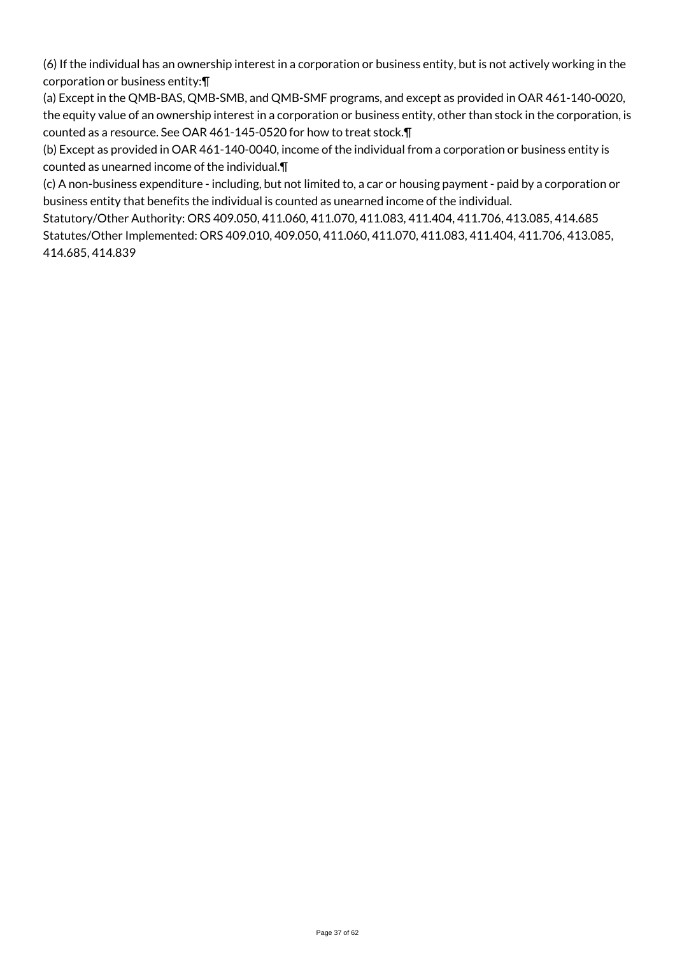(6) If the individual has an ownership interest in a corporation or business entity, but is not actively working in the corporation or business entity:¶

(a) Except in the QMB-BAS, QMB-SMB, and QMB-SMF programs, and except as provided in OAR 461-140-0020, the equity value of an ownership interest in a corporation or business entity, other than stock in the corporation, is counted as a resource. See OAR 461-145-0520 for how to treat stock.¶

(b) Except as provided in OAR 461-140-0040, income of the individual from a corporation or business entity is counted as unearned income of the individual.¶

(c) A non-business expenditure - including, but not limited to, a car or housing payment - paid by a corporation or business entity that benefits the individual is counted as unearned income of the individual.

Statutory/Other Authority: ORS 409.050, 411.060, 411.070, 411.083, 411.404, 411.706, 413.085, 414.685 Statutes/Other Implemented: ORS 409.010, 409.050, 411.060, 411.070, 411.083, 411.404, 411.706, 413.085, 414.685, 414.839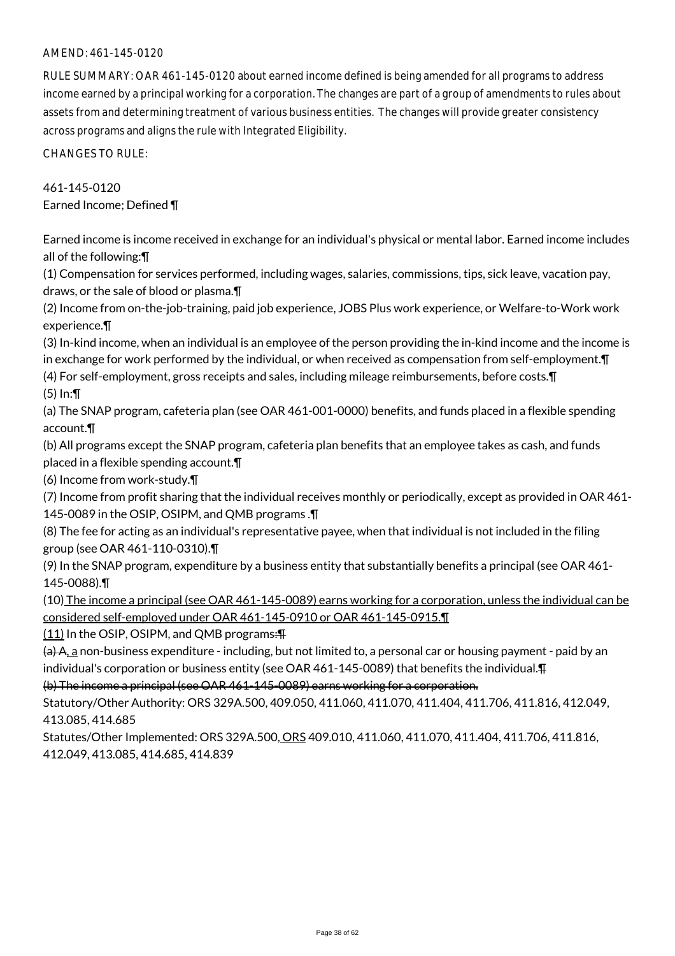## AMEND: 461-145-0120

RULE SUMMARY: OAR 461-145-0120 about earned income defined is being amended for all programs to address income earned by a principal working for a corporation. The changes are part of a group of amendments to rules about assets from and determining treatment of various business entities. The changes will provide greater consistency across programs and aligns the rule with Integrated Eligibility.

CHANGES TO RULE:

461-145-0120 Earned Income; Defined ¶

Earned income is income received in exchange for an individual's physical or mental labor. Earned income includes all of the following:¶

(1) Compensation for services performed, including wages, salaries, commissions, tips, sick leave, vacation pay, draws, or the sale of blood or plasma.¶

(2) Income from on-the-job-training, paid job experience, JOBS Plus work experience, or Welfare-to-Work work experience.¶

(3) In-kind income, when an individual is an employee of the person providing the in-kind income and the income is in exchange for work performed by the individual, or when received as compensation from self-employment.¶

(4) For self-employment, gross receipts and sales, including mileage reimbursements, before costs.¶ (5) In:¶

(a) The SNAP program, cafeteria plan (see OAR 461-001-0000) benefits, and funds placed in a flexible spending account.¶

(b) All programs except the SNAP program, cafeteria plan benefits that an employee takes as cash, and funds placed in a flexible spending account.¶

(6) Income from work-study.¶

(7) Income from profit sharing that the individual receives monthly or periodically, except as provided in OAR 461- 145-0089 in the OSIP, OSIPM, and QMB programs .¶

(8) The fee for acting as an individual's representative payee, when that individual is not included in the filing group (see OAR 461-110-0310).¶

(9) In the SNAP program, expenditure by a business entity that substantially benefits a principal (see OAR 461- 145-0088).¶

(10) The income a principal (see OAR 461-145-0089) earns working for a corporation, unless the individual can be considered self-employed under OAR 461-145-0910 or OAR 461-145-0915.¶

 $(11)$  In the OSIP, OSIPM, and QMB programs: $\overline{+}$ 

(a) A, a non-business expenditure - including, but not limited to, a personal car or housing payment - paid by an individual's corporation or business entity (see OAR 461-145-0089) that benefits the individual.¶

(b) The income a principal (see OAR 461-145-0089) earns working for a corporation.

Statutory/Other Authority: ORS 329A.500, 409.050, 411.060, 411.070, 411.404, 411.706, 411.816, 412.049, 413.085, 414.685

Statutes/Other Implemented: ORS 329A.500, ORS 409.010, 411.060, 411.070, 411.404, 411.706, 411.816, 412.049, 413.085, 414.685, 414.839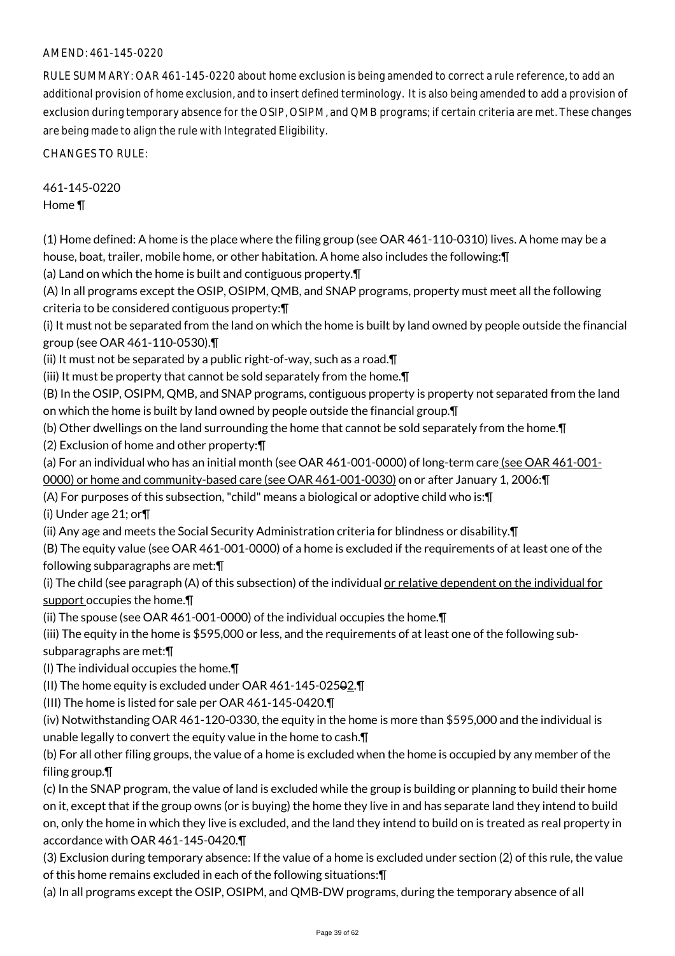# AMEND: 461-145-0220

RULE SUMMARY: OAR 461-145-0220 about home exclusion is being amended to correct a rule reference, to add an additional provision of home exclusion, and to insert defined terminology. It is also being amended to add a provision of exclusion during temporary absence for the OSIP, OSIPM, and QMB programs; if certain criteria are met. These changes are being made to align the rule with Integrated Eligibility.

CHANGES TO RULE:

461-145-0220 Home ¶

(1) Home defined: A home is the place where the filing group (see OAR 461-110-0310) lives. A home may be a house, boat, trailer, mobile home, or other habitation. A home also includes the following:¶

(a) Land on which the home is built and contiguous property.¶

(A) In all programs except the OSIP, OSIPM, QMB, and SNAP programs, property must meet all the following criteria to be considered contiguous property:¶

(i) It must not be separated from the land on which the home is built by land owned by people outside the financial group (see OAR 461-110-0530).¶

(ii) It must not be separated by a public right-of-way, such as a road.¶

(iii) It must be property that cannot be sold separately from the home.¶

(B) In the OSIP, OSIPM, QMB, and SNAP programs, contiguous property is property not separated from the land on which the home is built by land owned by people outside the financial group.¶

(b) Other dwellings on the land surrounding the home that cannot be sold separately from the home.¶

(2) Exclusion of home and other property:¶

(a) For an individual who has an initial month (see OAR 461-001-0000) of long-term care (see OAR 461-001-

0000) or home and community-based care (see OAR 461-001-0030) on or after January 1, 2006:¶

(A) For purposes of this subsection, "child" means a biological or adoptive child who is:¶

(i) Under age 21; or¶

(ii) Any age and meets the Social Security Administration criteria for blindness or disability.¶

(B) The equity value (see OAR 461-001-0000) of a home is excluded if the requirements of at least one of the following subparagraphs are met:¶

(i) The child (see paragraph (A) of this subsection) of the individual or relative dependent on the individual for support occupies the home. $\P$ 

(ii) The spouse (see OAR 461-001-0000) of the individual occupies the home.¶

(iii) The equity in the home is \$595,000 or less, and the requirements of at least one of the following sub-

subparagraphs are met:¶

(I) The individual occupies the home.¶

(II) The home equity is excluded under OAR 461-145-02502.¶

(III) The home is listed for sale per OAR 461-145-0420.¶

(iv) Notwithstanding OAR 461-120-0330, the equity in the home is more than \$595,000 and the individual is unable legally to convert the equity value in the home to cash.¶

(b) For all other filing groups, the value of a home is excluded when the home is occupied by any member of the filing group.¶

(c) In the SNAP program, the value of land is excluded while the group is building or planning to build their home on it, except that if the group owns (or is buying) the home they live in and has separate land they intend to build on, only the home in which they live is excluded, and the land they intend to build on is treated as real property in accordance with OAR 461-145-0420.¶

(3) Exclusion during temporary absence: If the value of a home is excluded under section (2) of this rule, the value of this home remains excluded in each of the following situations:¶

(a) In all programs except the OSIP, OSIPM, and QMB-DW programs, during the temporary absence of all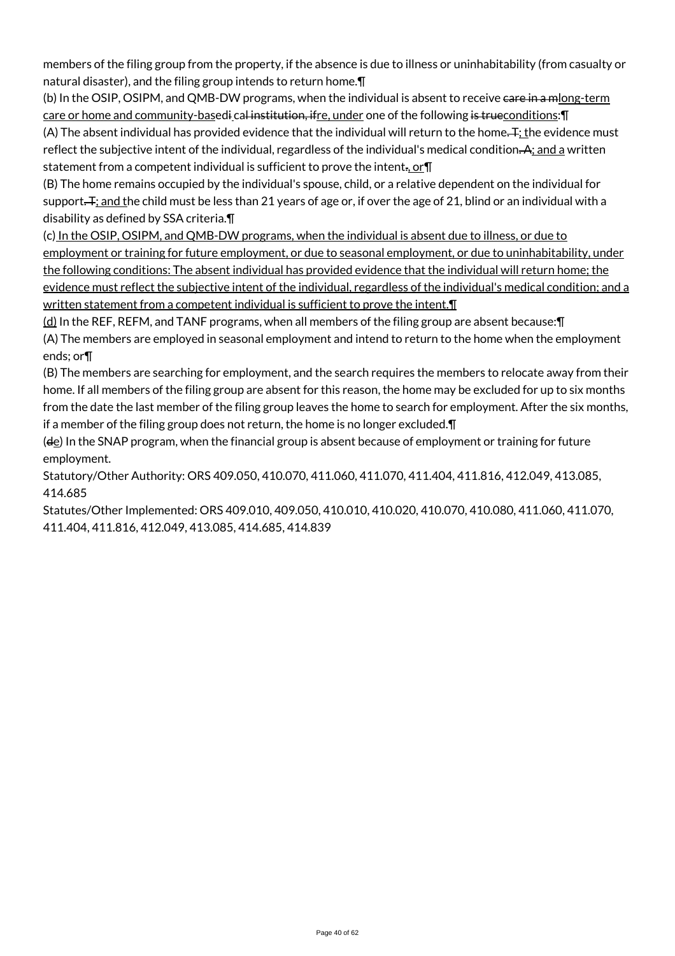members of the filing group from the property, if the absence is due to illness or uninhabitability (from casualty or natural disaster), and the filing group intends to return home.¶

(b) In the OSIP, OSIPM, and QMB-DW programs, when the individual is absent to receive eare in a mlong-term care or home and community-basedi cal institution, ifre, under one of the following is trueconditions: \[ (A) The absent individual has provided evidence that the individual will return to the home. T; the evidence must

reflect the subjective intent of the individual, regardless of the individual's medical condition. A; and a written statement from a competent individual is sufficient to prove the intent., or II

(B) The home remains occupied by the individual's spouse, child, or a relative dependent on the individual for support. F<sub>i</sub> and the child must be less than 21 years of age or, if over the age of 21, blind or an individual with a disability as defined by SSA criteria.¶

(c) In the OSIP, OSIPM, and QMB-DW programs, when the individual is absent due to illness, or due to employment or training for future employment, or due to seasonal employment, or due to uninhabitability, under the following conditions: The absent individual has provided evidence that the individual will return home; the evidence must reflect the subjective intent of the individual, regardless of the individual's medical condition; and a written statement from a competent individual is sufficient to prove the intent.

 $(d)$  In the REF, REFM, and TANF programs, when all members of the filing group are absent because: $\P$ (A) The members are employed in seasonal employment and intend to return to the home when the employment ends; or¶

(B) The members are searching for employment, and the search requires the members to relocate away from their home. If all members of the filing group are absent for this reason, the home may be excluded for up to six months from the date the last member of the filing group leaves the home to search for employment. After the six months, if a member of the filing group does not return, the home is no longer excluded.¶

(de) In the SNAP program, when the financial group is absent because of employment or training for future employment.

Statutory/Other Authority: ORS 409.050, 410.070, 411.060, 411.070, 411.404, 411.816, 412.049, 413.085, 414.685

Statutes/Other Implemented: ORS 409.010, 409.050, 410.010, 410.020, 410.070, 410.080, 411.060, 411.070, 411.404, 411.816, 412.049, 413.085, 414.685, 414.839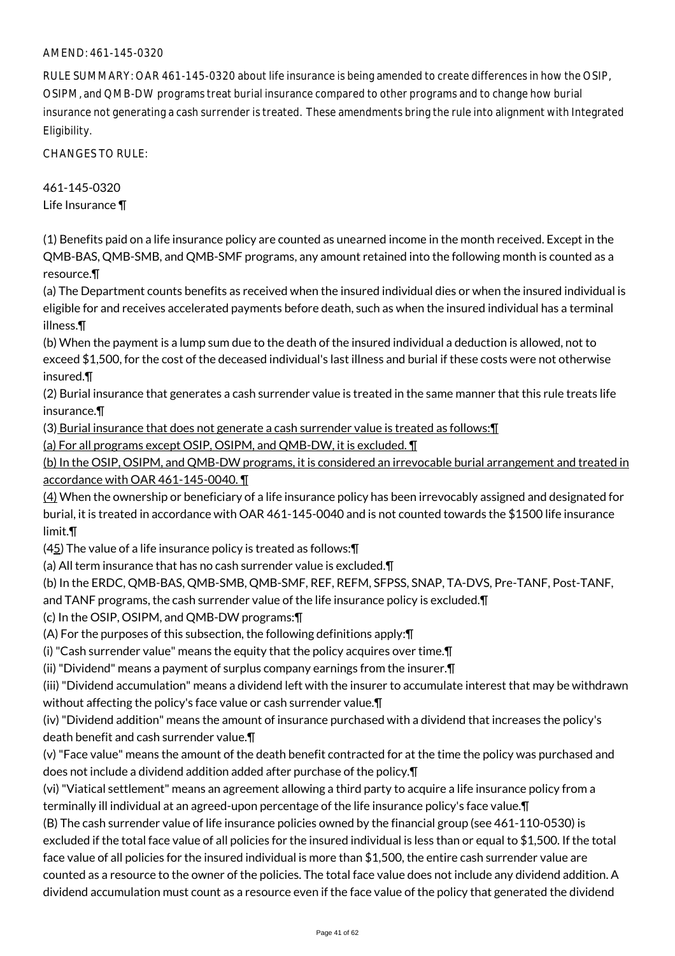#### AMEND: 461-145-0320

RULE SUMMARY: OAR 461-145-0320 about life insurance is being amended to create differences in how the OSIP, OSIPM, and QMB-DW programs treat burial insurance compared to other programs and to change how burial insurance not generating a cash surrender is treated. These amendments bring the rule into alignment with Integrated Eligibility.

CHANGES TO RULE:

461-145-0320 Life Insurance ¶

(1) Benefits paid on a life insurance policy are counted as unearned income in the month received. Except in the QMB-BAS, QMB-SMB, and QMB-SMF programs, any amount retained into the following month is counted as a resource.¶

(a) The Department counts benefits as received when the insured individual dies or when the insured individual is eligible for and receives accelerated payments before death, such as when the insured individual has a terminal illness.¶

(b) When the payment is a lump sum due to the death of the insured individual a deduction is allowed, not to exceed \$1,500, for the cost of the deceased individual's last illness and burial if these costs were not otherwise insured.¶

(2) Burial insurance that generates a cash surrender value is treated in the same manner that this rule treats life insurance.¶

(3) Burial insurance that does not generate a cash surrender value is treated as follows:¶

(a) For all programs except OSIP, OSIPM, and QMB-DW, it is excluded. ¶

(b) In the OSIP, OSIPM, and QMB-DW programs, it is considered an irrevocable burial arrangement and treated in accordance with OAR 461-145-0040. ¶

(4) When the ownership or beneficiary of a life insurance policy has been irrevocably assigned and designated for burial, it is treated in accordance with OAR 461-145-0040 and is not counted towards the \$1500 life insurance limit.¶

(45) The value of a life insurance policy is treated as follows:¶

(a) All term insurance that has no cash surrender value is excluded.¶

(b) In the ERDC, QMB-BAS, QMB-SMB, QMB-SMF, REF, REFM, SFPSS, SNAP, TA-DVS, Pre-TANF, Post-TANF,

and TANF programs, the cash surrender value of the life insurance policy is excluded.¶

(c) In the OSIP, OSIPM, and QMB-DW programs:¶

(A) For the purposes of this subsection, the following definitions apply:¶

(i) "Cash surrender value" means the equity that the policy acquires over time.¶

(ii) "Dividend" means a payment of surplus company earnings from the insurer.¶

(iii) "Dividend accumulation" means a dividend left with the insurer to accumulate interest that may be withdrawn without affecting the policy's face value or cash surrender value.¶

(iv) "Dividend addition" means the amount of insurance purchased with a dividend that increases the policy's death benefit and cash surrender value.¶

(v) "Face value" means the amount of the death benefit contracted for at the time the policy was purchased and does not include a dividend addition added after purchase of the policy.¶

(vi) "Viatical settlement" means an agreement allowing a third party to acquire a life insurance policy from a terminally ill individual at an agreed-upon percentage of the life insurance policy's face value.¶

(B) The cash surrender value of life insurance policies owned by the financial group (see 461-110-0530) is excluded if the total face value of all policies for the insured individual is less than or equal to \$1,500. If the total face value of all policies for the insured individual is more than \$1,500, the entire cash surrender value are counted as a resource to the owner of the policies. The total face value does not include any dividend addition. A dividend accumulation must count as a resource even if the face value of the policy that generated the dividend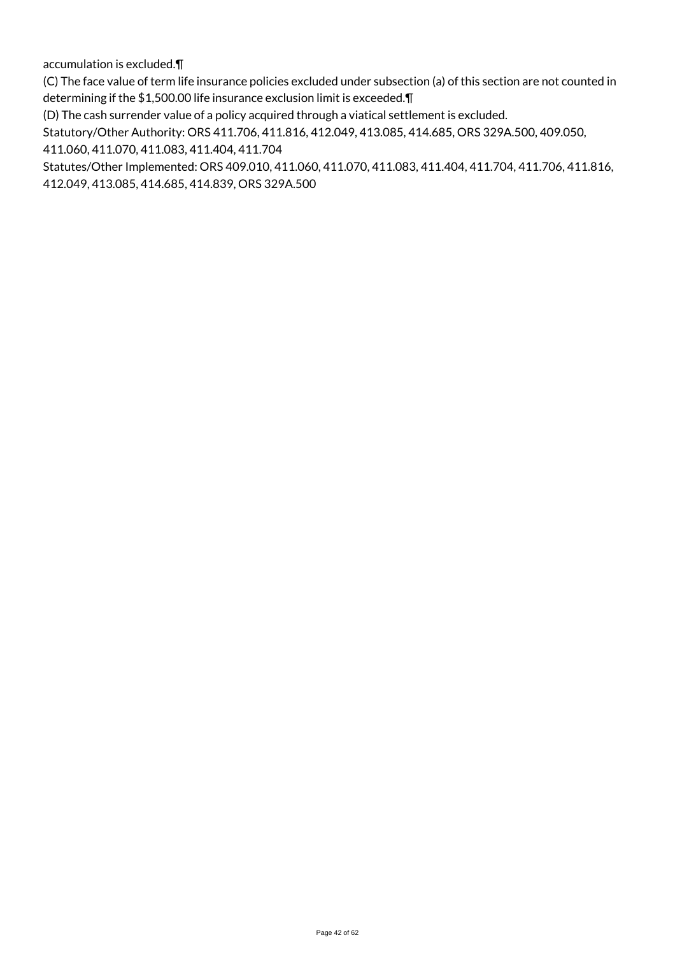accumulation is excluded.¶

(C) The face value of term life insurance policies excluded under subsection (a) of this section are not counted in determining if the \$1,500.00 life insurance exclusion limit is exceeded.¶

(D) The cash surrender value of a policy acquired through a viatical settlement is excluded.

Statutory/Other Authority: ORS 411.706, 411.816, 412.049, 413.085, 414.685, ORS 329A.500, 409.050,

411.060, 411.070, 411.083, 411.404, 411.704

Statutes/Other Implemented: ORS 409.010, 411.060, 411.070, 411.083, 411.404, 411.704, 411.706, 411.816, 412.049, 413.085, 414.685, 414.839, ORS 329A.500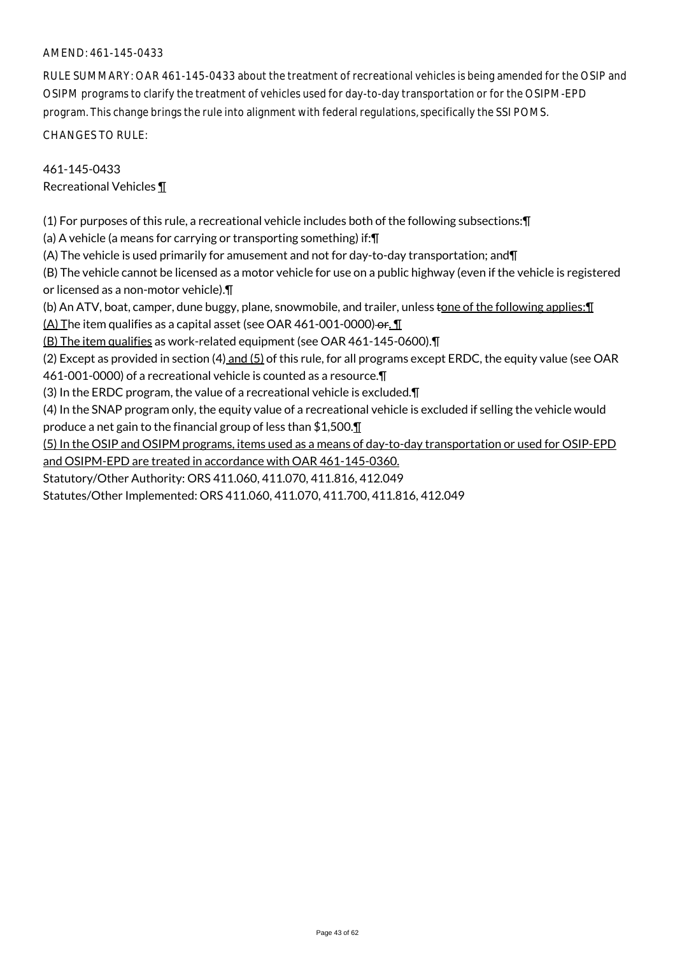#### AMEND: 461-145-0433

RULE SUMMARY: OAR 461-145-0433 about the treatment of recreational vehicles is being amended for the OSIP and OSIPM programs to clarify the treatment of vehicles used for day-to-day transportation or for the OSIPM-EPD program. This change brings the rule into alignment with federal regulations, specifically the SSI POMS. CHANGES TO RULE:

461-145-0433 Recreational Vehicles ¶

(1) For purposes of this rule, a recreational vehicle includes both of the following subsections:¶

(a) A vehicle (a means for carrying or transporting something) if:¶

(A) The vehicle is used primarily for amusement and not for day-to-day transportation; and¶

(B) The vehicle cannot be licensed as a motor vehicle for use on a public highway (even if the vehicle is registered or licensed as a non-motor vehicle).¶

(b) An ATV, boat, camper, dune buggy, plane, snowmobile, and trailer, unless tone of the following applies: [1

 $(A)$  The item qualifies as a capital asset (see OAR 461-001-0000) or.

(B) The item qualifies as work-related equipment (see OAR 461-145-0600).¶

(2) Except as provided in section (4) and (5) of this rule, for all programs except ERDC, the equity value (see OAR

461-001-0000) of a recreational vehicle is counted as a resource.¶

(3) In the ERDC program, the value of a recreational vehicle is excluded.¶

(4) In the SNAP program only, the equity value of a recreational vehicle is excluded if selling the vehicle would produce a net gain to the financial group of less than \$1,500.¶

(5) In the OSIP and OSIPM programs, items used as a means of day-to-day transportation or used for OSIP-EPD and OSIPM-EPD are treated in accordance with OAR 461-145-0360.

Statutory/Other Authority: ORS 411.060, 411.070, 411.816, 412.049

Statutes/Other Implemented: ORS 411.060, 411.070, 411.700, 411.816, 412.049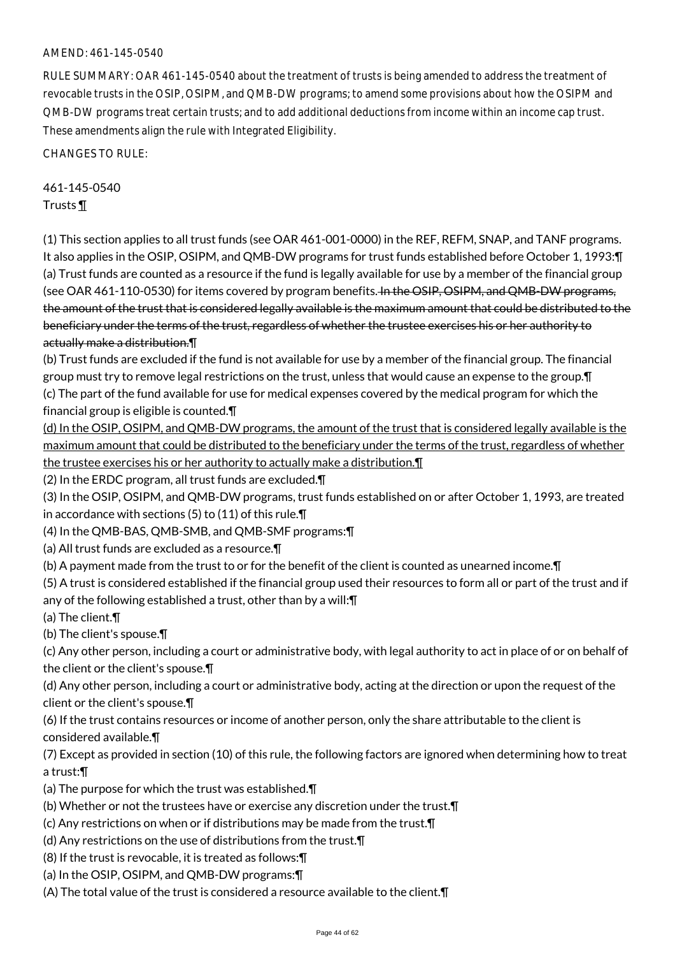#### AMEND: 461-145-0540

RULE SUMMARY: OAR 461-145-0540 about the treatment of trusts is being amended to address the treatment of revocable trusts in the OSIP, OSIPM, and QMB-DW programs; to amend some provisions about how the OSIPM and QMB-DW programs treat certain trusts; and to add additional deductions from income within an income cap trust. These amendments align the rule with Integrated Eligibility.

CHANGES TO RULE:

461-145-0540 Trusts ¶

(1) This section applies to all trust funds (see OAR 461-001-0000) in the REF, REFM, SNAP, and TANF programs. It also applies in the OSIP, OSIPM, and QMB-DW programs for trust funds established before October 1, 1993:¶ (a) Trust funds are counted as a resource if the fund is legally available for use by a member of the financial group (see OAR 461-110-0530) for items covered by program benefits. In the OSIP, OSIPM, and QMB-DW programs, the amount of the trust that is considered legally available is the maximum amount that could be distributed to the beneficiary under the terms of the trust, regardless of whether the trustee exercises his or her authority to actually make a distribution.¶

(b) Trust funds are excluded if the fund is not available for use by a member of the financial group. The financial group must try to remove legal restrictions on the trust, unless that would cause an expense to the group.¶ (c) The part of the fund available for use for medical expenses covered by the medical program for which the financial group is eligible is counted.¶

(d) In the OSIP, OSIPM, and QMB-DW programs, the amount of the trust that is considered legally available is the maximum amount that could be distributed to the beneficiary under the terms of the trust, regardless of whether the trustee exercises his or her authority to actually make a distribution.¶

(2) In the ERDC program, all trust funds are excluded.¶

(3) In the OSIP, OSIPM, and QMB-DW programs, trust funds established on or after October 1, 1993, are treated in accordance with sections (5) to (11) of this rule.¶

(4) In the QMB-BAS, QMB-SMB, and QMB-SMF programs:¶

(a) All trust funds are excluded as a resource.¶

(b) A payment made from the trust to or for the benefit of the client is counted as unearned income.¶

(5) A trust is considered established if the financial group used their resources to form all or part of the trust and if any of the following established a trust, other than by a will:¶

(a) The client.¶

(b) The client's spouse.¶

(c) Any other person, including a court or administrative body, with legal authority to act in place of or on behalf of the client or the client's spouse.¶

(d) Any other person, including a court or administrative body, acting at the direction or upon the request of the client or the client's spouse.¶

(6) If the trust contains resources or income of another person, only the share attributable to the client is considered available.¶

(7) Except as provided in section (10) of this rule, the following factors are ignored when determining how to treat a trust:¶

- (a) The purpose for which the trust was established.¶
- (b) Whether or not the trustees have or exercise any discretion under the trust.¶
- (c) Any restrictions on when or if distributions may be made from the trust.¶
- (d) Any restrictions on the use of distributions from the trust.¶
- (8) If the trust is revocable, it is treated as follows:¶
- (a) In the OSIP, OSIPM, and QMB-DW programs:¶
- (A) The total value of the trust is considered a resource available to the client.¶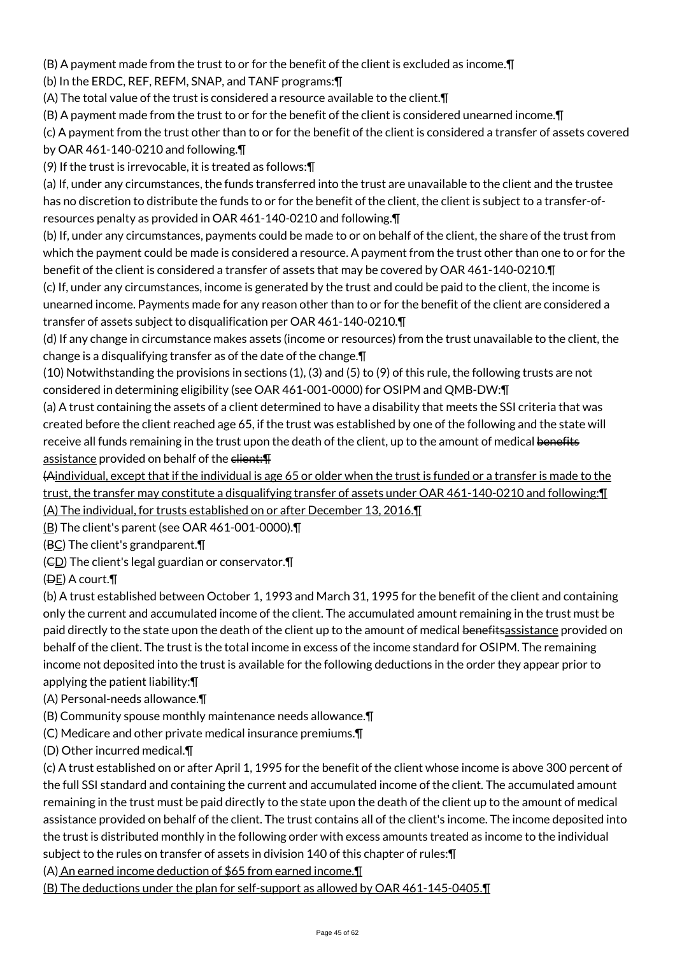(B) A payment made from the trust to or for the benefit of the client is excluded as income.¶

(b) In the ERDC, REF, REFM, SNAP, and TANF programs:¶

(A) The total value of the trust is considered a resource available to the client.¶

(B) A payment made from the trust to or for the benefit of the client is considered unearned income.¶

(c) A payment from the trust other than to or for the benefit of the client is considered a transfer of assets covered

by OAR 461-140-0210 and following.¶

(9) If the trust is irrevocable, it is treated as follows:¶

(a) If, under any circumstances, the funds transferred into the trust are unavailable to the client and the trustee has no discretion to distribute the funds to or for the benefit of the client, the client is subject to a transfer-ofresources penalty as provided in OAR 461-140-0210 and following.¶

(b) If, under any circumstances, payments could be made to or on behalf of the client, the share of the trust from which the payment could be made is considered a resource. A payment from the trust other than one to or for the benefit of the client is considered a transfer of assets that may be covered by OAR 461-140-0210.¶

(c) If, under any circumstances, income is generated by the trust and could be paid to the client, the income is unearned income. Payments made for any reason other than to or for the benefit of the client are considered a transfer of assets subject to disqualification per OAR 461-140-0210.¶

(d) If any change in circumstance makes assets (income or resources) from the trust unavailable to the client, the change is a disqualifying transfer as of the date of the change.¶

(10) Notwithstanding the provisions in sections (1), (3) and (5) to (9) of this rule, the following trusts are not considered in determining eligibility (see OAR 461-001-0000) for OSIPM and QMB-DW:¶

(a) A trust containing the assets of a client determined to have a disability that meets the SSI criteria that was created before the client reached age 65, if the trust was established by one of the following and the state will receive all funds remaining in the trust upon the death of the client, up to the amount of medical benefits assistance provided on behalf of the elient: T

(Aindividual, except that if the individual is age 65 or older when the trust is funded or a transfer is made to the trust, the transfer may constitute a disqualifying transfer of assets under OAR 461-140-0210 and following:¶ (A) The individual, for trusts established on or after December 13, 2016.¶

(B) The client's parent (see OAR 461-001-0000).¶

(BC) The client's grandparent.¶

 $(ED)$  The client's legal guardian or conservator. $\P$ 

(DE) A court.¶

(b) A trust established between October 1, 1993 and March 31, 1995 for the benefit of the client and containing only the current and accumulated income of the client. The accumulated amount remaining in the trust must be paid directly to the state upon the death of the client up to the amount of medical benefits assistance provided on behalf of the client. The trust is the total income in excess of the income standard for OSIPM. The remaining income not deposited into the trust is available for the following deductions in the order they appear prior to applying the patient liability:¶

(A) Personal-needs allowance.¶

(B) Community spouse monthly maintenance needs allowance.¶

(C) Medicare and other private medical insurance premiums.¶

(D) Other incurred medical.¶

(c) A trust established on or after April 1, 1995 for the benefit of the client whose income is above 300 percent of the full SSI standard and containing the current and accumulated income of the client. The accumulated amount remaining in the trust must be paid directly to the state upon the death of the client up to the amount of medical assistance provided on behalf of the client. The trust contains all of the client's income. The income deposited into the trust is distributed monthly in the following order with excess amounts treated as income to the individual subject to the rules on transfer of assets in division 140 of this chapter of rules:¶

(A) An earned income deduction of \$65 from earned income.¶

(B) The deductions under the plan for self-support as allowed by OAR 461-145-0405.¶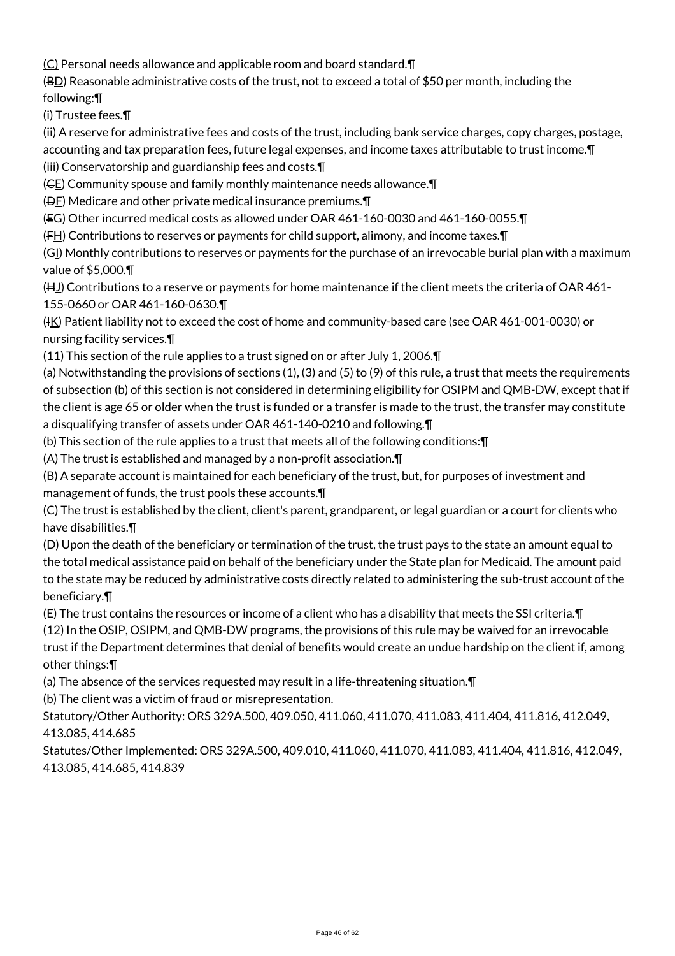(C) Personal needs allowance and applicable room and board standard.¶

(BD) Reasonable administrative costs of the trust, not to exceed a total of \$50 per month, including the following:¶

(i) Trustee fees.¶

(ii) A reserve for administrative fees and costs of the trust, including bank service charges, copy charges, postage, accounting and tax preparation fees, future legal expenses, and income taxes attributable to trust income.¶

(iii) Conservatorship and guardianship fees and costs.¶

(CE) Community spouse and family monthly maintenance needs allowance.¶

(DF) Medicare and other private medical insurance premiums.¶

(EG) Other incurred medical costs as allowed under OAR 461-160-0030 and 461-160-0055.¶

 $(F_H)$  Contributions to reserves or payments for child support, alimony, and income taxes. $\P$ 

(GI) Monthly contributions to reserves or payments for the purchase of an irrevocable burial plan with a maximum value of \$5,000.¶

(H<sub>J</sub>) Contributions to a reserve or payments for home maintenance if the client meets the criteria of OAR 461-155-0660 or OAR 461-160-0630.¶

(IK) Patient liability not to exceed the cost of home and community-based care (see OAR 461-001-0030) or nursing facility services.¶

(11) This section of the rule applies to a trust signed on or after July 1, 2006.¶

(a) Notwithstanding the provisions of sections (1), (3) and (5) to (9) of this rule, a trust that meets the requirements of subsection (b) of this section is not considered in determining eligibility for OSIPM and QMB-DW, except that if the client is age 65 or older when the trust is funded or a transfer is made to the trust, the transfer may constitute a disqualifying transfer of assets under OAR 461-140-0210 and following.¶

(b) This section of the rule applies to a trust that meets all of the following conditions:¶

(A) The trust is established and managed by a non-profit association.¶

(B) A separate account is maintained for each beneficiary of the trust, but, for purposes of investment and management of funds, the trust pools these accounts.¶

(C) The trust is established by the client, client's parent, grandparent, or legal guardian or a court for clients who have disabilities.¶

(D) Upon the death of the beneficiary or termination of the trust, the trust pays to the state an amount equal to the total medical assistance paid on behalf of the beneficiary under the State plan for Medicaid. The amount paid to the state may be reduced by administrative costs directly related to administering the sub-trust account of the beneficiary.¶

(E) The trust contains the resources or income of a client who has a disability that meets the SSI criteria.¶

(12) In the OSIP, OSIPM, and QMB-DW programs, the provisions of this rule may be waived for an irrevocable trust if the Department determines that denial of benefits would create an undue hardship on the client if, among other things:¶

(a) The absence of the services requested may result in a life-threatening situation.¶

(b) The client was a victim of fraud or misrepresentation.

Statutory/Other Authority: ORS 329A.500, 409.050, 411.060, 411.070, 411.083, 411.404, 411.816, 412.049, 413.085, 414.685

Statutes/Other Implemented: ORS 329A.500, 409.010, 411.060, 411.070, 411.083, 411.404, 411.816, 412.049, 413.085, 414.685, 414.839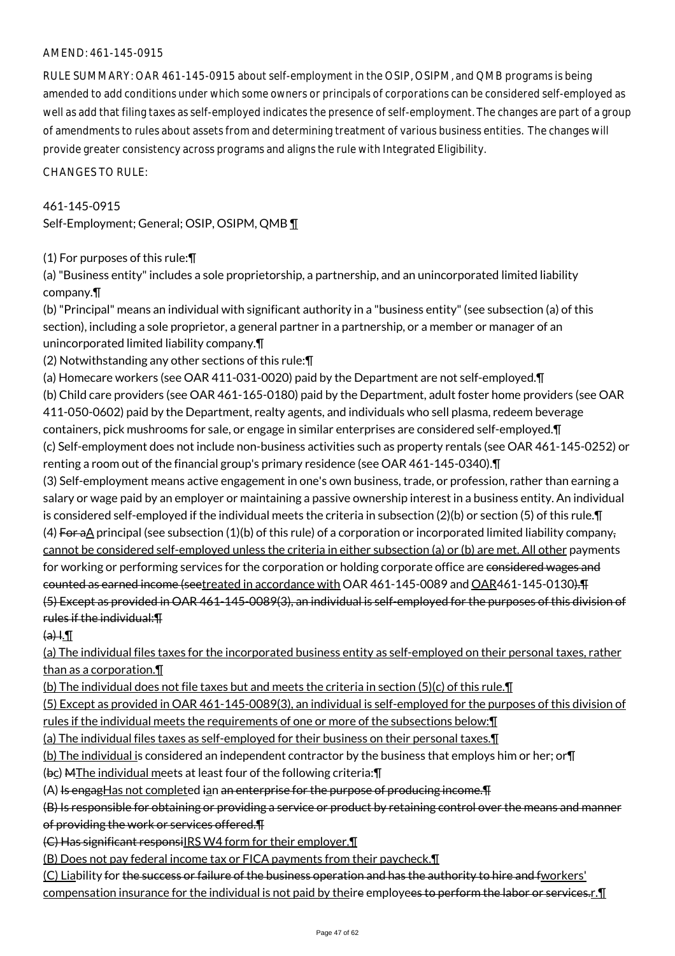## AMEND: 461-145-0915

RULE SUMMARY: OAR 461-145-0915 about self-employment in the OSIP, OSIPM, and QMB programs is being amended to add conditions under which some owners or principals of corporations can be considered self-employed as well as add that filing taxes as self-employed indicates the presence of self-employment. The changes are part of a group of amendments to rules about assets from and determining treatment of various business entities. The changes will provide greater consistency across programs and aligns the rule with Integrated Eligibility.

CHANGES TO RULE:

# 461-145-0915 Self-Employment; General; OSIP, OSIPM, QMB ¶

# (1) For purposes of this rule:¶

(a) "Business entity" includes a sole proprietorship, a partnership, and an unincorporated limited liability company.¶

(b) "Principal" means an individual with significant authority in a "business entity" (see subsection (a) of this section), including a sole proprietor, a general partner in a partnership, or a member or manager of an unincorporated limited liability company.¶

(2) Notwithstanding any other sections of this rule:¶

(a) Homecare workers (see OAR 411-031-0020) paid by the Department are not self-employed.¶ (b) Child care providers (see OAR 461-165-0180) paid by the Department, adult foster home providers (see OAR 411-050-0602) paid by the Department, realty agents, and individuals who sell plasma, redeem beverage containers, pick mushrooms for sale, or engage in similar enterprises are considered self-employed.¶ (c) Self-employment does not include non-business activities such as property rentals (see OAR 461-145-0252) or

renting a room out of the financial group's primary residence (see OAR 461-145-0340).¶ (3) Self-employment means active engagement in one's own business, trade, or profession, rather than earning a salary or wage paid by an employer or maintaining a passive ownership interest in a business entity. An individual is considered self-employed if the individual meets the criteria in subsection (2)(b) or section (5) of this rule.¶ (4) For aA principal (see subsection (1)(b) of this rule) of a corporation or incorporated limited liability company, cannot be considered self-employed unless the criteria in either subsection (a) or (b) are met. All other payments for working or performing services for the corporation or holding corporate office are considered wages and counted as earned income (seetreated in accordance with OAR 461-145-0089 and OAR461-145-0130).¶ (5) Except as provided in OAR 461-145-0089(3), an individual is self-employed for the purposes of this division of rules if the individual:¶

 $\Theta$   $\Theta$   $\left( \Theta$   $\right)$ 

(a) The individual files taxes for the incorporated business entity as self-employed on their personal taxes, rather than as a corporation.¶

(b) The individual does not file taxes but and meets the criteria in section (5)(c) of this rule.¶

(5) Except as provided in OAR 461-145-0089(3), an individual is self-employed for the purposes of this division of rules if the individual meets the requirements of one or more of the subsections below:¶

(a) The individual files taxes as self-employed for their business on their personal taxes.¶

(b) The individual is considered an independent contractor by the business that employs him or her; or¶

 $(**bc**)$  MThe individual meets at least four of the following criteria: $\P$ 

 $(A)$  Is engagHas not completed ian an enterprise for the purpose of producing income.  $\P$ 

(B) Is responsible for obtaining or providing a service or product by retaining control over the means and manner of providing the work or services offered.¶

(C) Has significant responsiIRS W4 form for their employer.¶

(B) Does not pay federal income tax or FICA payments from their paycheck.¶

(C) Liability for the success or failure of the business operation and has the authority to hire and fworkers' compensation insurance for the individual is not paid by theire employees to perform the labor or services.r. I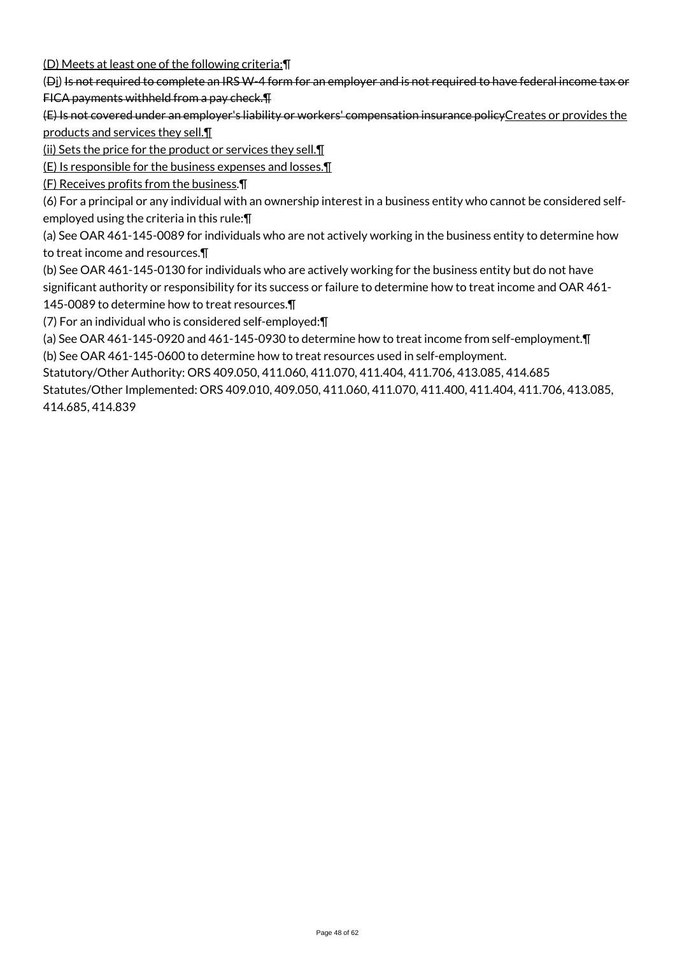(D) Meets at least one of the following criteria:¶

(Di) Is not required to complete an IRS W-4 form for an employer and is not required to have federal income tax or FICA payments withheld from a pay check.¶

(E) Is not covered under an employer's liability or workers' compensation insurance policyCreates or provides the products and services they sell.¶

(ii) Sets the price for the product or services they sell.¶

(E) Is responsible for the business expenses and losses.¶

(F) Receives profits from the business.¶

(6) For a principal or any individual with an ownership interest in a business entity who cannot be considered selfemployed using the criteria in this rule:¶

(a) See OAR 461-145-0089 for individuals who are not actively working in the business entity to determine how to treat income and resources.¶

(b) See OAR 461-145-0130 for individuals who are actively working for the business entity but do not have significant authority or responsibility for its success or failure to determine how to treat income and OAR 461- 145-0089 to determine how to treat resources.¶

(7) For an individual who is considered self-employed:¶

(a) See OAR 461-145-0920 and 461-145-0930 to determine how to treat income from self-employment.¶

(b) See OAR 461-145-0600 to determine how to treat resources used in self-employment.

Statutory/Other Authority: ORS 409.050, 411.060, 411.070, 411.404, 411.706, 413.085, 414.685

Statutes/Other Implemented: ORS 409.010, 409.050, 411.060, 411.070, 411.400, 411.404, 411.706, 413.085, 414.685, 414.839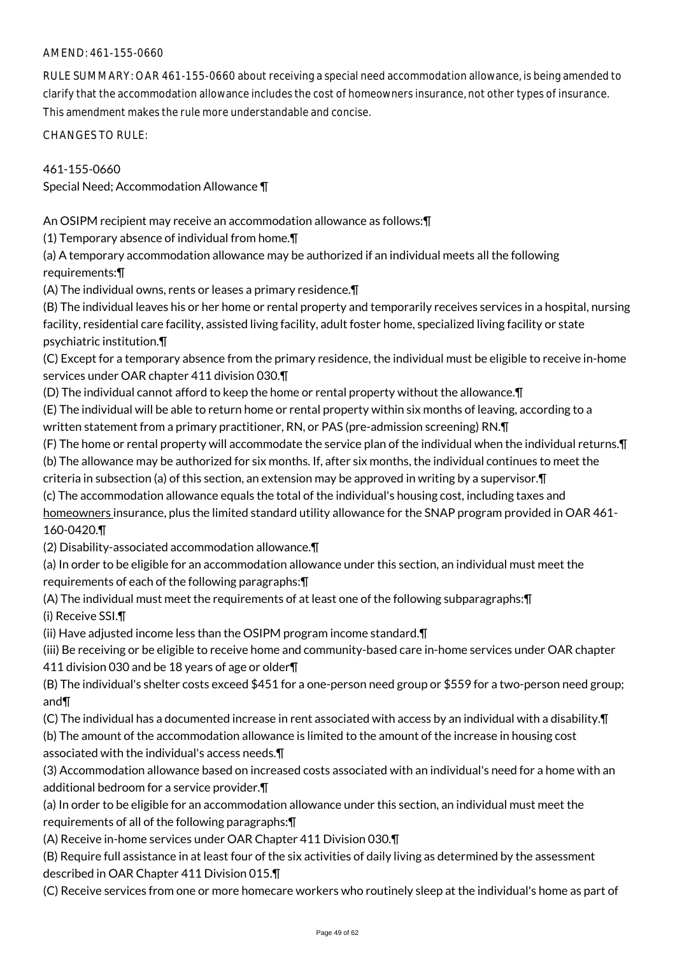# AMEND: 461-155-0660

RULE SUMMARY: OAR 461-155-0660 about receiving a special need accommodation allowance, is being amended to clarify that the accommodation allowance includes the cost of homeowners insurance, not other types of insurance. This amendment makes the rule more understandable and concise.

CHANGES TO RULE:

461-155-0660 Special Need; Accommodation Allowance ¶

An OSIPM recipient may receive an accommodation allowance as follows:¶

(1) Temporary absence of individual from home.¶

(a) A temporary accommodation allowance may be authorized if an individual meets all the following requirements:¶

(A) The individual owns, rents or leases a primary residence.¶

(B) The individual leaves his or her home or rental property and temporarily receives services in a hospital, nursing facility, residential care facility, assisted living facility, adult foster home, specialized living facility or state psychiatric institution.¶

(C) Except for a temporary absence from the primary residence, the individual must be eligible to receive in-home services under OAR chapter 411 division 030.¶

(D) The individual cannot afford to keep the home or rental property without the allowance.¶

(E) The individual will be able to return home or rental property within six months of leaving, according to a written statement from a primary practitioner, RN, or PAS (pre-admission screening) RN.¶

(F) The home or rental property will accommodate the service plan of the individual when the individual returns.¶

(b) The allowance may be authorized for six months. If, after six months, the individual continues to meet the

criteria in subsection (a) of this section, an extension may be approved in writing by a supervisor.¶

(c) The accommodation allowance equals the total of the individual's housing cost, including taxes and

homeowners insurance, plus the limited standard utility allowance for the SNAP program provided in OAR 461-160-0420.¶

(2) Disability-associated accommodation allowance.¶

(a) In order to be eligible for an accommodation allowance under this section, an individual must meet the requirements of each of the following paragraphs:¶

(A) The individual must meet the requirements of at least one of the following subparagraphs:¶ (i) Receive SSI.¶

(ii) Have adjusted income less than the OSIPM program income standard.¶

(iii) Be receiving or be eligible to receive home and community-based care in-home services under OAR chapter 411 division 030 and be 18 years of age or older¶

(B) The individual's shelter costs exceed \$451 for a one-person need group or \$559 for a two-person need group; and¶

(C) The individual has a documented increase in rent associated with access by an individual with a disability.¶

(b) The amount of the accommodation allowance is limited to the amount of the increase in housing cost associated with the individual's access needs.¶

(3) Accommodation allowance based on increased costs associated with an individual's need for a home with an additional bedroom for a service provider.¶

(a) In order to be eligible for an accommodation allowance under this section, an individual must meet the requirements of all of the following paragraphs:¶

(A) Receive in-home services under OAR Chapter 411 Division 030.¶

(B) Require full assistance in at least four of the six activities of daily living as determined by the assessment described in OAR Chapter 411 Division 015.¶

(C) Receive services from one or more homecare workers who routinely sleep at the individual's home as part of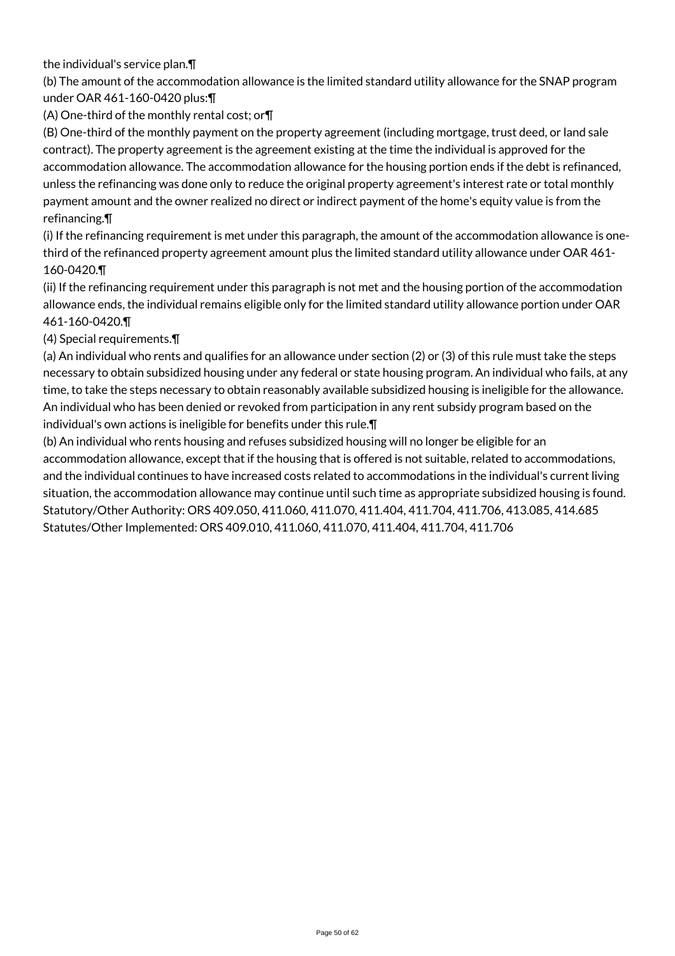the individual's service plan.¶

(b) The amount of the accommodation allowance is the limited standard utility allowance for the SNAP program under OAR 461-160-0420 plus:¶

(A) One-third of the monthly rental cost; or¶

(B) One-third of the monthly payment on the property agreement (including mortgage, trust deed, or land sale contract). The property agreement is the agreement existing at the time the individual is approved for the accommodation allowance. The accommodation allowance for the housing portion ends if the debt is refinanced, unless the refinancing was done only to reduce the original property agreement's interest rate or total monthly payment amount and the owner realized no direct or indirect payment of the home's equity value is from the refinancing.¶

(i) If the refinancing requirement is met under this paragraph, the amount of the accommodation allowance is onethird of the refinanced property agreement amount plus the limited standard utility allowance under OAR 461- 160-0420.¶

(ii) If the refinancing requirement under this paragraph is not met and the housing portion of the accommodation allowance ends, the individual remains eligible only for the limited standard utility allowance portion under OAR 461-160-0420.¶

# (4) Special requirements.¶

(a) An individual who rents and qualifies for an allowance under section (2) or (3) of this rule must take the steps necessary to obtain subsidized housing under any federal or state housing program. An individual who fails, at any time, to take the steps necessary to obtain reasonably available subsidized housing is ineligible for the allowance. An individual who has been denied or revoked from participation in any rent subsidy program based on the individual's own actions is ineligible for benefits under this rule.¶

(b) An individual who rents housing and refuses subsidized housing will no longer be eligible for an accommodation allowance, except that if the housing that is offered is not suitable, related to accommodations, and the individual continues to have increased costs related to accommodations in the individual's current living situation, the accommodation allowance may continue until such time as appropriate subsidized housing is found. Statutory/Other Authority: ORS 409.050, 411.060, 411.070, 411.404, 411.704, 411.706, 413.085, 414.685 Statutes/Other Implemented: ORS 409.010, 411.060, 411.070, 411.404, 411.704, 411.706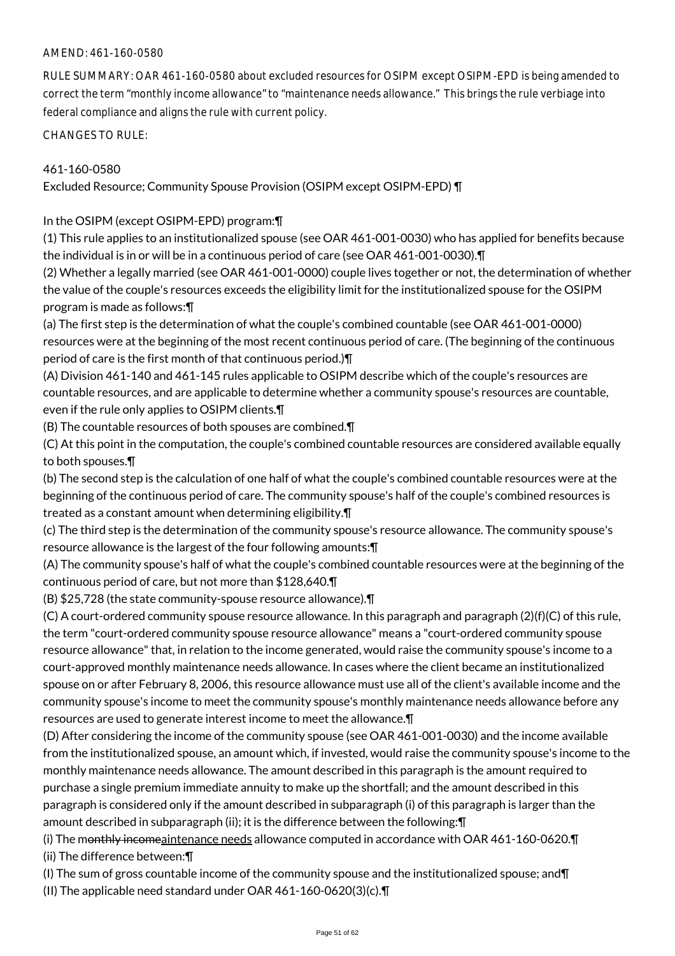## AMEND: 461-160-0580

RULE SUMMARY: OAR 461-160-0580 about excluded resources for OSIPM except OSIPM-EPD is being amended to correct the term "monthly income allowance" to "maintenance needs allowance." This brings the rule verbiage into federal compliance and aligns the rule with current policy.

CHANGES TO RULE:

## 461-160-0580

Excluded Resource; Community Spouse Provision (OSIPM except OSIPM-EPD) ¶

In the OSIPM (except OSIPM-EPD) program:¶

(1) This rule applies to an institutionalized spouse (see OAR 461-001-0030) who has applied for benefits because the individual is in or will be in a continuous period of care (see OAR 461-001-0030).¶

(2) Whether a legally married (see OAR 461-001-0000) couple lives together or not, the determination of whether the value of the couple's resources exceeds the eligibility limit for the institutionalized spouse for the OSIPM program is made as follows:¶

(a) The first step is the determination of what the couple's combined countable (see OAR 461-001-0000) resources were at the beginning of the most recent continuous period of care. (The beginning of the continuous period of care is the first month of that continuous period.)¶

(A) Division 461-140 and 461-145 rules applicable to OSIPM describe which of the couple's resources are countable resources, and are applicable to determine whether a community spouse's resources are countable, even if the rule only applies to OSIPM clients.¶

(B) The countable resources of both spouses are combined.¶

(C) At this point in the computation, the couple's combined countable resources are considered available equally to both spouses.¶

(b) The second step is the calculation of one half of what the couple's combined countable resources were at the beginning of the continuous period of care. The community spouse's half of the couple's combined resources is treated as a constant amount when determining eligibility.¶

(c) The third step is the determination of the community spouse's resource allowance. The community spouse's resource allowance is the largest of the four following amounts:¶

(A) The community spouse's half of what the couple's combined countable resources were at the beginning of the continuous period of care, but not more than \$128,640.¶

(B) \$25,728 (the state community-spouse resource allowance).¶

(C) A court-ordered community spouse resource allowance. In this paragraph and paragraph (2)(f)(C) of this rule, the term "court-ordered community spouse resource allowance" means a "court-ordered community spouse resource allowance" that, in relation to the income generated, would raise the community spouse's income to a court-approved monthly maintenance needs allowance. In cases where the client became an institutionalized spouse on or after February 8, 2006, this resource allowance must use all of the client's available income and the community spouse's income to meet the community spouse's monthly maintenance needs allowance before any resources are used to generate interest income to meet the allowance.¶

(D) After considering the income of the community spouse (see OAR 461-001-0030) and the income available from the institutionalized spouse, an amount which, if invested, would raise the community spouse's income to the monthly maintenance needs allowance. The amount described in this paragraph is the amount required to purchase a single premium immediate annuity to make up the shortfall; and the amount described in this paragraph is considered only if the amount described in subparagraph (i) of this paragraph is larger than the amount described in subparagraph (ii); it is the difference between the following:¶

(i) The monthly incomeaintenance needs allowance computed in accordance with OAR 461-160-0620. (ii) The difference between:¶

(I) The sum of gross countable income of the community spouse and the institutionalized spouse; and¶ (II) The applicable need standard under OAR 461-160-0620(3)(c).¶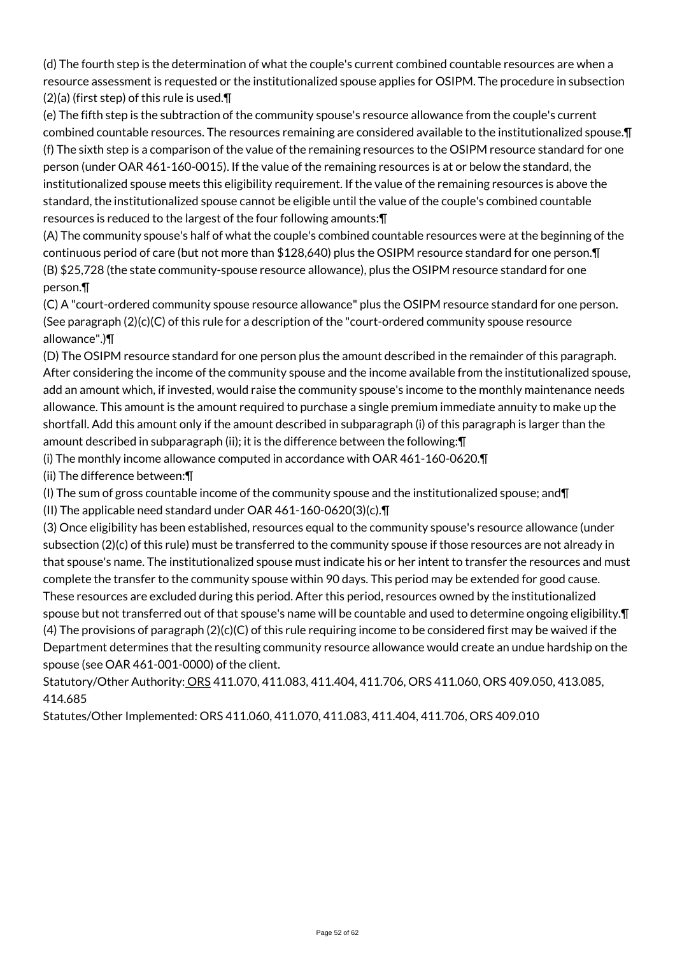(d) The fourth step is the determination of what the couple's current combined countable resources are when a resource assessment is requested or the institutionalized spouse applies for OSIPM. The procedure in subsection (2)(a) (first step) of this rule is used.¶

(e) The fifth step is the subtraction of the community spouse's resource allowance from the couple's current combined countable resources. The resources remaining are considered available to the institutionalized spouse.¶ (f) The sixth step is a comparison of the value of the remaining resources to the OSIPM resource standard for one person (under OAR 461-160-0015). If the value of the remaining resources is at or below the standard, the institutionalized spouse meets this eligibility requirement. If the value of the remaining resources is above the standard, the institutionalized spouse cannot be eligible until the value of the couple's combined countable resources is reduced to the largest of the four following amounts:¶

(A) The community spouse's half of what the couple's combined countable resources were at the beginning of the continuous period of care (but not more than \$128,640) plus the OSIPM resource standard for one person.¶ (B) \$25,728 (the state community-spouse resource allowance), plus the OSIPM resource standard for one person.¶

(C) A "court-ordered community spouse resource allowance" plus the OSIPM resource standard for one person. (See paragraph  $(2)(c)(C)$  of this rule for a description of the "court-ordered community spouse resource allowance".)¶

(D) The OSIPM resource standard for one person plus the amount described in the remainder of this paragraph. After considering the income of the community spouse and the income available from the institutionalized spouse, add an amount which, if invested, would raise the community spouse's income to the monthly maintenance needs allowance. This amount is the amount required to purchase a single premium immediate annuity to make up the shortfall. Add this amount only if the amount described in subparagraph (i) of this paragraph is larger than the amount described in subparagraph (ii); it is the difference between the following:¶

(i) The monthly income allowance computed in accordance with OAR 461-160-0620.¶

(ii) The difference between:¶

(I) The sum of gross countable income of the community spouse and the institutionalized spouse; and¶

(II) The applicable need standard under OAR 461-160-0620(3)(c).¶

(3) Once eligibility has been established, resources equal to the community spouse's resource allowance (under subsection (2)(c) of this rule) must be transferred to the community spouse if those resources are not already in that spouse's name. The institutionalized spouse must indicate his or her intent to transfer the resources and must complete the transfer to the community spouse within 90 days. This period may be extended for good cause. These resources are excluded during this period. After this period, resources owned by the institutionalized spouse but not transferred out of that spouse's name will be countable and used to determine ongoing eligibility. $\P$ (4) The provisions of paragraph (2)(c)(C) of this rule requiring income to be considered first may be waived if the Department determines that the resulting community resource allowance would create an undue hardship on the spouse (see OAR 461-001-0000) of the client.

Statutory/Other Authority: ORS 411.070, 411.083, 411.404, 411.706, ORS 411.060, ORS 409.050, 413.085, 414.685

Statutes/Other Implemented: ORS 411.060, 411.070, 411.083, 411.404, 411.706, ORS 409.010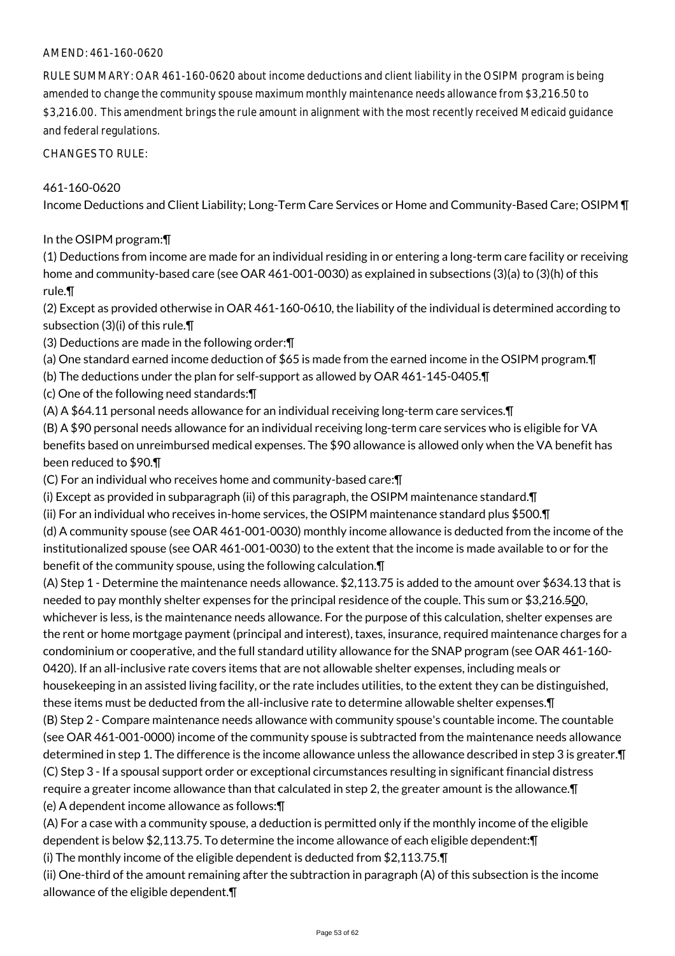## AMEND: 461-160-0620

RULE SUMMARY: OAR 461-160-0620 about income deductions and client liability in the OSIPM program is being amended to change the community spouse maximum monthly maintenance needs allowance from \$3,216.50 to \$3,216.00. This amendment brings the rule amount in alignment with the most recently received Medicaid guidance and federal regulations.

CHANGES TO RULE:

#### 461-160-0620

Income Deductions and Client Liability; Long-Term Care Services or Home and Community-Based Care; OSIPM ¶

#### In the OSIPM program:¶

(1) Deductions from income are made for an individual residing in or entering a long-term care facility or receiving home and community-based care (see OAR 461-001-0030) as explained in subsections (3)(a) to (3)(h) of this rule.¶

(2) Except as provided otherwise in OAR 461-160-0610, the liability of the individual is determined according to subsection (3)(i) of this rule.¶

(3) Deductions are made in the following order:¶

(a) One standard earned income deduction of \$65 is made from the earned income in the OSIPM program.¶

(b) The deductions under the plan for self-support as allowed by OAR 461-145-0405.¶

(c) One of the following need standards:¶

(A) A \$64.11 personal needs allowance for an individual receiving long-term care services.¶

(B) A \$90 personal needs allowance for an individual receiving long-term care services who is eligible for VA benefits based on unreimbursed medical expenses. The \$90 allowance is allowed only when the VA benefit has been reduced to \$90.¶

(C) For an individual who receives home and community-based care:¶

(i) Except as provided in subparagraph (ii) of this paragraph, the OSIPM maintenance standard.¶

(ii) For an individual who receives in-home services, the OSIPM maintenance standard plus \$500.¶

(d) A community spouse (see OAR 461-001-0030) monthly income allowance is deducted from the income of the institutionalized spouse (see OAR 461-001-0030) to the extent that the income is made available to or for the benefit of the community spouse, using the following calculation.¶

(A) Step 1 - Determine the maintenance needs allowance. \$2,113.75 is added to the amount over \$634.13 that is needed to pay monthly shelter expenses for the principal residence of the couple. This sum or \$3,216.500, whichever is less, is the maintenance needs allowance. For the purpose of this calculation, shelter expenses are the rent or home mortgage payment (principal and interest), taxes, insurance, required maintenance charges for a condominium or cooperative, and the full standard utility allowance for the SNAP program (see OAR 461-160- 0420). If an all-inclusive rate covers items that are not allowable shelter expenses, including meals or housekeeping in an assisted living facility, or the rate includes utilities, to the extent they can be distinguished, these items must be deducted from the all-inclusive rate to determine allowable shelter expenses.¶ (B) Step 2 - Compare maintenance needs allowance with community spouse's countable income. The countable (see OAR 461-001-0000) income of the community spouse is subtracted from the maintenance needs allowance determined in step 1. The difference is the income allowance unless the allowance described in step 3 is greater.¶ (C) Step 3 - If a spousal support order or exceptional circumstances resulting in significant financial distress require a greater income allowance than that calculated in step 2, the greater amount is the allowance.¶ (e) A dependent income allowance as follows:¶

(A) For a case with a community spouse, a deduction is permitted only if the monthly income of the eligible dependent is below \$2,113.75. To determine the income allowance of each eligible dependent:¶

(i) The monthly income of the eligible dependent is deducted from \$2,113.75.¶

(ii) One-third of the amount remaining after the subtraction in paragraph (A) of this subsection is the income allowance of the eligible dependent.¶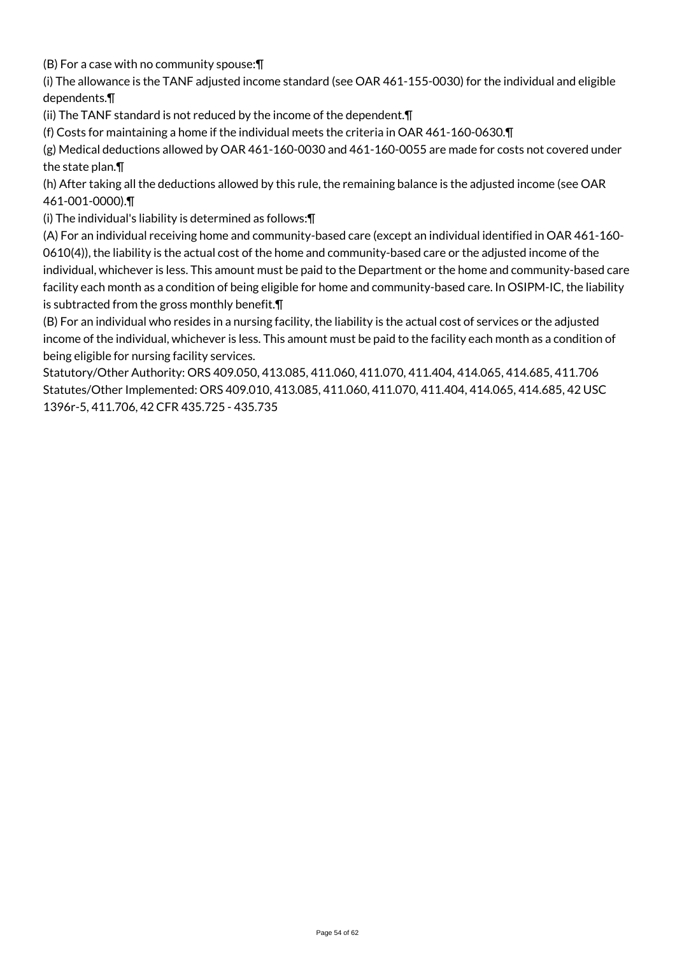(B) For a case with no community spouse:¶

(i) The allowance is the TANF adjusted income standard (see OAR 461-155-0030) for the individual and eligible dependents.¶

(ii) The TANF standard is not reduced by the income of the dependent.¶

(f) Costs for maintaining a home if the individual meets the criteria in OAR 461-160-0630.¶

(g) Medical deductions allowed by OAR 461-160-0030 and 461-160-0055 are made for costs not covered under the state plan.¶

(h) After taking all the deductions allowed by this rule, the remaining balance is the adjusted income (see OAR 461-001-0000).¶

(i) The individual's liability is determined as follows:¶

(A) For an individual receiving home and community-based care (except an individual identified in OAR 461-160- 0610(4)), the liability is the actual cost of the home and community-based care or the adjusted income of the individual, whichever is less. This amount must be paid to the Department or the home and community-based care facility each month as a condition of being eligible for home and community-based care. In OSIPM-IC, the liability is subtracted from the gross monthly benefit.¶

(B) For an individual who resides in a nursing facility, the liability is the actual cost of services or the adjusted income of the individual, whichever is less. This amount must be paid to the facility each month as a condition of being eligible for nursing facility services.

Statutory/Other Authority: ORS 409.050, 413.085, 411.060, 411.070, 411.404, 414.065, 414.685, 411.706 Statutes/Other Implemented: ORS 409.010, 413.085, 411.060, 411.070, 411.404, 414.065, 414.685, 42 USC 1396r-5, 411.706, 42 CFR 435.725 - 435.735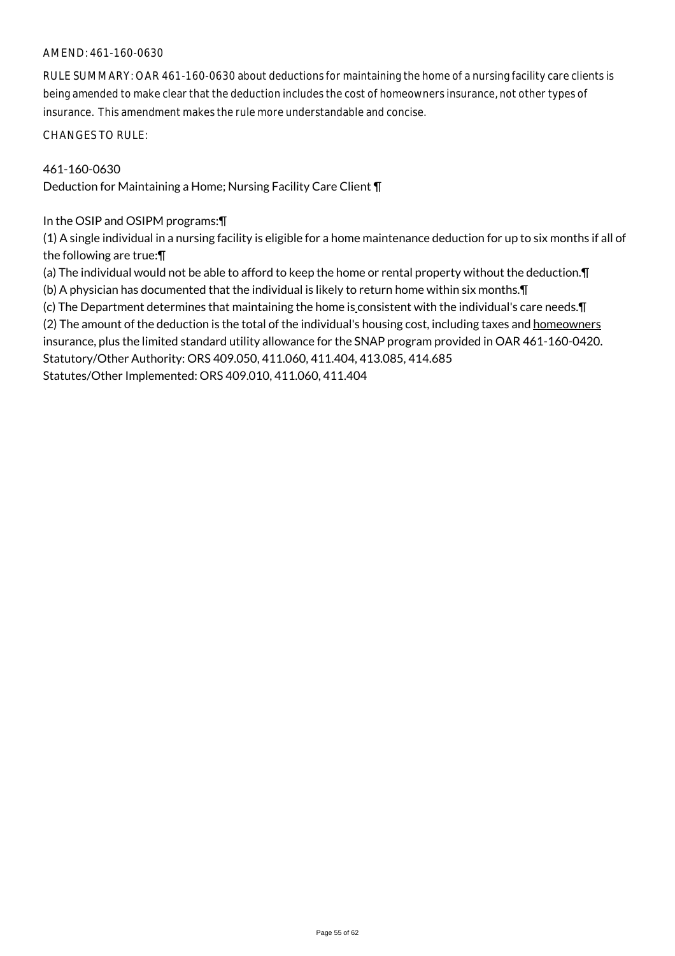#### AMEND: 461-160-0630

RULE SUMMARY: OAR 461-160-0630 about deductions for maintaining the home of a nursing facility care clients is being amended to make clear that the deduction includes the cost of homeowners insurance, not other types of insurance. This amendment makes the rule more understandable and concise.

CHANGES TO RULE:

## 461-160-0630

Deduction for Maintaining a Home; Nursing Facility Care Client ¶

In the OSIP and OSIPM programs:¶

(1) A single individual in a nursing facility is eligible for a home maintenance deduction for up to six months if all of the following are true:¶

(a) The individual would not be able to afford to keep the home or rental property without the deduction.¶ (b) A physician has documented that the individual is likely to return home within six months.¶

(c) The Department determines that maintaining the home is consistent with the individual's care needs.¶

(2) The amount of the deduction is the total of the individual's housing cost, including taxes and homeowners insurance, plus the limited standard utility allowance for the SNAP program provided in OAR 461-160-0420. Statutory/Other Authority: ORS 409.050, 411.060, 411.404, 413.085, 414.685 Statutes/Other Implemented: ORS 409.010, 411.060, 411.404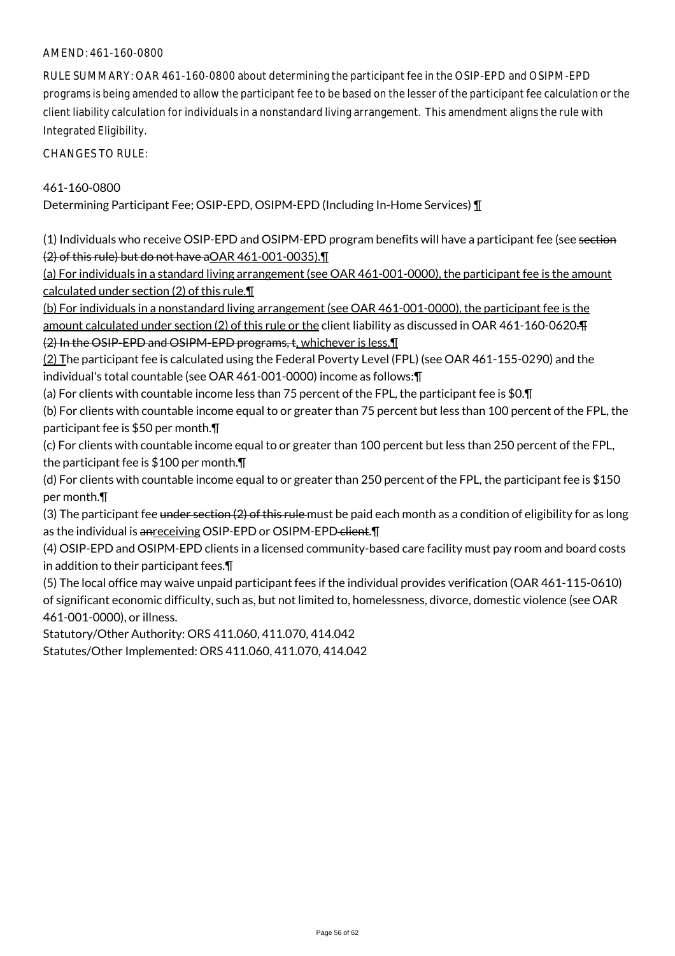## AMEND: 461-160-0800

RULE SUMMARY: OAR 461-160-0800 about determining the participant fee in the OSIP-EPD and OSIPM-EPD programs is being amended to allow the participant fee to be based on the lesser of the participant fee calculation or the client liability calculation for individuals in a nonstandard living arrangement. This amendment aligns the rule with Integrated Eligibility.

CHANGES TO RULE:

#### 461-160-0800

Determining Participant Fee; OSIP-EPD, OSIPM-EPD (Including In-Home Services) ¶

(1) Individuals who receive OSIP-EPD and OSIPM-EPD program benefits will have a participant fee (see section (2) of this rule) but do not have aOAR 461-001-0035).¶

(a) For individuals in a standard living arrangement (see OAR 461-001-0000), the participant fee is the amount calculated under section (2) of this rule.¶

(b) For individuals in a nonstandard living arrangement (see OAR 461-001-0000), the participant fee is the amount calculated under section (2) of this rule or the client liability as discussed in OAR 461-160-0620.¶ (2) In the OSIP-EPD and OSIPM-EPD programs, t, whichever is less.¶

(2) The participant fee is calculated using the Federal Poverty Level (FPL) (see OAR 461-155-0290) and the individual's total countable (see OAR 461-001-0000) income as follows:¶

(a) For clients with countable income less than 75 percent of the FPL, the participant fee is \$0.¶

(b) For clients with countable income equal to or greater than 75 percent but less than 100 percent of the FPL, the participant fee is \$50 per month.¶

(c) For clients with countable income equal to or greater than 100 percent but less than 250 percent of the FPL, the participant fee is \$100 per month.¶

(d) For clients with countable income equal to or greater than 250 percent of the FPL, the participant fee is \$150 per month.¶

(3) The participant fee under section (2) of this rule must be paid each month as a condition of eligibility for as long as the individual is anreceiving OSIP-EPD or OSIPM-EPD-client.

(4) OSIP-EPD and OSIPM-EPD clients in a licensed community-based care facility must pay room and board costs in addition to their participant fees.¶

(5) The local office may waive unpaid participant fees if the individual provides verification (OAR 461-115-0610) of significant economic difficulty, such as, but not limited to, homelessness, divorce, domestic violence (see OAR 461-001-0000), or illness.

Statutory/Other Authority: ORS 411.060, 411.070, 414.042

Statutes/Other Implemented: ORS 411.060, 411.070, 414.042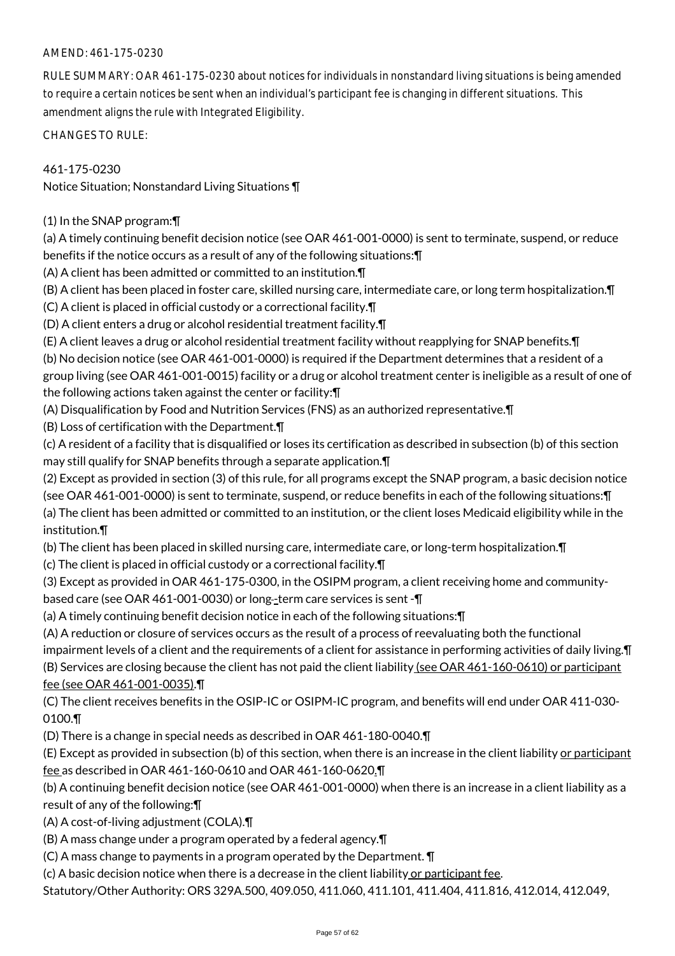# AMEND: 461-175-0230

RULE SUMMARY: OAR 461-175-0230 about notices for individuals in nonstandard living situations is being amended to require a certain notices be sent when an individual's participant fee is changing in different situations. This amendment aligns the rule with Integrated Eligibility.

CHANGES TO RULE:

# 461-175-0230

Notice Situation; Nonstandard Living Situations ¶

(1) In the SNAP program:¶

(a) A timely continuing benefit decision notice (see OAR 461-001-0000) is sent to terminate, suspend, or reduce benefits if the notice occurs as a result of any of the following situations:¶

(A) A client has been admitted or committed to an institution.¶

(B) A client has been placed in foster care, skilled nursing care, intermediate care, or long term hospitalization.¶

(C) A client is placed in official custody or a correctional facility.¶

(D) A client enters a drug or alcohol residential treatment facility.¶

(E) A client leaves a drug or alcohol residential treatment facility without reapplying for SNAP benefits.¶

(b) No decision notice (see OAR 461-001-0000) is required if the Department determines that a resident of a group living (see OAR 461-001-0015) facility or a drug or alcohol treatment center is ineligible as a result of one of the following actions taken against the center or facility:¶

(A) Disqualification by Food and Nutrition Services (FNS) as an authorized representative.¶

(B) Loss of certification with the Department.¶

(c) A resident of a facility that is disqualified or loses its certification as described in subsection (b) of this section may still qualify for SNAP benefits through a separate application.¶

(2) Except as provided in section (3) of this rule, for all programs except the SNAP program, a basic decision notice (see OAR 461-001-0000) is sent to terminate, suspend, or reduce benefits in each of the following situations:¶ (a) The client has been admitted or committed to an institution, or the client loses Medicaid eligibility while in the institution.¶

(b) The client has been placed in skilled nursing care, intermediate care, or long-term hospitalization.¶

(c) The client is placed in official custody or a correctional facility.¶

(3) Except as provided in OAR 461-175-0300, in the OSIPM program, a client receiving home and communitybased care (see OAR 461-001-0030) or long-term care services is sent - $\P$ 

(a) A timely continuing benefit decision notice in each of the following situations:¶

(A) A reduction or closure of services occurs as the result of a process of reevaluating both the functional

impairment levels of a client and the requirements of a client for assistance in performing activities of daily living.¶ (B) Services are closing because the client has not paid the client liability (see OAR 461-160-0610) or participant fee (see OAR 461-001-0035).¶

(C) The client receives benefits in the OSIP-IC or OSIPM-IC program, and benefits will end under OAR 411-030- 0100.¶

(D) There is a change in special needs as described in OAR 461-180-0040.¶

(E) Except as provided in subsection (b) of this section, when there is an increase in the client liability or participant fee as described in OAR 461-160-0610 and OAR 461-160-0620.¶

(b) A continuing benefit decision notice (see OAR 461-001-0000) when there is an increase in a client liability as a result of any of the following:¶

(A) A cost-of-living adjustment (COLA).¶

(B) A mass change under a program operated by a federal agency.¶

(C) A mass change to payments in a program operated by the Department. ¶

 $(c)$  A basic decision notice when there is a decrease in the client liability or participant fee.

Statutory/Other Authority: ORS 329A.500, 409.050, 411.060, 411.101, 411.404, 411.816, 412.014, 412.049,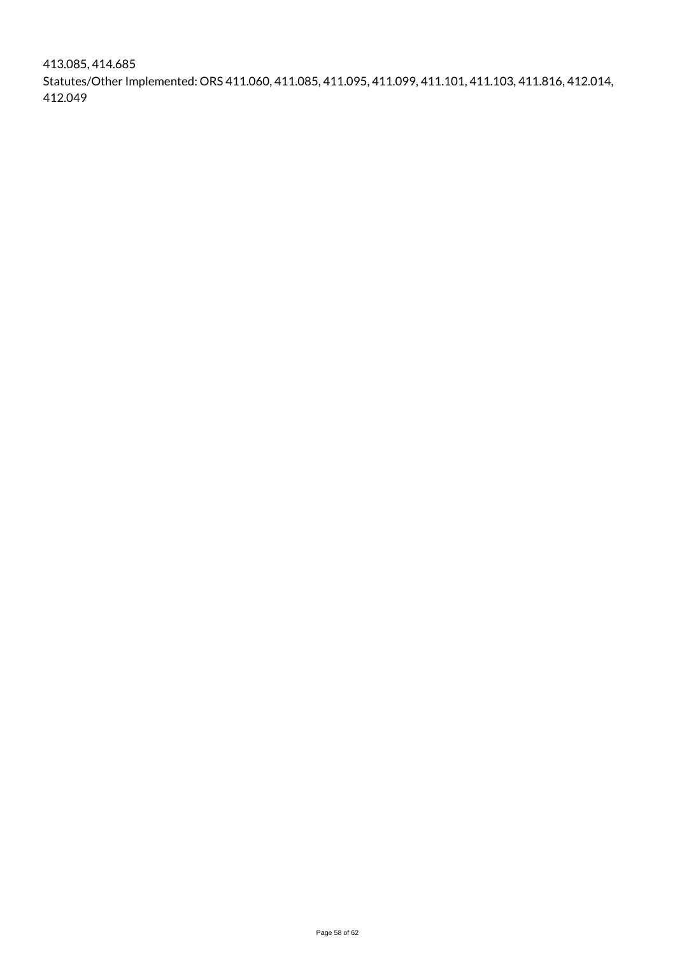413.085, 414.685 Statutes/Other Implemented: ORS 411.060, 411.085, 411.095, 411.099, 411.101, 411.103, 411.816, 412.014, 412.049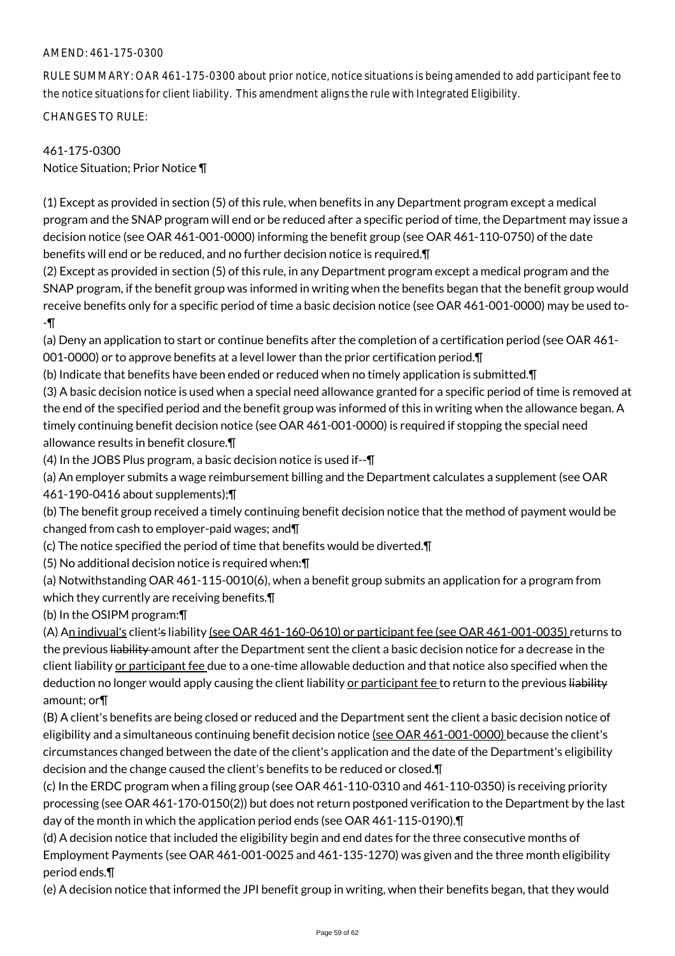# AMEND: 461-175-0300

RULE SUMMARY: OAR 461-175-0300 about prior notice, notice situations is being amended to add participant fee to the notice situations for client liability. This amendment aligns the rule with Integrated Eligibility.

CHANGES TO RULE:

# 461-175-0300 Notice Situation; Prior Notice ¶

(1) Except as provided in section (5) of this rule, when benefits in any Department program except a medical program and the SNAP program will end or be reduced after a specific period of time, the Department may issue a decision notice (see OAR 461-001-0000) informing the benefit group (see OAR 461-110-0750) of the date benefits will end or be reduced, and no further decision notice is required.¶

(2) Except as provided in section (5) of this rule, in any Department program except a medical program and the SNAP program, if the benefit group was informed in writing when the benefits began that the benefit group would receive benefits only for a specific period of time a basic decision notice (see OAR 461-001-0000) may be used to- -¶

(a) Deny an application to start or continue benefits after the completion of a certification period (see OAR 461- 001-0000) or to approve benefits at a level lower than the prior certification period.¶

(b) Indicate that benefits have been ended or reduced when no timely application is submitted.¶

(3) A basic decision notice is used when a special need allowance granted for a specific period of time is removed at the end of the specified period and the benefit group was informed of this in writing when the allowance began. A timely continuing benefit decision notice (see OAR 461-001-0000) is required if stopping the special need allowance results in benefit closure.¶

(4) In the JOBS Plus program, a basic decision notice is used if--¶

(a) An employer submits a wage reimbursement billing and the Department calculates a supplement (see OAR 461-190-0416 about supplements);¶

(b) The benefit group received a timely continuing benefit decision notice that the method of payment would be changed from cash to employer-paid wages; and¶

- (c) The notice specified the period of time that benefits would be diverted.¶
- (5) No additional decision notice is required when:¶

(a) Notwithstanding OAR 461-115-0010(6), when a benefit group submits an application for a program from which they currently are receiving benefits.¶

(b) In the OSIPM program:¶

(A) An indivual's client's liability (see OAR 461-160-0610) or participant fee (see OAR 461-001-0035) returns to the previous liability amount after the Department sent the client a basic decision notice for a decrease in the client liability or participant fee due to a one-time allowable deduction and that notice also specified when the deduction no longer would apply causing the client liability or participant fee to return to the previous liability amount; or¶

(B) A client's benefits are being closed or reduced and the Department sent the client a basic decision notice of eligibility and a simultaneous continuing benefit decision notice (see OAR 461-001-0000) because the client's circumstances changed between the date of the client's application and the date of the Department's eligibility decision and the change caused the client's benefits to be reduced or closed.¶

(c) In the ERDC program when a filing group (see OAR 461-110-0310 and 461-110-0350) is receiving priority processing (see OAR 461-170-0150(2)) but does not return postponed verification to the Department by the last day of the month in which the application period ends (see OAR 461-115-0190).¶

(d) A decision notice that included the eligibility begin and end dates for the three consecutive months of Employment Payments (see OAR 461-001-0025 and 461-135-1270) was given and the three month eligibility period ends.¶

(e) A decision notice that informed the JPI benefit group in writing, when their benefits began, that they would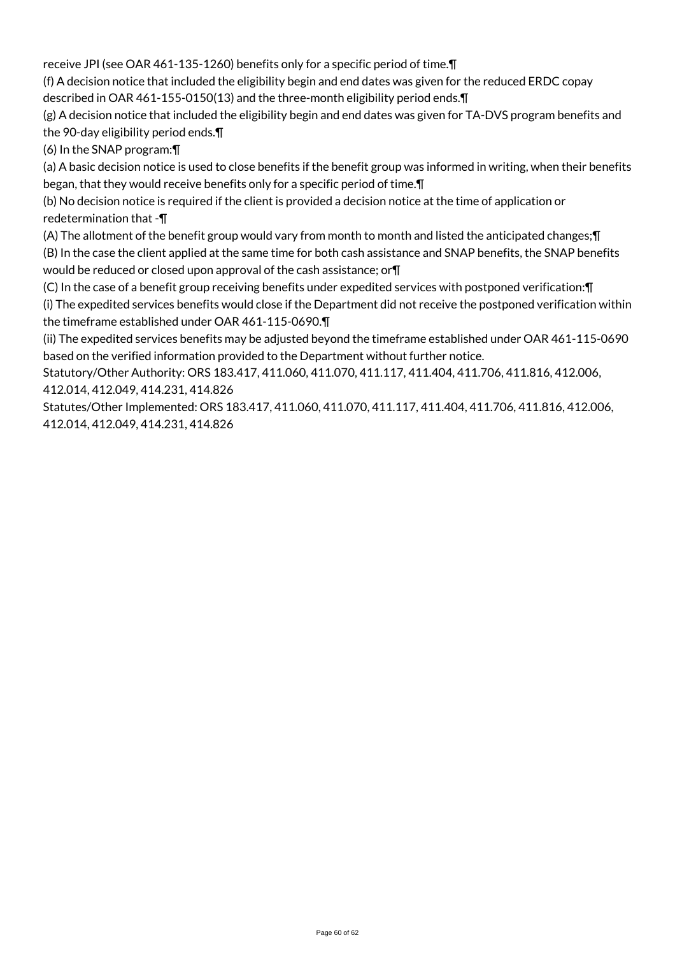receive JPI (see OAR 461-135-1260) benefits only for a specific period of time.¶

(f) A decision notice that included the eligibility begin and end dates was given for the reduced ERDC copay described in OAR 461-155-0150(13) and the three-month eligibility period ends.¶

(g) A decision notice that included the eligibility begin and end dates was given for TA-DVS program benefits and the 90-day eligibility period ends.¶

(6) In the SNAP program:¶

(a) A basic decision notice is used to close benefits if the benefit group was informed in writing, when their benefits began, that they would receive benefits only for a specific period of time.¶

(b) No decision notice is required if the client is provided a decision notice at the time of application or redetermination that -¶

(A) The allotment of the benefit group would vary from month to month and listed the anticipated changes;¶ (B) In the case the client applied at the same time for both cash assistance and SNAP benefits, the SNAP benefits would be reduced or closed upon approval of the cash assistance; or¶

(C) In the case of a benefit group receiving benefits under expedited services with postponed verification:¶

(i) The expedited services benefits would close if the Department did not receive the postponed verification within the timeframe established under OAR 461-115-0690.¶

(ii) The expedited services benefits may be adjusted beyond the timeframe established under OAR 461-115-0690 based on the verified information provided to the Department without further notice.

Statutory/Other Authority: ORS 183.417, 411.060, 411.070, 411.117, 411.404, 411.706, 411.816, 412.006, 412.014, 412.049, 414.231, 414.826

Statutes/Other Implemented: ORS 183.417, 411.060, 411.070, 411.117, 411.404, 411.706, 411.816, 412.006, 412.014, 412.049, 414.231, 414.826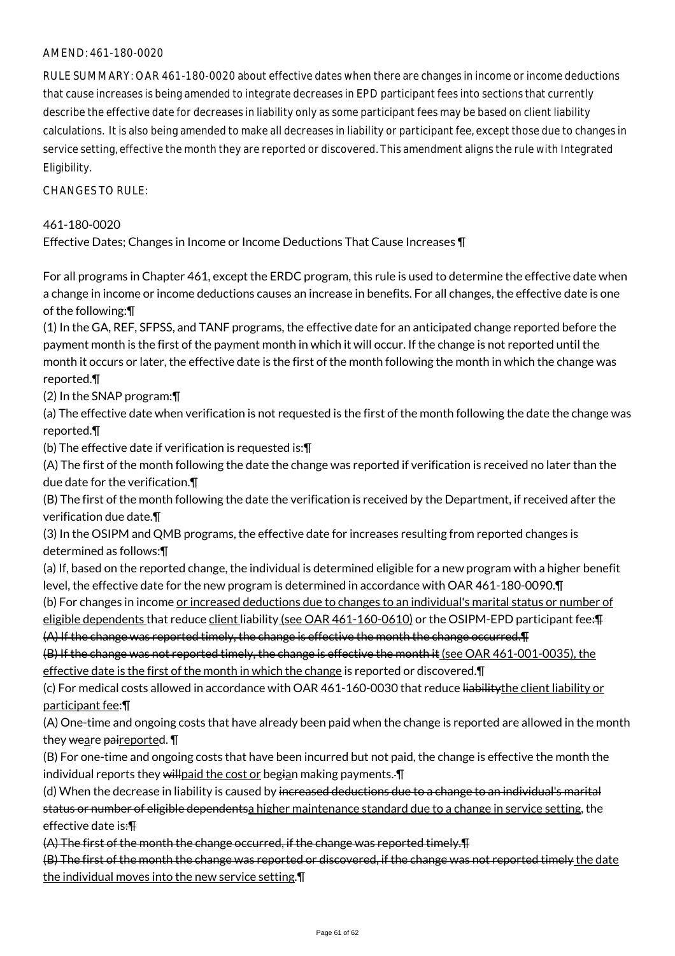#### AMEND: 461-180-0020

RULE SUMMARY: OAR 461-180-0020 about effective dates when there are changes in income or income deductions that cause increases is being amended to integrate decreases in EPD participant fees into sections that currently describe the effective date for decreases in liability only as some participant fees may be based on client liability calculations. It is also being amended to make all decreases in liability or participant fee, except those due to changes in service setting, effective the month they are reported or discovered. This amendment aligns the rule with Integrated Eligibility.

CHANGES TO RULE:

#### 461-180-0020

Effective Dates; Changes in Income or Income Deductions That Cause Increases ¶

For all programs in Chapter 461, except the ERDC program, this rule is used to determine the effective date when a change in income or income deductions causes an increase in benefits. For all changes, the effective date is one of the following:¶

(1) In the GA, REF, SFPSS, and TANF programs, the effective date for an anticipated change reported before the payment month is the first of the payment month in which it will occur. If the change is not reported until the month it occurs or later, the effective date is the first of the month following the month in which the change was reported.¶

(2) In the SNAP program:¶

(a) The effective date when verification is not requested is the first of the month following the date the change was reported.¶

(b) The effective date if verification is requested is:¶

(A) The first of the month following the date the change was reported if verification is received no later than the due date for the verification.¶

(B) The first of the month following the date the verification is received by the Department, if received after the verification due date.¶

(3) In the OSIPM and QMB programs, the effective date for increases resulting from reported changes is determined as follows:¶

(a) If, based on the reported change, the individual is determined eligible for a new program with a higher benefit level, the effective date for the new program is determined in accordance with OAR 461-180-0090.¶

(b) For changes in income or increased deductions due to changes to an individual's marital status or number of eligible dependents that reduce client liability (see OAR 461-160-0610) or the OSIPM-EPD participant fee: Fig.

(A) If the change was reported timely, the change is effective the month the change occurred.¶

(B) If the change was not reported timely, the change is effective the month it (see OAR 461-001-0035), the effective date is the first of the month in which the change is reported or discovered.¶

(c) For medical costs allowed in accordance with OAR 461-160-0030 that reduce liabilitythe client liability or participant fee:¶

(A) One-time and ongoing costs that have already been paid when the change is reported are allowed in the month they weare paireported. **[** 

(B) For one-time and ongoing costs that have been incurred but not paid, the change is effective the month the individual reports they will paid the cost or begian making payments.  $\P$ 

(d) When the decrease in liability is caused by increased deductions due to a change to an individual's marital status or number of eligible dependentsa higher maintenance standard due to a change in service setting, the effective date is:¶

(A) The first of the month the change occurred, if the change was reported timely.¶

(B) The first of the month the change was reported or discovered, if the change was not reported timely the date the individual moves into the new service setting.¶